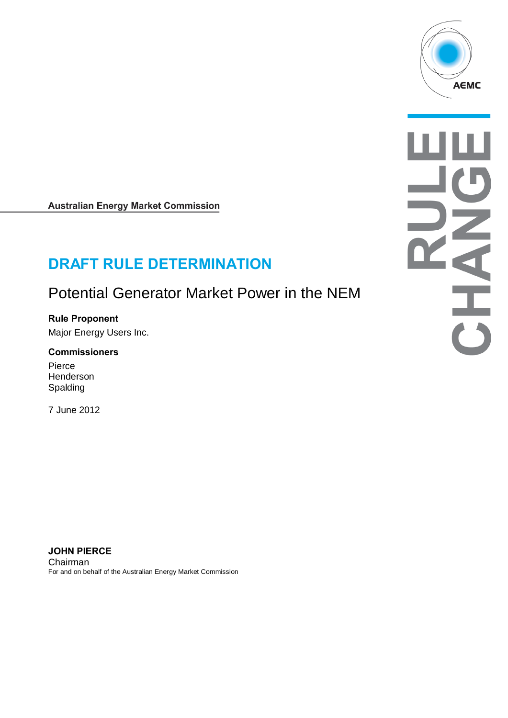

**Australian Energy Market Commission** 

# **DRAFT RULE DETERMINATION**

# Potential Generator Market Power in the NEM

**Rule Proponent** Major Energy Users Inc.

**Commissioners** Pierce Henderson Spalding

7 June 2012

**JOHN PIERCE** Chairman For and on behalf of the Australian Energy Market Commission

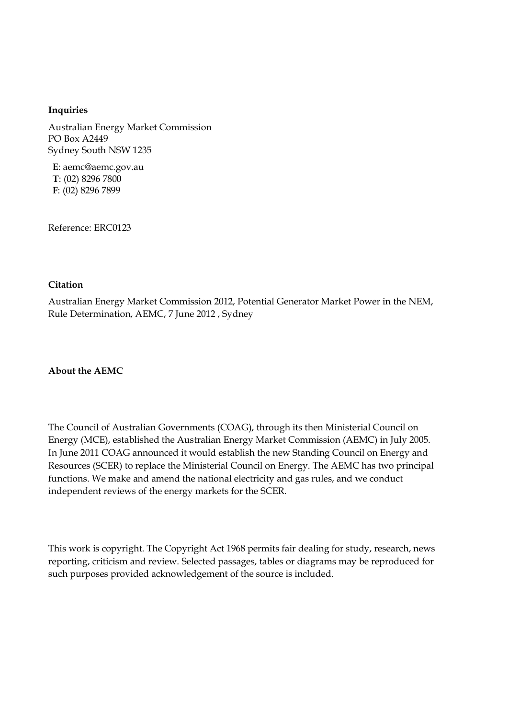#### **Inquiries**

Australian Energy Market Commission PO Box A2449 Sydney South NSW 1235

**E**: aemc@aemc.gov.au **T**: (02) 8296 7800 **F**: (02) 8296 7899

Reference: ERC0123

#### **Citation**

Australian Energy Market Commission 2012, Potential Generator Market Power in the NEM, Rule Determination, AEMC, 7 June 2012 , Sydney

#### **About the AEMC**

The Council of Australian Governments (COAG), through its then Ministerial Council on Energy (MCE), established the Australian Energy Market Commission (AEMC) in July 2005. In June 2011 COAG announced it would establish the new Standing Council on Energy and Resources (SCER) to replace the Ministerial Council on Energy. The AEMC has two principal functions. We make and amend the national electricity and gas rules, and we conduct independent reviews of the energy markets for the SCER.

This work is copyright. The Copyright Act 1968 permits fair dealing for study, research, news reporting, criticism and review. Selected passages, tables or diagrams may be reproduced for such purposes provided acknowledgement of the source is included.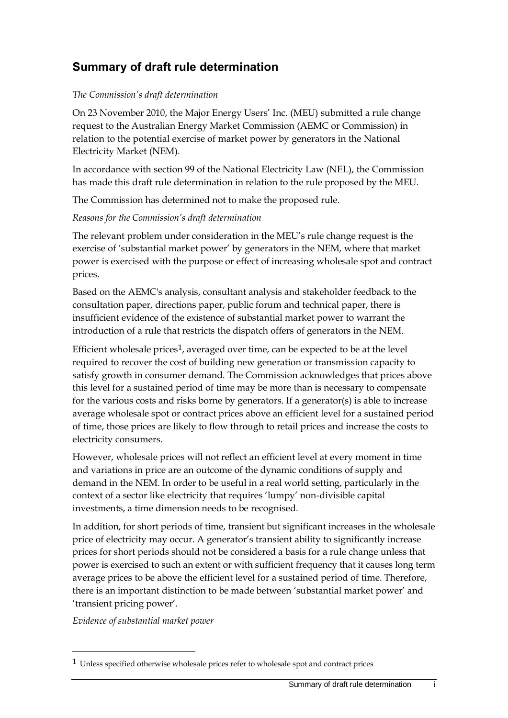## **Summary of draft rule determination**

#### *The Commission's draft determination*

On 23 November 2010, the Major Energy Users' Inc. (MEU) submitted a rule change request to the Australian Energy Market Commission (AEMC or Commission) in relation to the potential exercise of market power by generators in the National Electricity Market (NEM).

In accordance with section 99 of the National Electricity Law (NEL), the Commission has made this draft rule determination in relation to the rule proposed by the MEU.

The Commission has determined not to make the proposed rule.

#### *Reasons for the Commission's draft determination*

The relevant problem under consideration in the MEU's rule change request is the exercise of 'substantial market power' by generators in the NEM, where that market power is exercised with the purpose or effect of increasing wholesale spot and contract prices.

Based on the AEMC's analysis, consultant analysis and stakeholder feedback to the consultation paper, directions paper, public forum and technical paper, there is insufficient evidence of the existence of substantial market power to warrant the introduction of a rule that restricts the dispatch offers of generators in the NEM.

Efficient wholesale prices<sup>1</sup>, averaged over time, can be expected to be at the level required to recover the cost of building new generation or transmission capacity to satisfy growth in consumer demand. The Commission acknowledges that prices above this level for a sustained period of time may be more than is necessary to compensate for the various costs and risks borne by generators. If a generator(s) is able to increase average wholesale spot or contract prices above an efficient level for a sustained period of time, those prices are likely to flow through to retail prices and increase the costs to electricity consumers.

However, wholesale prices will not reflect an efficient level at every moment in time and variations in price are an outcome of the dynamic conditions of supply and demand in the NEM. In order to be useful in a real world setting, particularly in the context of a sector like electricity that requires 'lumpy' non-divisible capital investments, a time dimension needs to be recognised.

In addition, for short periods of time, transient but significant increases in the wholesale price of electricity may occur. A generator's transient ability to significantly increase prices for short periods should not be considered a basis for a rule change unless that power is exercised to such an extent or with sufficient frequency that it causes long term average prices to be above the efficient level for a sustained period of time. Therefore, there is an important distinction to be made between 'substantial market power' and 'transient pricing power'.

*Evidence of substantial market power*

<sup>1</sup> Unless specified otherwise wholesale prices refer to wholesale spot and contract prices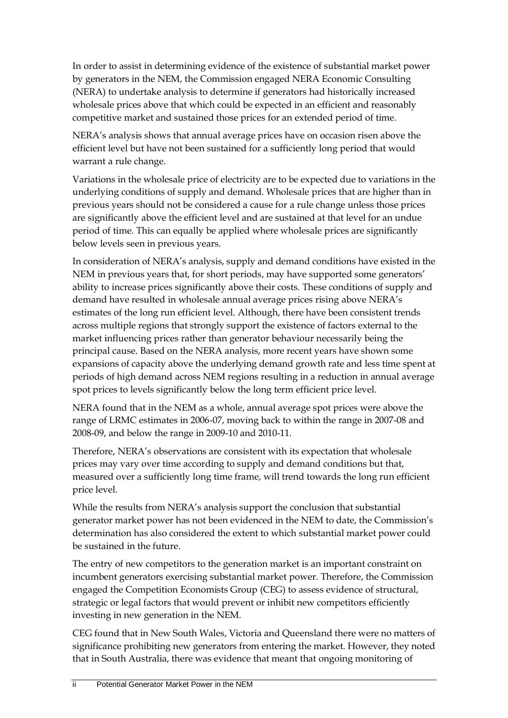In order to assist in determining evidence of the existence of substantial market power by generators in the NEM, the Commission engaged NERA Economic Consulting (NERA) to undertake analysis to determine if generators had historically increased wholesale prices above that which could be expected in an efficient and reasonably competitive market and sustained those prices for an extended period of time.

NERA's analysis shows that annual average prices have on occasion risen above the efficient level but have not been sustained for a sufficiently long period that would warrant a rule change.

Variations in the wholesale price of electricity are to be expected due to variations in the underlying conditions of supply and demand. Wholesale prices that are higher than in previous years should not be considered a cause for a rule change unless those prices are significantly above the efficient level and are sustained at that level for an undue period of time. This can equally be applied where wholesale prices are significantly below levels seen in previous years.

In consideration of NERA's analysis, supply and demand conditions have existed in the NEM in previous years that, for short periods, may have supported some generators' ability to increase prices significantly above their costs. These conditions of supply and demand have resulted in wholesale annual average prices rising above NERA's estimates of the long run efficient level. Although, there have been consistent trends across multiple regions that strongly support the existence of factors external to the market influencing prices rather than generator behaviour necessarily being the principal cause. Based on the NERA analysis, more recent years have shown some expansions of capacity above the underlying demand growth rate and less time spent at periods of high demand across NEM regions resulting in a reduction in annual average spot prices to levels significantly below the long term efficient price level.

NERA found that in the NEM as a whole, annual average spot prices were above the range of LRMC estimates in 2006-07, moving back to within the range in 2007-08 and 2008-09, and below the range in 2009-10 and 2010-11.

Therefore, NERA's observations are consistent with its expectation that wholesale prices may vary over time according to supply and demand conditions but that, measured over a sufficiently long time frame, will trend towards the long run efficient price level.

While the results from NERA's analysis support the conclusion that substantial generator market power has not been evidenced in the NEM to date, the Commission's determination has also considered the extent to which substantial market power could be sustained in the future.

The entry of new competitors to the generation market is an important constraint on incumbent generators exercising substantial market power. Therefore, the Commission engaged the Competition Economists Group (CEG) to assess evidence of structural, strategic or legal factors that would prevent or inhibit new competitors efficiently investing in new generation in the NEM.

CEG found that in New South Wales, Victoria and Queensland there were no matters of significance prohibiting new generators from entering the market. However, they noted that in South Australia, there was evidence that meant that ongoing monitoring of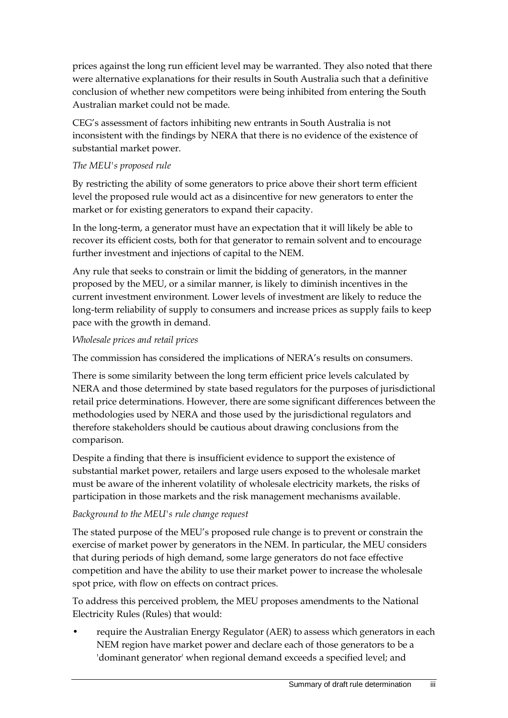prices against the long run efficient level may be warranted. They also noted that there were alternative explanations for their results in South Australia such that a definitive conclusion of whether new competitors were being inhibited from entering the South Australian market could not be made.

CEG's assessment of factors inhibiting new entrants in South Australia is not inconsistent with the findings by NERA that there is no evidence of the existence of substantial market power.

#### *The MEU's proposed rule*

By restricting the ability of some generators to price above their short term efficient level the proposed rule would act as a disincentive for new generators to enter the market or for existing generators to expand their capacity.

In the long-term, a generator must have an expectation that it will likely be able to recover its efficient costs, both for that generator to remain solvent and to encourage further investment and injections of capital to the NEM.

Any rule that seeks to constrain or limit the bidding of generators, in the manner proposed by the MEU, or a similar manner, is likely to diminish incentives in the current investment environment. Lower levels of investment are likely to reduce the long-term reliability of supply to consumers and increase prices as supply fails to keep pace with the growth in demand.

#### *Wholesale prices and retail prices*

The commission has considered the implications of NERA's results on consumers.

There is some similarity between the long term efficient price levels calculated by NERA and those determined by state based regulators for the purposes of jurisdictional retail price determinations. However, there are some significant differences between the methodologies used by NERA and those used by the jurisdictional regulators and therefore stakeholders should be cautious about drawing conclusions from the comparison.

Despite a finding that there is insufficient evidence to support the existence of substantial market power, retailers and large users exposed to the wholesale market must be aware of the inherent volatility of wholesale electricity markets, the risks of participation in those markets and the risk management mechanisms available.

#### *Background to the MEU's rule change request*

The stated purpose of the MEU's proposed rule change is to prevent or constrain the exercise of market power by generators in the NEM. In particular, the MEU considers that during periods of high demand, some large generators do not face effective competition and have the ability to use their market power to increase the wholesale spot price, with flow on effects on contract prices.

To address this perceived problem, the MEU proposes amendments to the National Electricity Rules (Rules) that would:

• require the Australian Energy Regulator (AER) to assess which generators in each NEM region have market power and declare each of those generators to be a 'dominant generator' when regional demand exceeds a specified level; and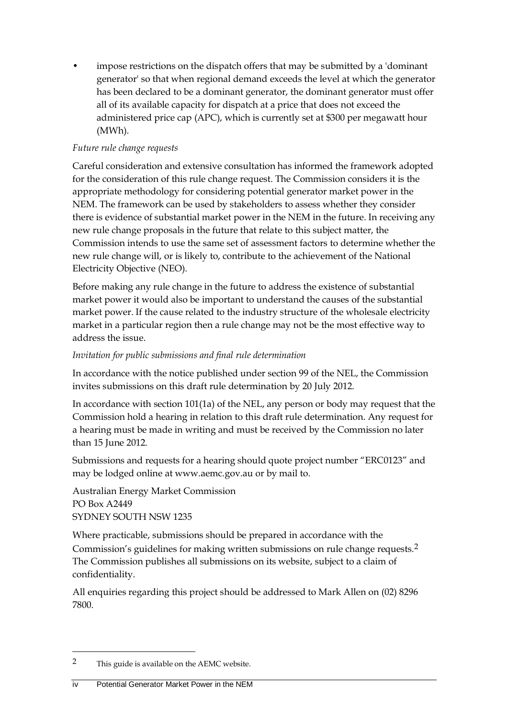• impose restrictions on the dispatch offers that may be submitted by a 'dominant generator' so that when regional demand exceeds the level at which the generator has been declared to be a dominant generator, the dominant generator must offer all of its available capacity for dispatch at a price that does not exceed the administered price cap (APC), which is currently set at \$300 per megawatt hour (MWh).

#### *Future rule change requests*

Careful consideration and extensive consultation has informed the framework adopted for the consideration of this rule change request. The Commission considers it is the appropriate methodology for considering potential generator market power in the NEM. The framework can be used by stakeholders to assess whether they consider there is evidence of substantial market power in the NEM in the future. In receiving any new rule change proposals in the future that relate to this subject matter, the Commission intends to use the same set of assessment factors to determine whether the new rule change will, or is likely to, contribute to the achievement of the National Electricity Objective (NEO).

Before making any rule change in the future to address the existence of substantial market power it would also be important to understand the causes of the substantial market power. If the cause related to the industry structure of the wholesale electricity market in a particular region then a rule change may not be the most effective way to address the issue.

#### *Invitation for public submissions and final rule determination*

In accordance with the notice published under section 99 of the NEL, the Commission invites submissions on this draft rule determination by 20 July 2012.

In accordance with section 101(1a) of the NEL, any person or body may request that the Commission hold a hearing in relation to this draft rule determination. Any request for a hearing must be made in writing and must be received by the Commission no later than 15 June 2012.

Submissions and requests for a hearing should quote project number "ERC0123" and may be lodged online at www.aemc.gov.au or by mail to.

Australian Energy Market Commission PO Box A2449 SYDNEY SOUTH NSW 1235

Where practicable, submissions should be prepared in accordance with the Commission's guidelines for making written submissions on rule change requests.2 The Commission publishes all submissions on its website, subject to a claim of confidentiality.

All enquiries regarding this project should be addressed to Mark Allen on (02) 8296 7800.

<sup>2</sup> This guide is available on the AEMC website.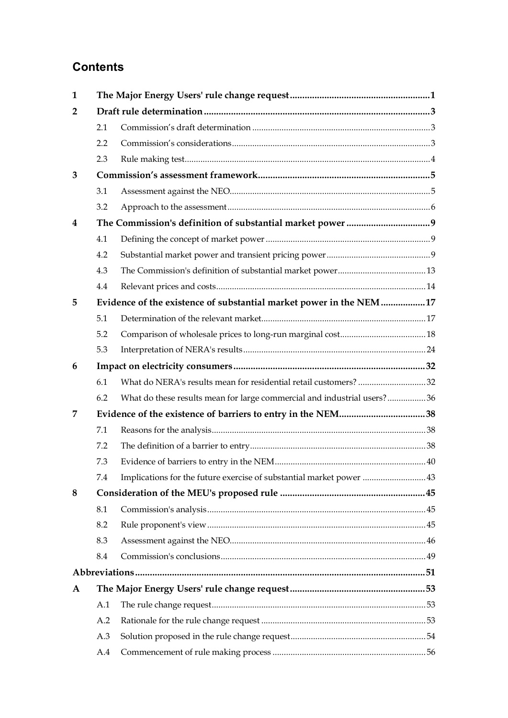## **Contents**

| 1              |     |                                                                         |  |  |  |  |
|----------------|-----|-------------------------------------------------------------------------|--|--|--|--|
| $\overline{2}$ |     |                                                                         |  |  |  |  |
|                | 2.1 |                                                                         |  |  |  |  |
|                | 2.2 |                                                                         |  |  |  |  |
|                | 2.3 |                                                                         |  |  |  |  |
| 3              |     |                                                                         |  |  |  |  |
|                | 3.1 |                                                                         |  |  |  |  |
|                | 3.2 |                                                                         |  |  |  |  |
| 4              |     |                                                                         |  |  |  |  |
|                | 4.1 |                                                                         |  |  |  |  |
|                | 4.2 |                                                                         |  |  |  |  |
|                | 4.3 |                                                                         |  |  |  |  |
|                | 4.4 |                                                                         |  |  |  |  |
| 5              |     | Evidence of the existence of substantial market power in the NEM 17     |  |  |  |  |
|                | 5.1 |                                                                         |  |  |  |  |
|                | 5.2 |                                                                         |  |  |  |  |
|                | 5.3 |                                                                         |  |  |  |  |
| 6              |     |                                                                         |  |  |  |  |
|                | 6.1 | What do NERA's results mean for residential retail customers? 32        |  |  |  |  |
|                | 6.2 | What do these results mean for large commercial and industrial users?36 |  |  |  |  |
| 7              |     |                                                                         |  |  |  |  |
|                | 7.1 |                                                                         |  |  |  |  |
|                | 7.2 |                                                                         |  |  |  |  |
|                | 7.3 |                                                                         |  |  |  |  |
|                | 7.4 | Implications for the future exercise of substantial market power 43     |  |  |  |  |
| 8              |     |                                                                         |  |  |  |  |
|                | 8.1 |                                                                         |  |  |  |  |
|                | 8.2 |                                                                         |  |  |  |  |
|                | 8.3 |                                                                         |  |  |  |  |
|                | 8.4 |                                                                         |  |  |  |  |
|                |     |                                                                         |  |  |  |  |
| A              |     |                                                                         |  |  |  |  |
|                | A.1 |                                                                         |  |  |  |  |
|                | A.2 |                                                                         |  |  |  |  |
|                | A.3 |                                                                         |  |  |  |  |
|                | A.4 |                                                                         |  |  |  |  |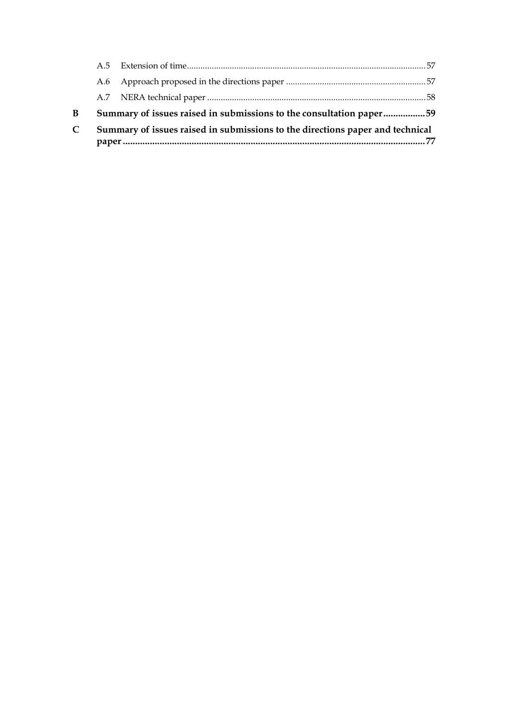| $\mathsf{C}$ | Summary of issues raised in submissions to the directions paper and technical |  |
|--------------|-------------------------------------------------------------------------------|--|
| В            | Summary of issues raised in submissions to the consultation paper59           |  |
|              |                                                                               |  |
|              |                                                                               |  |
|              |                                                                               |  |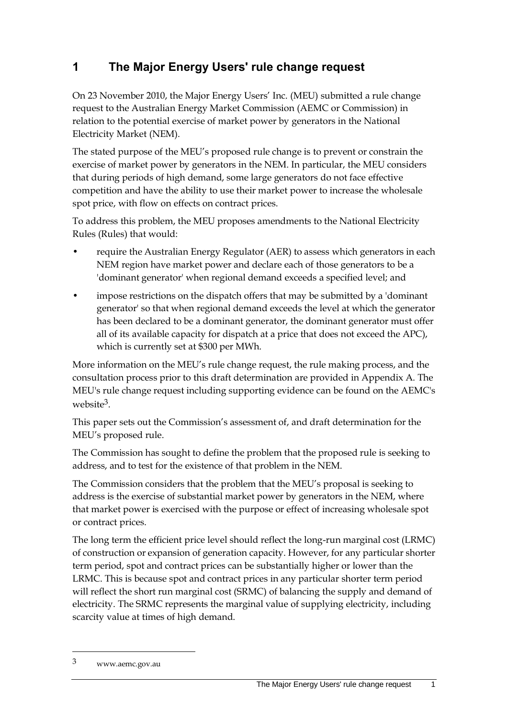## <span id="page-8-0"></span>**1 The Major Energy Users' rule change request**

On 23 November 2010, the Major Energy Users' Inc. (MEU) submitted a rule change request to the Australian Energy Market Commission (AEMC or Commission) in relation to the potential exercise of market power by generators in the National Electricity Market (NEM).

The stated purpose of the MEU's proposed rule change is to prevent or constrain the exercise of market power by generators in the NEM. In particular, the MEU considers that during periods of high demand, some large generators do not face effective competition and have the ability to use their market power to increase the wholesale spot price, with flow on effects on contract prices.

To address this problem, the MEU proposes amendments to the National Electricity Rules (Rules) that would:

- require the Australian Energy Regulator (AER) to assess which generators in each NEM region have market power and declare each of those generators to be a 'dominant generator' when regional demand exceeds a specified level; and
- impose restrictions on the dispatch offers that may be submitted by a 'dominant generator' so that when regional demand exceeds the level at which the generator has been declared to be a dominant generator, the dominant generator must offer all of its available capacity for dispatch at a price that does not exceed the APC), which is currently set at \$300 per MWh.

More information on the MEU's rule change request, the rule making process, and the consultation process prior to this draft determination are provided in Appendix A. The MEU's rule change request including supporting evidence can be found on the AEMC's website3.

This paper sets out the Commission's assessment of, and draft determination for the MEU's proposed rule.

The Commission has sought to define the problem that the proposed rule is seeking to address, and to test for the existence of that problem in the NEM.

The Commission considers that the problem that the MEU's proposal is seeking to address is the exercise of substantial market power by generators in the NEM, where that market power is exercised with the purpose or effect of increasing wholesale spot or contract prices.

The long term the efficient price level should reflect the long-run marginal cost (LRMC) of construction or expansion of generation capacity. However, for any particular shorter term period, spot and contract prices can be substantially higher or lower than the LRMC. This is because spot and contract prices in any particular shorter term period will reflect the short run marginal cost (SRMC) of balancing the supply and demand of electricity. The SRMC represents the marginal value of supplying electricity, including scarcity value at times of high demand.

<sup>3</sup> www.aemc.gov.au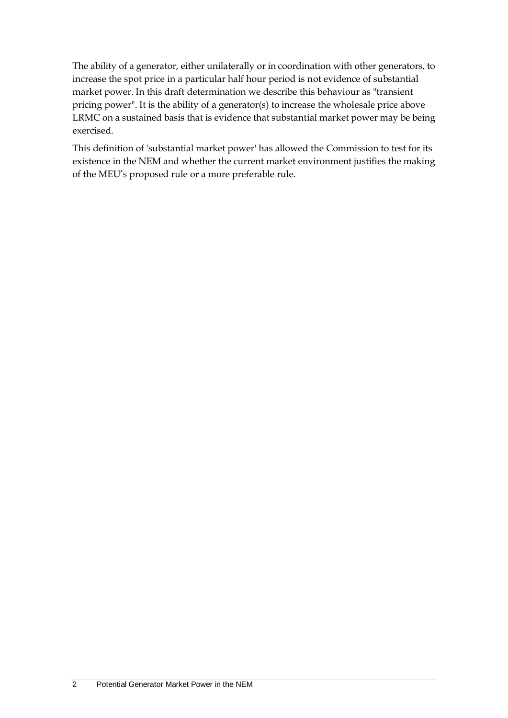The ability of a generator, either unilaterally or in coordination with other generators, to increase the spot price in a particular half hour period is not evidence of substantial market power. In this draft determination we describe this behaviour as "transient pricing power". It is the ability of a generator(s) to increase the wholesale price above LRMC on a sustained basis that is evidence that substantial market power may be being exercised.

This definition of 'substantial market power' has allowed the Commission to test for its existence in the NEM and whether the current market environment justifies the making of the MEU's proposed rule or a more preferable rule.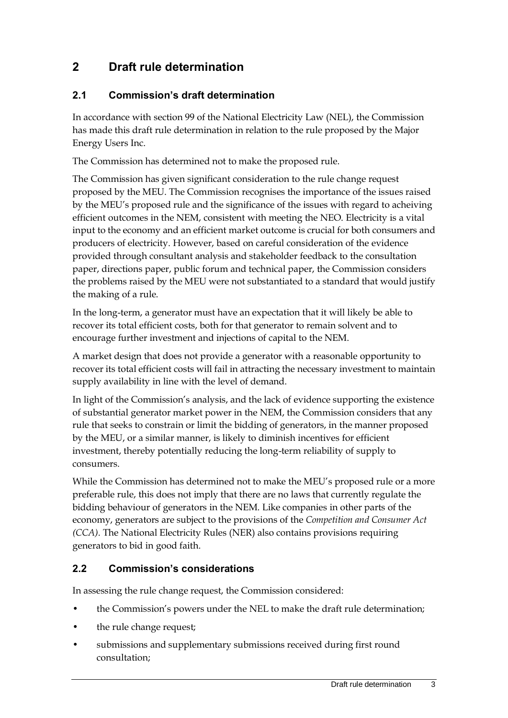## <span id="page-10-0"></span>**2 Draft rule determination**

#### <span id="page-10-1"></span>**2.1 Commission's draft determination**

In accordance with section 99 of the National Electricity Law (NEL), the Commission has made this draft rule determination in relation to the rule proposed by the Major Energy Users Inc.

The Commission has determined not to make the proposed rule.

The Commission has given significant consideration to the rule change request proposed by the MEU. The Commission recognises the importance of the issues raised by the MEU's proposed rule and the significance of the issues with regard to acheiving efficient outcomes in the NEM, consistent with meeting the NEO. Electricity is a vital input to the economy and an efficient market outcome is crucial for both consumers and producers of electricity. However, based on careful consideration of the evidence provided through consultant analysis and stakeholder feedback to the consultation paper, directions paper, public forum and technical paper, the Commission considers the problems raised by the MEU were not substantiated to a standard that would justify the making of a rule.

In the long-term, a generator must have an expectation that it will likely be able to recover its total efficient costs, both for that generator to remain solvent and to encourage further investment and injections of capital to the NEM.

A market design that does not provide a generator with a reasonable opportunity to recover its total efficient costs will fail in attracting the necessary investment to maintain supply availability in line with the level of demand.

In light of the Commission's analysis, and the lack of evidence supporting the existence of substantial generator market power in the NEM, the Commission considers that any rule that seeks to constrain or limit the bidding of generators, in the manner proposed by the MEU, or a similar manner, is likely to diminish incentives for efficient investment, thereby potentially reducing the long-term reliability of supply to consumers.

While the Commission has determined not to make the MEU's proposed rule or a more preferable rule, this does not imply that there are no laws that currently regulate the bidding behaviour of generators in the NEM. Like companies in other parts of the economy, generators are subject to the provisions of the *Competition and Consumer Act (CCA)*. The National Electricity Rules (NER) also contains provisions requiring generators to bid in good faith.

#### <span id="page-10-2"></span>**2.2 Commission's considerations**

In assessing the rule change request, the Commission considered:

- the Commission's powers under the NEL to make the draft rule determination;
- the rule change request;
- submissions and supplementary submissions received during first round consultation;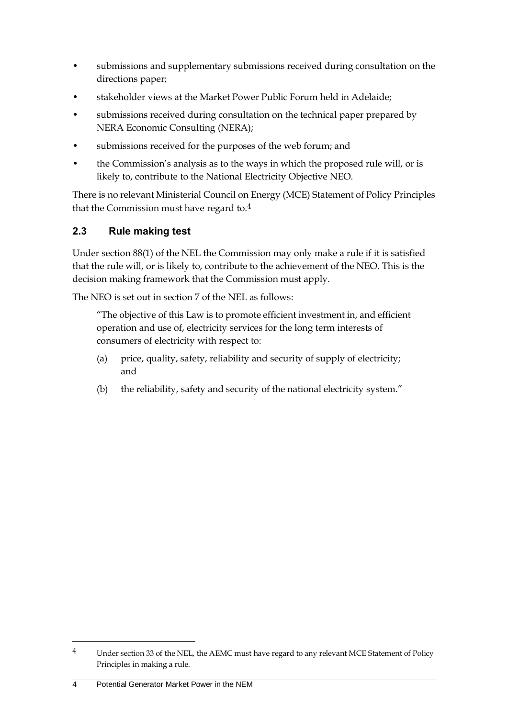- submissions and supplementary submissions received during consultation on the directions paper;
- stakeholder views at the Market Power Public Forum held in Adelaide;
- submissions received during consultation on the technical paper prepared by NERA Economic Consulting (NERA);
- submissions received for the purposes of the web forum; and
- the Commission's analysis as to the ways in which the proposed rule will, or is likely to, contribute to the National Electricity Objective NEO.

There is no relevant Ministerial Council on Energy (MCE) Statement of Policy Principles that the Commission must have regard to.4

### <span id="page-11-0"></span>**2.3 Rule making test**

Under section 88(1) of the NEL the Commission may only make a rule if it is satisfied that the rule will, or is likely to, contribute to the achievement of the NEO. This is the decision making framework that the Commission must apply.

The NEO is set out in section 7 of the NEL as follows:

"The objective of this Law is to promote efficient investment in, and efficient operation and use of, electricity services for the long term interests of consumers of electricity with respect to:

- (a) price, quality, safety, reliability and security of supply of electricity; and
- (b) the reliability, safety and security of the national electricity system."

<sup>4</sup> Under section 33 of the NEL, the AEMC must have regard to any relevant MCE Statement of Policy Principles in making a rule.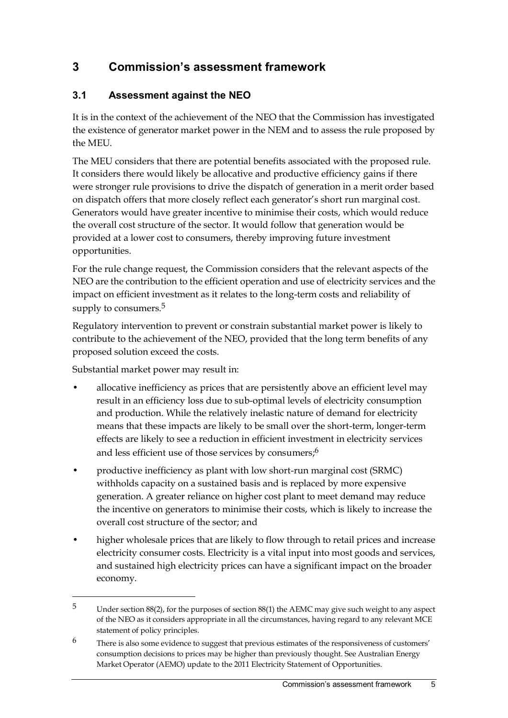## <span id="page-12-0"></span>**3 Commission's assessment framework**

#### <span id="page-12-1"></span>**3.1 Assessment against the NEO**

It is in the context of the achievement of the NEO that the Commission has investigated the existence of generator market power in the NEM and to assess the rule proposed by the MEU.

The MEU considers that there are potential benefits associated with the proposed rule. It considers there would likely be allocative and productive efficiency gains if there were stronger rule provisions to drive the dispatch of generation in a merit order based on dispatch offers that more closely reflect each generator's short run marginal cost. Generators would have greater incentive to minimise their costs, which would reduce the overall cost structure of the sector. It would follow that generation would be provided at a lower cost to consumers, thereby improving future investment opportunities.

For the rule change request, the Commission considers that the relevant aspects of the NEO are the contribution to the efficient operation and use of electricity services and the impact on efficient investment as it relates to the long-term costs and reliability of supply to consumers.<sup>5</sup>

Regulatory intervention to prevent or constrain substantial market power is likely to contribute to the achievement of the NEO, provided that the long term benefits of any proposed solution exceed the costs.

Substantial market power may result in:

- allocative inefficiency as prices that are persistently above an efficient level may result in an efficiency loss due to sub-optimal levels of electricity consumption and production. While the relatively inelastic nature of demand for electricity means that these impacts are likely to be small over the short-term, longer-term effects are likely to see a reduction in efficient investment in electricity services and less efficient use of those services by consumers;<sup>6</sup>
- productive inefficiency as plant with low short-run marginal cost (SRMC) withholds capacity on a sustained basis and is replaced by more expensive generation. A greater reliance on higher cost plant to meet demand may reduce the incentive on generators to minimise their costs, which is likely to increase the overall cost structure of the sector; and
- higher wholesale prices that are likely to flow through to retail prices and increase electricity consumer costs. Electricity is a vital input into most goods and services, and sustained high electricity prices can have a significant impact on the broader economy.

<sup>5</sup> Under section 88(2), for the purposes of section 88(1) the AEMC may give such weight to any aspect of the NEO as it considers appropriate in all the circumstances, having regard to any relevant MCE statement of policy principles.

<sup>6</sup> There is also some evidence to suggest that previous estimates of the responsiveness of customers' consumption decisions to prices may be higher than previously thought. See Australian Energy Market Operator (AEMO) update to the 2011 Electricity Statement of Opportunities.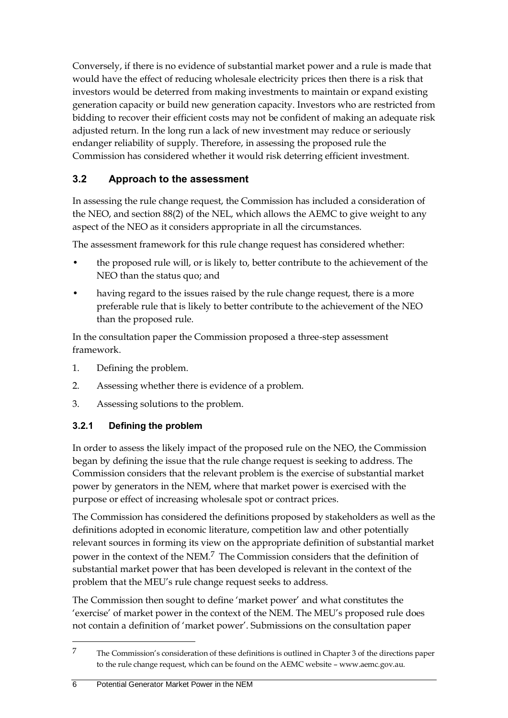Conversely, if there is no evidence of substantial market power and a rule is made that would have the effect of reducing wholesale electricity prices then there is a risk that investors would be deterred from making investments to maintain or expand existing generation capacity or build new generation capacity. Investors who are restricted from bidding to recover their efficient costs may not be confident of making an adequate risk adjusted return. In the long run a lack of new investment may reduce or seriously endanger reliability of supply. Therefore, in assessing the proposed rule the Commission has considered whether it would risk deterring efficient investment.

## <span id="page-13-0"></span>**3.2 Approach to the assessment**

In assessing the rule change request, the Commission has included a consideration of the NEO, and section 88(2) of the NEL, which allows the AEMC to give weight to any aspect of the NEO as it considers appropriate in all the circumstances.

The assessment framework for this rule change request has considered whether:

- the proposed rule will, or is likely to, better contribute to the achievement of the NEO than the status quo; and
- having regard to the issues raised by the rule change request, there is a more preferable rule that is likely to better contribute to the achievement of the NEO than the proposed rule.

In the consultation paper the Commission proposed a three-step assessment framework.

- 1. Defining the problem.
- 2. Assessing whether there is evidence of a problem.
- 3. Assessing solutions to the problem.

#### **3.2.1 Defining the problem**

In order to assess the likely impact of the proposed rule on the NEO, the Commission began by defining the issue that the rule change request is seeking to address. The Commission considers that the relevant problem is the exercise of substantial market power by generators in the NEM, where that market power is exercised with the purpose or effect of increasing wholesale spot or contract prices.

The Commission has considered the definitions proposed by stakeholders as well as the definitions adopted in economic literature, competition law and other potentially relevant sources in forming its view on the appropriate definition of substantial market power in the context of the NEM.7 The Commission considers that the definition of substantial market power that has been developed is relevant in the context of the problem that the MEU's rule change request seeks to address.

The Commission then sought to define 'market power' and what constitutes the 'exercise' of market power in the context of the NEM. The MEU's proposed rule does not contain a definition of 'market power'. Submissions on the consultation paper

<sup>7</sup> The Commission's consideration of these definitions is outlined in Chapter 3 of the directions paper to the rule change request, which can be found on the AEMC website – www.aemc.gov.au.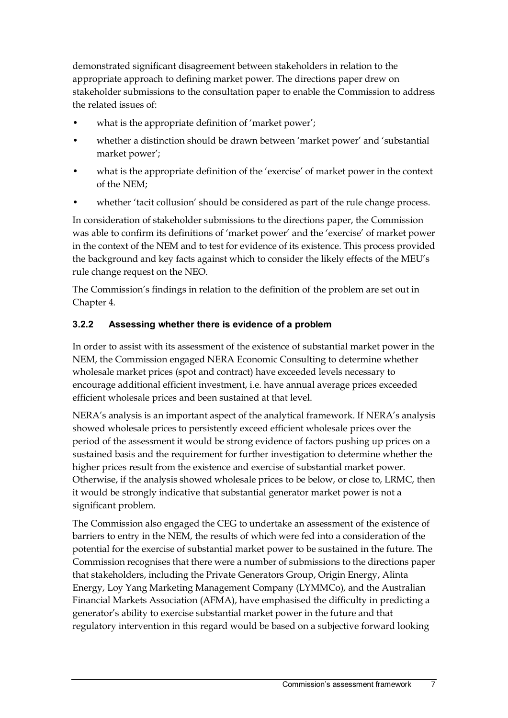demonstrated significant disagreement between stakeholders in relation to the appropriate approach to defining market power. The directions paper drew on stakeholder submissions to the consultation paper to enable the Commission to address the related issues of:

- what is the appropriate definition of 'market power';
- whether a distinction should be drawn between 'market power' and 'substantial market power';
- what is the appropriate definition of the 'exercise' of market power in the context of the NEM;
- whether 'tacit collusion' should be considered as part of the rule change process.

In consideration of stakeholder submissions to the directions paper, the Commission was able to confirm its definitions of 'market power' and the 'exercise' of market power in the context of the NEM and to test for evidence of its existence. This process provided the background and key facts against which to consider the likely effects of the MEU's rule change request on the NEO.

The Commission's findings in relation to the definition of the problem are set out in Chapter 4.

#### **3.2.2 Assessing whether there is evidence of a problem**

In order to assist with its assessment of the existence of substantial market power in the NEM, the Commission engaged NERA Economic Consulting to determine whether wholesale market prices (spot and contract) have exceeded levels necessary to encourage additional efficient investment, i.e. have annual average prices exceeded efficient wholesale prices and been sustained at that level.

NERA's analysis is an important aspect of the analytical framework. If NERA's analysis showed wholesale prices to persistently exceed efficient wholesale prices over the period of the assessment it would be strong evidence of factors pushing up prices on a sustained basis and the requirement for further investigation to determine whether the higher prices result from the existence and exercise of substantial market power. Otherwise, if the analysis showed wholesale prices to be below, or close to, LRMC, then it would be strongly indicative that substantial generator market power is not a significant problem.

The Commission also engaged the CEG to undertake an assessment of the existence of barriers to entry in the NEM, the results of which were fed into a consideration of the potential for the exercise of substantial market power to be sustained in the future. The Commission recognises that there were a number of submissions to the directions paper that stakeholders, including the Private Generators Group, Origin Energy, Alinta Energy, Loy Yang Marketing Management Company (LYMMCo), and the Australian Financial Markets Association (AFMA), have emphasised the difficulty in predicting a generator's ability to exercise substantial market power in the future and that regulatory intervention in this regard would be based on a subjective forward looking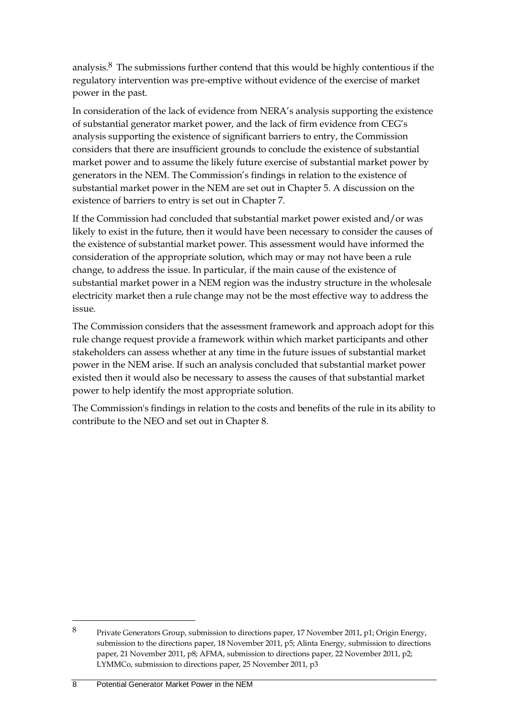analysis.8 The submissions further contend that this would be highly contentious if the regulatory intervention was pre-emptive without evidence of the exercise of market power in the past.

In consideration of the lack of evidence from NERA's analysis supporting the existence of substantial generator market power, and the lack of firm evidence from CEG's analysis supporting the existence of significant barriers to entry, the Commission considers that there are insufficient grounds to conclude the existence of substantial market power and to assume the likely future exercise of substantial market power by generators in the NEM. The Commission's findings in relation to the existence of substantial market power in the NEM are set out in Chapter 5. A discussion on the existence of barriers to entry is set out in Chapter 7.

If the Commission had concluded that substantial market power existed and/or was likely to exist in the future, then it would have been necessary to consider the causes of the existence of substantial market power. This assessment would have informed the consideration of the appropriate solution, which may or may not have been a rule change, to address the issue. In particular, if the main cause of the existence of substantial market power in a NEM region was the industry structure in the wholesale electricity market then a rule change may not be the most effective way to address the issue.

The Commission considers that the assessment framework and approach adopt for this rule change request provide a framework within which market participants and other stakeholders can assess whether at any time in the future issues of substantial market power in the NEM arise. If such an analysis concluded that substantial market power existed then it would also be necessary to assess the causes of that substantial market power to help identify the most appropriate solution.

The Commission's findings in relation to the costs and benefits of the rule in its ability to contribute to the NEO and set out in Chapter 8.

#### 8 Potential Generator Market Power in the NEM

<sup>8</sup> Private Generators Group, submission to directions paper, 17 November 2011, p1; Origin Energy, submission to the directions paper, 18 November 2011, p5; Alinta Energy, submission to directions paper, 21 November 2011, p8; AFMA, submission to directions paper, 22 November 2011, p2; LYMMCo, submission to directions paper, 25 November 2011, p3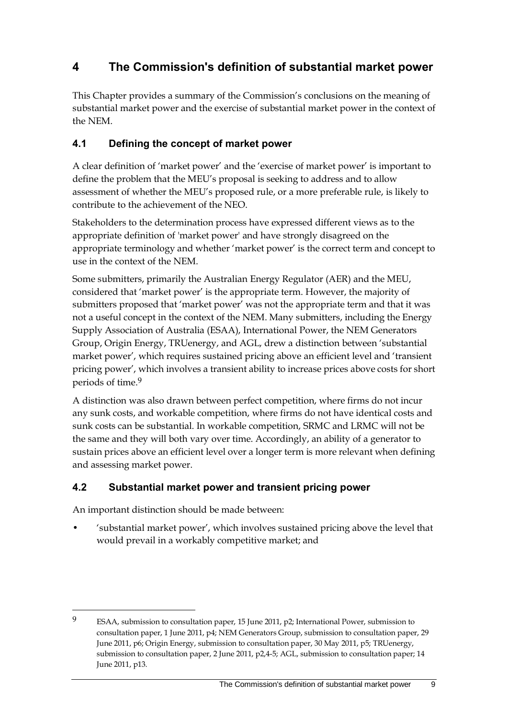## <span id="page-16-0"></span>**4 The Commission's definition of substantial market power**

This Chapter provides a summary of the Commission's conclusions on the meaning of substantial market power and the exercise of substantial market power in the context of the NEM.

## <span id="page-16-1"></span>**4.1 Defining the concept of market power**

A clear definition of 'market power' and the 'exercise of market power' is important to define the problem that the MEU's proposal is seeking to address and to allow assessment of whether the MEU's proposed rule, or a more preferable rule, is likely to contribute to the achievement of the NEO.

Stakeholders to the determination process have expressed different views as to the appropriate definition of 'market power' and have strongly disagreed on the appropriate terminology and whether 'market power' is the correct term and concept to use in the context of the NEM.

Some submitters, primarily the Australian Energy Regulator (AER) and the MEU, considered that 'market power' is the appropriate term. However, the majority of submitters proposed that 'market power' was not the appropriate term and that it was not a useful concept in the context of the NEM. Many submitters, including the Energy Supply Association of Australia (ESAA), International Power, the NEM Generators Group, Origin Energy, TRUenergy, and AGL, drew a distinction between 'substantial market power', which requires sustained pricing above an efficient level and 'transient pricing power', which involves a transient ability to increase prices above costs for short periods of time.9

A distinction was also drawn between perfect competition, where firms do not incur any sunk costs, and workable competition, where firms do not have identical costs and sunk costs can be substantial. In workable competition, SRMC and LRMC will not be the same and they will both vary over time. Accordingly, an ability of a generator to sustain prices above an efficient level over a longer term is more relevant when defining and assessing market power.

## <span id="page-16-2"></span>**4.2 Substantial market power and transient pricing power**

An important distinction should be made between:

 $\overline{a}$ 

• 'substantial market power', which involves sustained pricing above the level that would prevail in a workably competitive market; and

<sup>9</sup> ESAA, submission to consultation paper, 15 June 2011, p2; International Power, submission to consultation paper, 1 June 2011, p4; NEM Generators Group, submission to consultation paper, 29 June 2011, p6; Origin Energy, submission to consultation paper, 30 May 2011, p5; TRUenergy, submission to consultation paper, 2 June 2011, p2,4-5; AGL, submission to consultation paper; 14 June 2011, p13.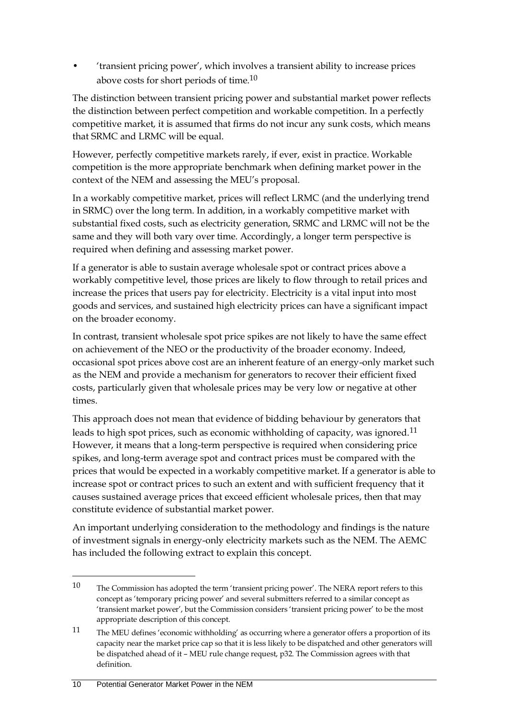• 'transient pricing power', which involves a transient ability to increase prices above costs for short periods of time.10

The distinction between transient pricing power and substantial market power reflects the distinction between perfect competition and workable competition. In a perfectly competitive market, it is assumed that firms do not incur any sunk costs, which means that SRMC and LRMC will be equal.

However, perfectly competitive markets rarely, if ever, exist in practice. Workable competition is the more appropriate benchmark when defining market power in the context of the NEM and assessing the MEU's proposal.

In a workably competitive market, prices will reflect LRMC (and the underlying trend in SRMC) over the long term. In addition, in a workably competitive market with substantial fixed costs, such as electricity generation, SRMC and LRMC will not be the same and they will both vary over time. Accordingly, a longer term perspective is required when defining and assessing market power.

If a generator is able to sustain average wholesale spot or contract prices above a workably competitive level, those prices are likely to flow through to retail prices and increase the prices that users pay for electricity. Electricity is a vital input into most goods and services, and sustained high electricity prices can have a significant impact on the broader economy.

In contrast, transient wholesale spot price spikes are not likely to have the same effect on achievement of the NEO or the productivity of the broader economy. Indeed, occasional spot prices above cost are an inherent feature of an energy-only market such as the NEM and provide a mechanism for generators to recover their efficient fixed costs, particularly given that wholesale prices may be very low or negative at other times.

This approach does not mean that evidence of bidding behaviour by generators that leads to high spot prices, such as economic withholding of capacity, was ignored.<sup>11</sup> However, it means that a long-term perspective is required when considering price spikes, and long-term average spot and contract prices must be compared with the prices that would be expected in a workably competitive market. If a generator is able to increase spot or contract prices to such an extent and with sufficient frequency that it causes sustained average prices that exceed efficient wholesale prices, then that may constitute evidence of substantial market power.

An important underlying consideration to the methodology and findings is the nature of investment signals in energy-only electricity markets such as the NEM. The AEMC has included the following extract to explain this concept.

<sup>10</sup> The Commission has adopted the term 'transient pricing power'. The NERA report refers to this concept as 'temporary pricing power' and several submitters referred to a similar concept as 'transient market power', but the Commission considers 'transient pricing power' to be the most appropriate description of this concept.

<sup>11</sup> The MEU defines 'economic withholding' as occurring where a generator offers a proportion of its capacity near the market price cap so that it is less likely to be dispatched and other generators will be dispatched ahead of it – MEU rule change request, p32. The Commission agrees with that definition.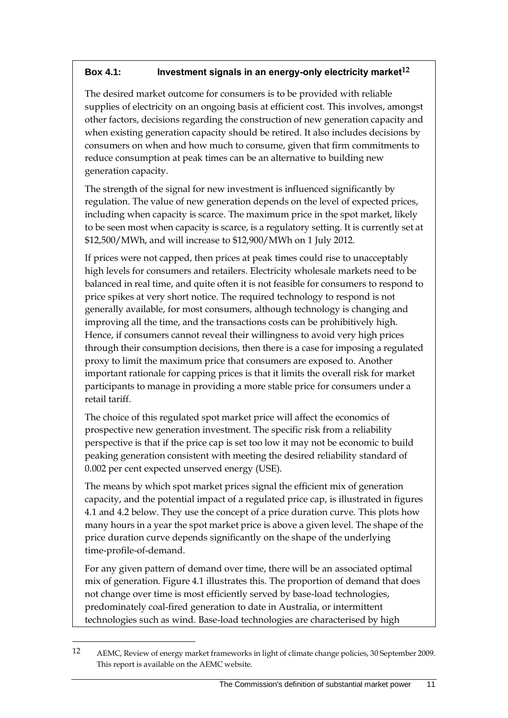#### **Box 4.1: Investment signals in an energy-only electricity market12**

The desired market outcome for consumers is to be provided with reliable supplies of electricity on an ongoing basis at efficient cost. This involves, amongst other factors, decisions regarding the construction of new generation capacity and when existing generation capacity should be retired. It also includes decisions by consumers on when and how much to consume, given that firm commitments to reduce consumption at peak times can be an alternative to building new generation capacity.

The strength of the signal for new investment is influenced significantly by regulation. The value of new generation depends on the level of expected prices, including when capacity is scarce. The maximum price in the spot market, likely to be seen most when capacity is scarce, is a regulatory setting. It is currently set at \$12,500/MWh, and will increase to \$12,900/MWh on 1 July 2012.

If prices were not capped, then prices at peak times could rise to unacceptably high levels for consumers and retailers. Electricity wholesale markets need to be balanced in real time, and quite often it is not feasible for consumers to respond to price spikes at very short notice. The required technology to respond is not generally available, for most consumers, although technology is changing and improving all the time, and the transactions costs can be prohibitively high. Hence, if consumers cannot reveal their willingness to avoid very high prices through their consumption decisions, then there is a case for imposing a regulated proxy to limit the maximum price that consumers are exposed to. Another important rationale for capping prices is that it limits the overall risk for market participants to manage in providing a more stable price for consumers under a retail tariff.

The choice of this regulated spot market price will affect the economics of prospective new generation investment. The specific risk from a reliability perspective is that if the price cap is set too low it may not be economic to build peaking generation consistent with meeting the desired reliability standard of 0.002 per cent expected unserved energy (USE).

The means by which spot market prices signal the efficient mix of generation capacity, and the potential impact of a regulated price cap, is illustrated in figures 4.1 and 4.2 below. They use the concept of a price duration curve. This plots how many hours in a year the spot market price is above a given level. The shape of the price duration curve depends significantly on the shape of the underlying time-profile-of-demand.

For any given pattern of demand over time, there will be an associated optimal mix of generation. Figure 4.1 illustrates this. The proportion of demand that does not change over time is most efficiently served by base-load technologies, predominately coal-fired generation to date in Australia, or intermittent technologies such as wind. Base-load technologies are characterised by high

<sup>12</sup> AEMC, Review of energy market frameworks in light of climate change policies, 30 September 2009. This report is available on the AEMC website.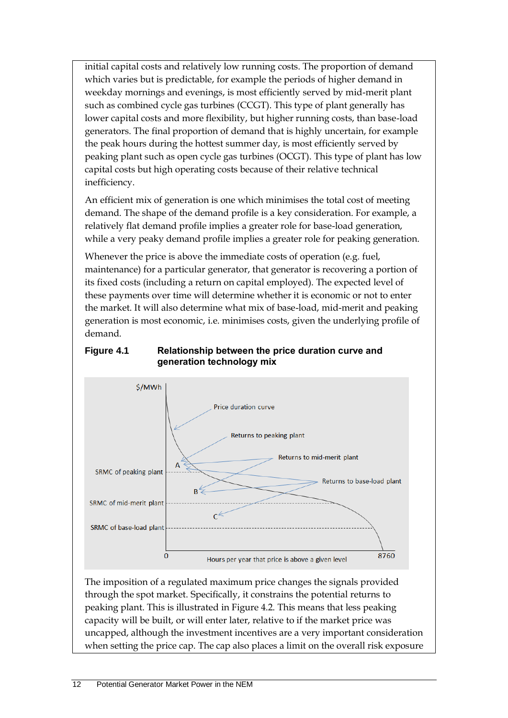initial capital costs and relatively low running costs. The proportion of demand which varies but is predictable, for example the periods of higher demand in weekday mornings and evenings, is most efficiently served by mid-merit plant such as combined cycle gas turbines (CCGT). This type of plant generally has lower capital costs and more flexibility, but higher running costs, than base-load generators. The final proportion of demand that is highly uncertain, for example the peak hours during the hottest summer day, is most efficiently served by peaking plant such as open cycle gas turbines (OCGT). This type of plant has low capital costs but high operating costs because of their relative technical inefficiency.

An efficient mix of generation is one which minimises the total cost of meeting demand. The shape of the demand profile is a key consideration. For example, a relatively flat demand profile implies a greater role for base-load generation, while a very peaky demand profile implies a greater role for peaking generation.

Whenever the price is above the immediate costs of operation (e.g. fuel, maintenance) for a particular generator, that generator is recovering a portion of its fixed costs (including a return on capital employed). The expected level of these payments over time will determine whether it is economic or not to enter the market. It will also determine what mix of base-load, mid-merit and peaking generation is most economic, i.e. minimises costs, given the underlying profile of demand.





The imposition of a regulated maximum price changes the signals provided through the spot market. Specifically, it constrains the potential returns to peaking plant. This is illustrated in Figure 4.2. This means that less peaking capacity will be built, or will enter later, relative to if the market price was uncapped, although the investment incentives are a very important consideration when setting the price cap. The cap also places a limit on the overall risk exposure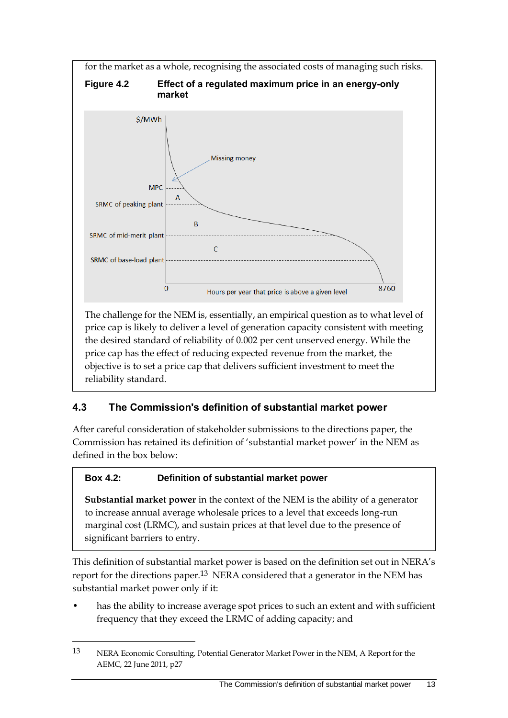

price cap is likely to deliver a level of generation capacity consistent with meeting the desired standard of reliability of 0.002 per cent unserved energy. While the price cap has the effect of reducing expected revenue from the market, the objective is to set a price cap that delivers sufficient investment to meet the reliability standard.

## <span id="page-20-0"></span>**4.3 The Commission's definition of substantial market power**

After careful consideration of stakeholder submissions to the directions paper, the Commission has retained its definition of 'substantial market power' in the NEM as defined in the box below:

#### **Box 4.2: Definition of substantial market power**

 $\overline{a}$ 

**Substantial market power** in the context of the NEM is the ability of a generator to increase annual average wholesale prices to a level that exceeds long-run marginal cost (LRMC), and sustain prices at that level due to the presence of significant barriers to entry.

This definition of substantial market power is based on the definition set out in NERA's report for the directions paper.13 NERA considered that a generator in the NEM has substantial market power only if it:

has the ability to increase average spot prices to such an extent and with sufficient frequency that they exceed the LRMC of adding capacity; and

<sup>13</sup> NERA Economic Consulting, Potential Generator Market Power in the NEM, A Report for the AEMC, 22 June 2011, p27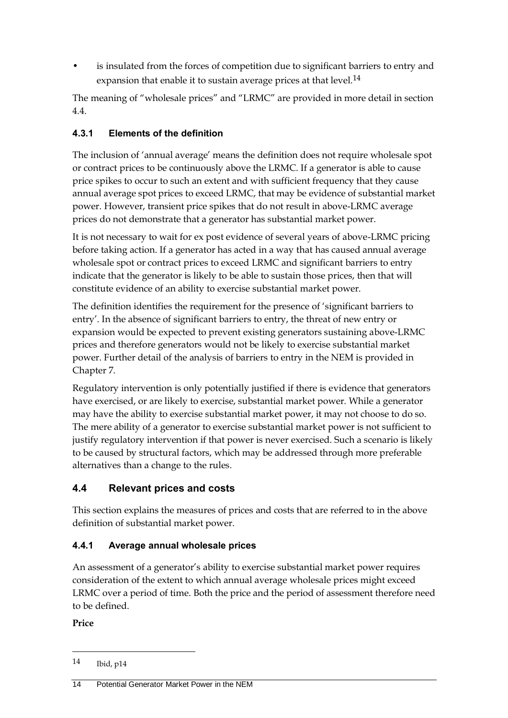is insulated from the forces of competition due to significant barriers to entry and expansion that enable it to sustain average prices at that level.<sup>14</sup>

The meaning of "wholesale prices" and "LRMC" are provided in more detail in section 4.4.

### **4.3.1 Elements of the definition**

The inclusion of 'annual average' means the definition does not require wholesale spot or contract prices to be continuously above the LRMC. If a generator is able to cause price spikes to occur to such an extent and with sufficient frequency that they cause annual average spot prices to exceed LRMC, that may be evidence of substantial market power. However, transient price spikes that do not result in above-LRMC average prices do not demonstrate that a generator has substantial market power.

It is not necessary to wait for ex post evidence of several years of above-LRMC pricing before taking action. If a generator has acted in a way that has caused annual average wholesale spot or contract prices to exceed LRMC and significant barriers to entry indicate that the generator is likely to be able to sustain those prices, then that will constitute evidence of an ability to exercise substantial market power.

The definition identifies the requirement for the presence of 'significant barriers to entry'. In the absence of significant barriers to entry, the threat of new entry or expansion would be expected to prevent existing generators sustaining above-LRMC prices and therefore generators would not be likely to exercise substantial market power. Further detail of the analysis of barriers to entry in the NEM is provided in Chapter 7.

Regulatory intervention is only potentially justified if there is evidence that generators have exercised, or are likely to exercise, substantial market power. While a generator may have the ability to exercise substantial market power, it may not choose to do so. The mere ability of a generator to exercise substantial market power is not sufficient to justify regulatory intervention if that power is never exercised. Such a scenario is likely to be caused by structural factors, which may be addressed through more preferable alternatives than a change to the rules.

## <span id="page-21-0"></span>**4.4 Relevant prices and costs**

This section explains the measures of prices and costs that are referred to in the above definition of substantial market power.

#### **4.4.1 Average annual wholesale prices**

An assessment of a generator's ability to exercise substantial market power requires consideration of the extent to which annual average wholesale prices might exceed LRMC over a period of time. Both the price and the period of assessment therefore need to be defined.

**Price**

<sup>14</sup> Ibid, p14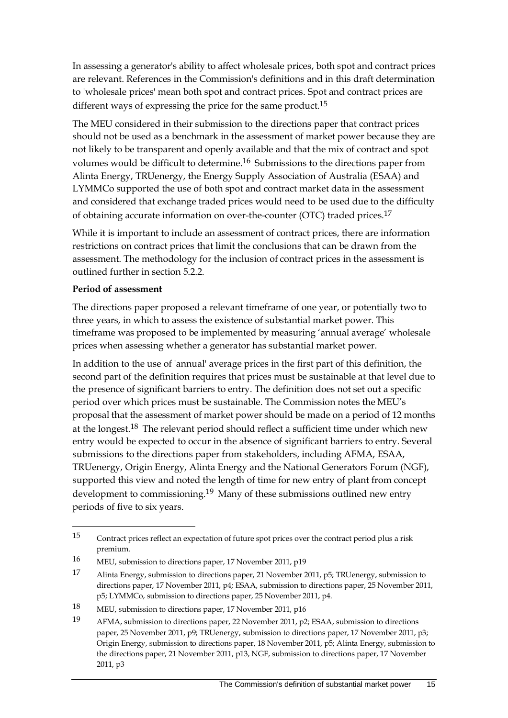In assessing a generator's ability to affect wholesale prices, both spot and contract prices are relevant. References in the Commission's definitions and in this draft determination to 'wholesale prices' mean both spot and contract prices. Spot and contract prices are different ways of expressing the price for the same product.<sup>15</sup>

The MEU considered in their submission to the directions paper that contract prices should not be used as a benchmark in the assessment of market power because they are not likely to be transparent and openly available and that the mix of contract and spot volumes would be difficult to determine.16 Submissions to the directions paper from Alinta Energy, TRUenergy, the Energy Supply Association of Australia (ESAA) and LYMMCo supported the use of both spot and contract market data in the assessment and considered that exchange traded prices would need to be used due to the difficulty of obtaining accurate information on over-the-counter (OTC) traded prices.17

While it is important to include an assessment of contract prices, there are information restrictions on contract prices that limit the conclusions that can be drawn from the assessment. The methodology for the inclusion of contract prices in the assessment is outlined further in section 5.2.2.

#### **Period of assessment**

 $\overline{a}$ 

The directions paper proposed a relevant timeframe of one year, or potentially two to three years, in which to assess the existence of substantial market power. This timeframe was proposed to be implemented by measuring 'annual average' wholesale prices when assessing whether a generator has substantial market power.

In addition to the use of 'annual' average prices in the first part of this definition, the second part of the definition requires that prices must be sustainable at that level due to the presence of significant barriers to entry. The definition does not set out a specific period over which prices must be sustainable. The Commission notes the MEU's proposal that the assessment of market power should be made on a period of 12 months at the longest.18 The relevant period should reflect a sufficient time under which new entry would be expected to occur in the absence of significant barriers to entry. Several submissions to the directions paper from stakeholders, including AFMA, ESAA, TRUenergy, Origin Energy, Alinta Energy and the National Generators Forum (NGF), supported this view and noted the length of time for new entry of plant from concept development to commissioning.19 Many of these submissions outlined new entry periods of five to six years.

<sup>15</sup> Contract prices reflect an expectation of future spot prices over the contract period plus a risk premium.

<sup>16</sup> MEU, submission to directions paper, 17 November 2011, p19

<sup>17</sup> Alinta Energy, submission to directions paper, 21 November 2011, p5; TRUenergy, submission to directions paper, 17 November 2011, p4; ESAA, submission to directions paper, 25 November 2011, p5; LYMMCo, submission to directions paper, 25 November 2011, p4.

<sup>18</sup> MEU, submission to directions paper, 17 November 2011, p16

<sup>19</sup> AFMA, submission to directions paper, 22 November 2011, p2; ESAA, submission to directions paper, 25 November 2011, p9; TRUenergy, submission to directions paper, 17 November 2011, p3; Origin Energy, submission to directions paper, 18 November 2011, p5; Alinta Energy, submission to the directions paper, 21 November 2011, p13, NGF, submission to directions paper, 17 November 2011, p3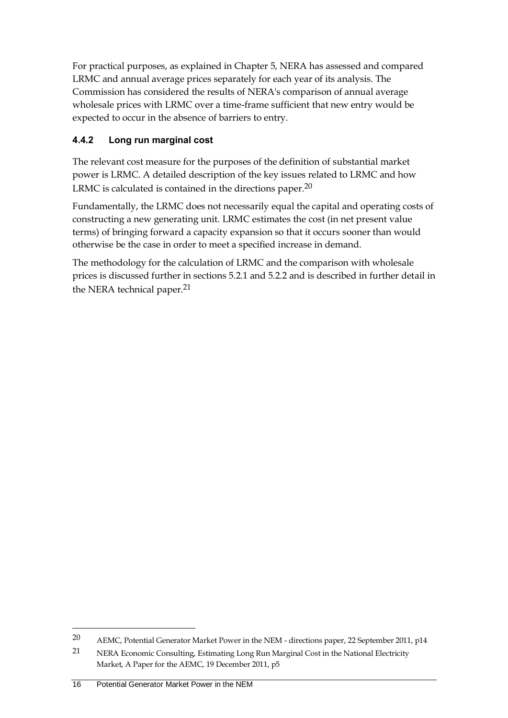For practical purposes, as explained in Chapter 5, NERA has assessed and compared LRMC and annual average prices separately for each year of its analysis. The Commission has considered the results of NERA's comparison of annual average wholesale prices with LRMC over a time-frame sufficient that new entry would be expected to occur in the absence of barriers to entry.

### **4.4.2 Long run marginal cost**

The relevant cost measure for the purposes of the definition of substantial market power is LRMC. A detailed description of the key issues related to LRMC and how LRMC is calculated is contained in the directions paper.<sup>20</sup>

Fundamentally, the LRMC does not necessarily equal the capital and operating costs of constructing a new generating unit. LRMC estimates the cost (in net present value terms) of bringing forward a capacity expansion so that it occurs sooner than would otherwise be the case in order to meet a specified increase in demand.

The methodology for the calculation of LRMC and the comparison with wholesale prices is discussed further in sections 5.2.1 and 5.2.2 and is described in further detail in the NERA technical paper.21

<sup>20</sup> AEMC, Potential Generator Market Power in the NEM - directions paper, 22 September 2011, p14

<sup>21</sup> NERA Economic Consulting, Estimating Long Run Marginal Cost in the National Electricity Market, A Paper for the AEMC, 19 December 2011, p5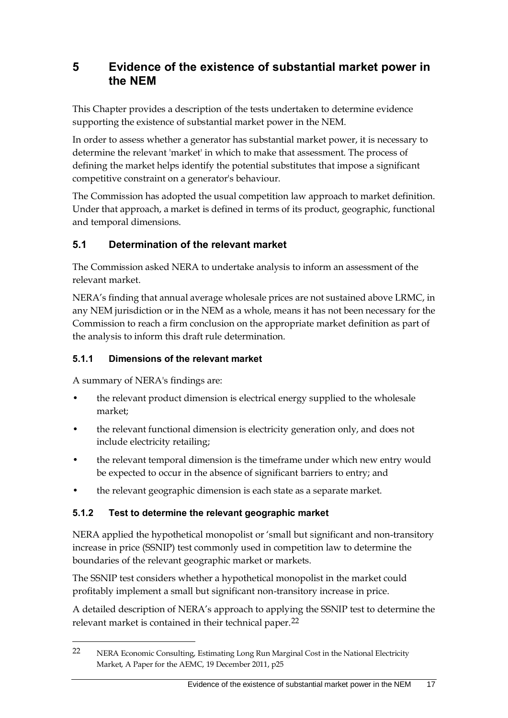## <span id="page-24-0"></span>**5 Evidence of the existence of substantial market power in the NEM**

This Chapter provides a description of the tests undertaken to determine evidence supporting the existence of substantial market power in the NEM.

In order to assess whether a generator has substantial market power, it is necessary to determine the relevant 'market' in which to make that assessment. The process of defining the market helps identify the potential substitutes that impose a significant competitive constraint on a generator's behaviour.

The Commission has adopted the usual competition law approach to market definition. Under that approach, a market is defined in terms of its product, geographic, functional and temporal dimensions.

## <span id="page-24-1"></span>**5.1 Determination of the relevant market**

The Commission asked NERA to undertake analysis to inform an assessment of the relevant market.

NERA's finding that annual average wholesale prices are not sustained above LRMC, in any NEM jurisdiction or in the NEM as a whole, means it has not been necessary for the Commission to reach a firm conclusion on the appropriate market definition as part of the analysis to inform this draft rule determination.

### **5.1.1 Dimensions of the relevant market**

A summary of NERA's findings are:

 $\overline{a}$ 

- the relevant product dimension is electrical energy supplied to the wholesale market;
- the relevant functional dimension is electricity generation only, and does not include electricity retailing;
- the relevant temporal dimension is the timeframe under which new entry would be expected to occur in the absence of significant barriers to entry; and
- the relevant geographic dimension is each state as a separate market.

## **5.1.2 Test to determine the relevant geographic market**

NERA applied the hypothetical monopolist or 'small but significant and non-transitory increase in price (SSNIP) test commonly used in competition law to determine the boundaries of the relevant geographic market or markets.

The SSNIP test considers whether a hypothetical monopolist in the market could profitably implement a small but significant non-transitory increase in price.

A detailed description of NERA's approach to applying the SSNIP test to determine the relevant market is contained in their technical paper.22

<sup>22</sup> NERA Economic Consulting, Estimating Long Run Marginal Cost in the National Electricity Market, A Paper for the AEMC, 19 December 2011, p25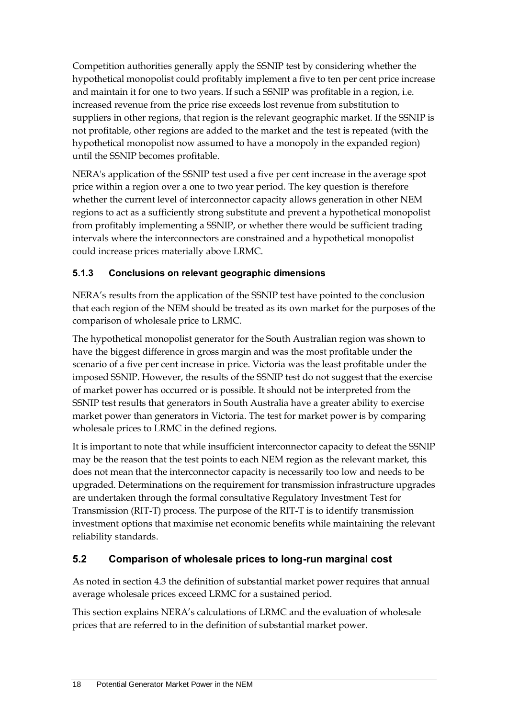Competition authorities generally apply the SSNIP test by considering whether the hypothetical monopolist could profitably implement a five to ten per cent price increase and maintain it for one to two years. If such a SSNIP was profitable in a region, i.e. increased revenue from the price rise exceeds lost revenue from substitution to suppliers in other regions, that region is the relevant geographic market. If the SSNIP is not profitable, other regions are added to the market and the test is repeated (with the hypothetical monopolist now assumed to have a monopoly in the expanded region) until the SSNIP becomes profitable.

NERA's application of the SSNIP test used a five per cent increase in the average spot price within a region over a one to two year period. The key question is therefore whether the current level of interconnector capacity allows generation in other NEM regions to act as a sufficiently strong substitute and prevent a hypothetical monopolist from profitably implementing a SSNIP, or whether there would be sufficient trading intervals where the interconnectors are constrained and a hypothetical monopolist could increase prices materially above LRMC.

#### **5.1.3 Conclusions on relevant geographic dimensions**

NERA's results from the application of the SSNIP test have pointed to the conclusion that each region of the NEM should be treated as its own market for the purposes of the comparison of wholesale price to LRMC.

The hypothetical monopolist generator for the South Australian region was shown to have the biggest difference in gross margin and was the most profitable under the scenario of a five per cent increase in price. Victoria was the least profitable under the imposed SSNIP. However, the results of the SSNIP test do not suggest that the exercise of market power has occurred or is possible. It should not be interpreted from the SSNIP test results that generators in South Australia have a greater ability to exercise market power than generators in Victoria. The test for market power is by comparing wholesale prices to LRMC in the defined regions.

It is important to note that while insufficient interconnector capacity to defeat the SSNIP may be the reason that the test points to each NEM region as the relevant market, this does not mean that the interconnector capacity is necessarily too low and needs to be upgraded. Determinations on the requirement for transmission infrastructure upgrades are undertaken through the formal consultative Regulatory Investment Test for Transmission (RIT-T) process. The purpose of the RIT-T is to identify transmission investment options that maximise net economic benefits while maintaining the relevant reliability standards.

#### <span id="page-25-0"></span>**5.2 Comparison of wholesale prices to long-run marginal cost**

As noted in section 4.3 the definition of substantial market power requires that annual average wholesale prices exceed LRMC for a sustained period.

This section explains NERA's calculations of LRMC and the evaluation of wholesale prices that are referred to in the definition of substantial market power.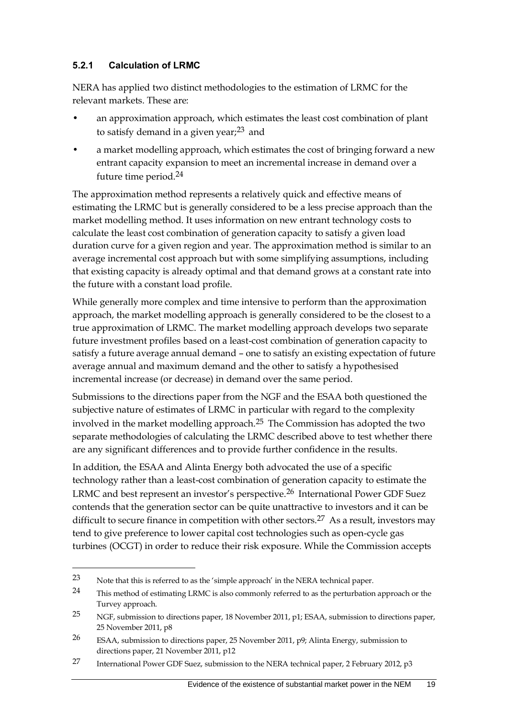#### **5.2.1 Calculation of LRMC**

NERA has applied two distinct methodologies to the estimation of LRMC for the relevant markets. These are:

- an approximation approach, which estimates the least cost combination of plant to satisfy demand in a given year; $^{23}$  and
- a market modelling approach, which estimates the cost of bringing forward a new entrant capacity expansion to meet an incremental increase in demand over a future time period.24

The approximation method represents a relatively quick and effective means of estimating the LRMC but is generally considered to be a less precise approach than the market modelling method. It uses information on new entrant technology costs to calculate the least cost combination of generation capacity to satisfy a given load duration curve for a given region and year. The approximation method is similar to an average incremental cost approach but with some simplifying assumptions, including that existing capacity is already optimal and that demand grows at a constant rate into the future with a constant load profile.

While generally more complex and time intensive to perform than the approximation approach, the market modelling approach is generally considered to be the closest to a true approximation of LRMC. The market modelling approach develops two separate future investment profiles based on a least-cost combination of generation capacity to satisfy a future average annual demand – one to satisfy an existing expectation of future average annual and maximum demand and the other to satisfy a hypothesised incremental increase (or decrease) in demand over the same period.

Submissions to the directions paper from the NGF and the ESAA both questioned the subjective nature of estimates of LRMC in particular with regard to the complexity involved in the market modelling approach.25 The Commission has adopted the two separate methodologies of calculating the LRMC described above to test whether there are any significant differences and to provide further confidence in the results.

In addition, the ESAA and Alinta Energy both advocated the use of a specific technology rather than a least-cost combination of generation capacity to estimate the LRMC and best represent an investor's perspective.<sup>26</sup> International Power GDF Suez contends that the generation sector can be quite unattractive to investors and it can be difficult to secure finance in competition with other sectors.<sup>27</sup> As a result, investors may tend to give preference to lower capital cost technologies such as open-cycle gas turbines (OCGT) in order to reduce their risk exposure. While the Commission accepts

<sup>23</sup> Note that this is referred to as the 'simple approach' in the NERA technical paper.

<sup>24</sup> This method of estimating LRMC is also commonly referred to as the perturbation approach or the Turvey approach.

<sup>25</sup> NGF, submission to directions paper, 18 November 2011, p1; ESAA, submission to directions paper, 25 November 2011, p8

<sup>26</sup> ESAA, submission to directions paper, 25 November 2011, p9; Alinta Energy, submission to directions paper, 21 November 2011, p12

<sup>27</sup> International Power GDF Suez, submission to the NERA technical paper, 2 February 2012, p3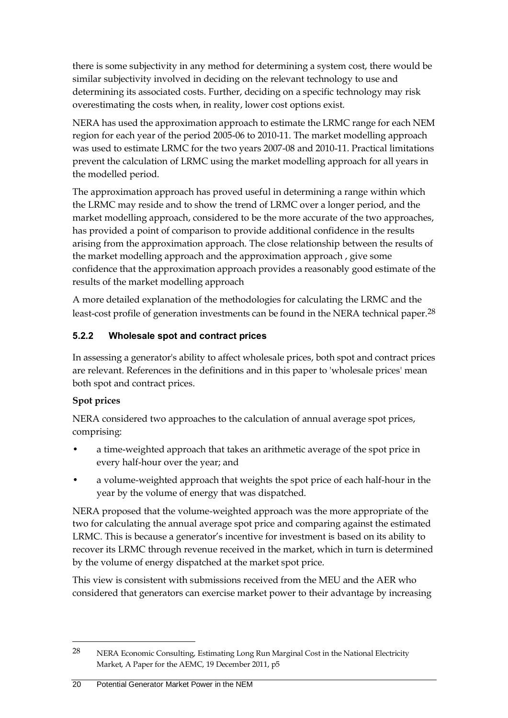there is some subjectivity in any method for determining a system cost, there would be similar subjectivity involved in deciding on the relevant technology to use and determining its associated costs. Further, deciding on a specific technology may risk overestimating the costs when, in reality, lower cost options exist.

NERA has used the approximation approach to estimate the LRMC range for each NEM region for each year of the period 2005-06 to 2010-11. The market modelling approach was used to estimate LRMC for the two years 2007-08 and 2010-11. Practical limitations prevent the calculation of LRMC using the market modelling approach for all years in the modelled period.

The approximation approach has proved useful in determining a range within which the LRMC may reside and to show the trend of LRMC over a longer period, and the market modelling approach, considered to be the more accurate of the two approaches, has provided a point of comparison to provide additional confidence in the results arising from the approximation approach. The close relationship between the results of the market modelling approach and the approximation approach , give some confidence that the approximation approach provides a reasonably good estimate of the results of the market modelling approach

A more detailed explanation of the methodologies for calculating the LRMC and the least-cost profile of generation investments can be found in the NERA technical paper.<sup>28</sup>

#### **5.2.2 Wholesale spot and contract prices**

In assessing a generator's ability to affect wholesale prices, both spot and contract prices are relevant. References in the definitions and in this paper to 'wholesale prices' mean both spot and contract prices.

#### **Spot prices**

 $\overline{a}$ 

NERA considered two approaches to the calculation of annual average spot prices, comprising:

- a time-weighted approach that takes an arithmetic average of the spot price in every half-hour over the year; and
- a volume-weighted approach that weights the spot price of each half-hour in the year by the volume of energy that was dispatched.

NERA proposed that the volume-weighted approach was the more appropriate of the two for calculating the annual average spot price and comparing against the estimated LRMC. This is because a generator's incentive for investment is based on its ability to recover its LRMC through revenue received in the market, which in turn is determined by the volume of energy dispatched at the market spot price.

This view is consistent with submissions received from the MEU and the AER who considered that generators can exercise market power to their advantage by increasing

<sup>28</sup> NERA Economic Consulting, Estimating Long Run Marginal Cost in the National Electricity Market, A Paper for the AEMC, 19 December 2011, p5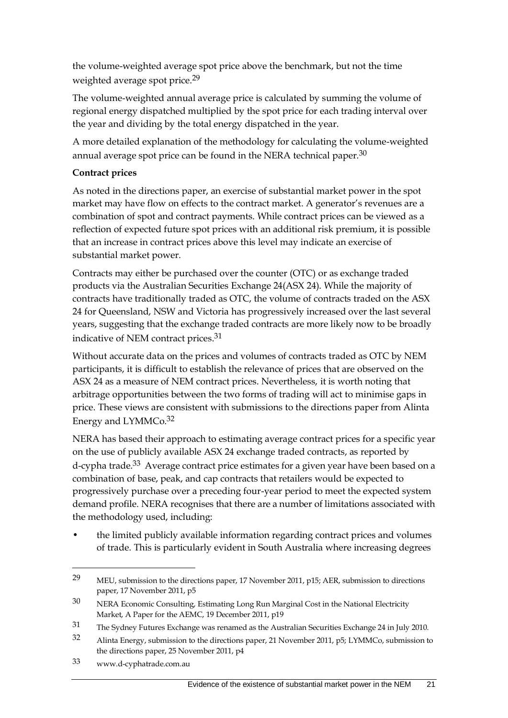the volume-weighted average spot price above the benchmark, but not the time weighted average spot price.29

The volume-weighted annual average price is calculated by summing the volume of regional energy dispatched multiplied by the spot price for each trading interval over the year and dividing by the total energy dispatched in the year.

A more detailed explanation of the methodology for calculating the volume-weighted annual average spot price can be found in the NERA technical paper.<sup>30</sup>

#### **Contract prices**

As noted in the directions paper, an exercise of substantial market power in the spot market may have flow on effects to the contract market. A generator's revenues are a combination of spot and contract payments. While contract prices can be viewed as a reflection of expected future spot prices with an additional risk premium, it is possible that an increase in contract prices above this level may indicate an exercise of substantial market power.

Contracts may either be purchased over the counter (OTC) or as exchange traded products via the Australian Securities Exchange 24(ASX 24). While the majority of contracts have traditionally traded as OTC, the volume of contracts traded on the ASX 24 for Queensland, NSW and Victoria has progressively increased over the last several years, suggesting that the exchange traded contracts are more likely now to be broadly indicative of NEM contract prices.31

Without accurate data on the prices and volumes of contracts traded as OTC by NEM participants, it is difficult to establish the relevance of prices that are observed on the ASX 24 as a measure of NEM contract prices. Nevertheless, it is worth noting that arbitrage opportunities between the two forms of trading will act to minimise gaps in price. These views are consistent with submissions to the directions paper from Alinta Energy and LYMMCo.32

NERA has based their approach to estimating average contract prices for a specific year on the use of publicly available ASX 24 exchange traded contracts, as reported by d-cypha trade.33 Average contract price estimates for a given year have been based on a combination of base, peak, and cap contracts that retailers would be expected to progressively purchase over a preceding four-year period to meet the expected system demand profile. NERA recognises that there are a number of limitations associated with the methodology used, including:

• the limited publicly available information regarding contract prices and volumes of trade. This is particularly evident in South Australia where increasing degrees

<sup>29</sup> MEU, submission to the directions paper, 17 November 2011, p15; AER, submission to directions paper, 17 November 2011, p5

<sup>30</sup> NERA Economic Consulting, Estimating Long Run Marginal Cost in the National Electricity Market, A Paper for the AEMC, 19 December 2011, p19

<sup>31</sup> The Sydney Futures Exchange was renamed as the Australian Securities Exchange 24 in July 2010.

<sup>32</sup> Alinta Energy, submission to the directions paper, 21 November 2011, p5; LYMMCo, submission to the directions paper, 25 November 2011, p4

<sup>33</sup> www.d-cyphatrade.com.au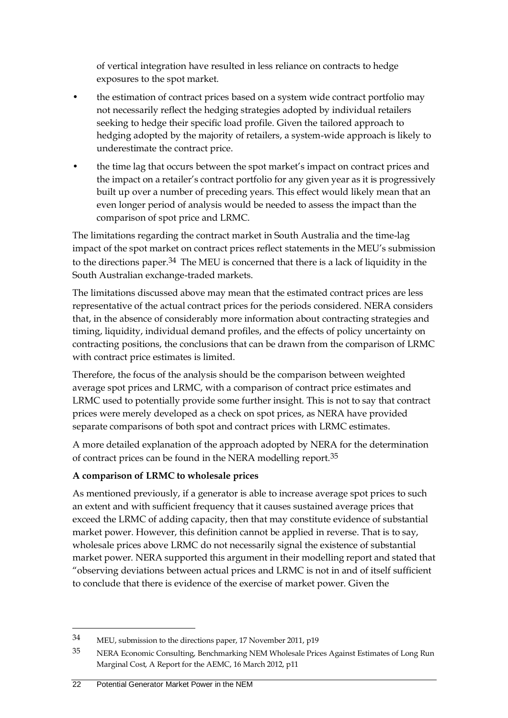of vertical integration have resulted in less reliance on contracts to hedge exposures to the spot market.

- the estimation of contract prices based on a system wide contract portfolio may not necessarily reflect the hedging strategies adopted by individual retailers seeking to hedge their specific load profile. Given the tailored approach to hedging adopted by the majority of retailers, a system-wide approach is likely to underestimate the contract price.
- the time lag that occurs between the spot market's impact on contract prices and the impact on a retailer's contract portfolio for any given year as it is progressively built up over a number of preceding years. This effect would likely mean that an even longer period of analysis would be needed to assess the impact than the comparison of spot price and LRMC.

The limitations regarding the contract market in South Australia and the time-lag impact of the spot market on contract prices reflect statements in the MEU's submission to the directions paper.<sup>34</sup> The MEU is concerned that there is a lack of liquidity in the South Australian exchange-traded markets.

The limitations discussed above may mean that the estimated contract prices are less representative of the actual contract prices for the periods considered. NERA considers that, in the absence of considerably more information about contracting strategies and timing, liquidity, individual demand profiles, and the effects of policy uncertainty on contracting positions, the conclusions that can be drawn from the comparison of LRMC with contract price estimates is limited.

Therefore, the focus of the analysis should be the comparison between weighted average spot prices and LRMC, with a comparison of contract price estimates and LRMC used to potentially provide some further insight. This is not to say that contract prices were merely developed as a check on spot prices, as NERA have provided separate comparisons of both spot and contract prices with LRMC estimates.

A more detailed explanation of the approach adopted by NERA for the determination of contract prices can be found in the NERA modelling report.35

#### **A comparison of LRMC to wholesale prices**

As mentioned previously, if a generator is able to increase average spot prices to such an extent and with sufficient frequency that it causes sustained average prices that exceed the LRMC of adding capacity, then that may constitute evidence of substantial market power. However, this definition cannot be applied in reverse. That is to say, wholesale prices above LRMC do not necessarily signal the existence of substantial market power. NERA supported this argument in their modelling report and stated that "observing deviations between actual prices and LRMC is not in and of itself sufficient to conclude that there is evidence of the exercise of market power. Given the

<sup>34</sup> MEU, submission to the directions paper, 17 November 2011, p19

<sup>35</sup> NERA Economic Consulting, Benchmarking NEM Wholesale Prices Against Estimates of Long Run Marginal Cost, A Report for the AEMC, 16 March 2012, p11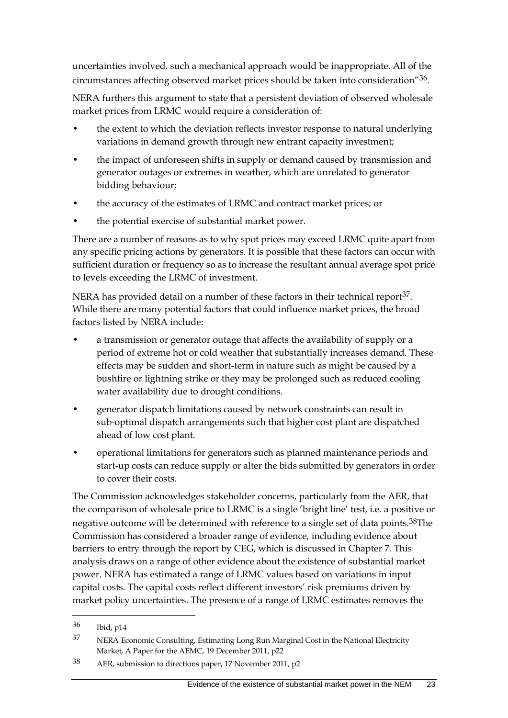uncertainties involved, such a mechanical approach would be inappropriate. All of the circumstances affecting observed market prices should be taken into consideration"36.

NERA furthers this argument to state that a persistent deviation of observed wholesale market prices from LRMC would require a consideration of:

- the extent to which the deviation reflects investor response to natural underlying variations in demand growth through new entrant capacity investment;
- the impact of unforeseen shifts in supply or demand caused by transmission and generator outages or extremes in weather, which are unrelated to generator bidding behaviour;
- the accuracy of the estimates of LRMC and contract market prices; or
- the potential exercise of substantial market power.

There are a number of reasons as to why spot prices may exceed LRMC quite apart from any specific pricing actions by generators. It is possible that these factors can occur with sufficient duration or frequency so as to increase the resultant annual average spot price to levels exceeding the LRMC of investment.

NERA has provided detail on a number of these factors in their technical report<sup>37</sup>. While there are many potential factors that could influence market prices, the broad factors listed by NERA include:

- a transmission or generator outage that affects the availability of supply or a period of extreme hot or cold weather that substantially increases demand. These effects may be sudden and short-term in nature such as might be caused by a bushfire or lightning strike or they may be prolonged such as reduced cooling water availability due to drought conditions.
- generator dispatch limitations caused by network constraints can result in sub-optimal dispatch arrangements such that higher cost plant are dispatched ahead of low cost plant.
- operational limitations for generators such as planned maintenance periods and start-up costs can reduce supply or alter the bids submitted by generators in order to cover their costs.

The Commission acknowledges stakeholder concerns, particularly from the AER, that the comparison of wholesale price to LRMC is a single 'bright line' test, i.e. a positive or negative outcome will be determined with reference to a single set of data points.<sup>38</sup>The Commission has considered a broader range of evidence, including evidence about barriers to entry through the report by CEG, which is discussed in Chapter 7. This analysis draws on a range of other evidence about the existence of substantial market power. NERA has estimated a range of LRMC values based on variations in input capital costs. The capital costs reflect different investors' risk premiums driven by market policy uncertainties. The presence of a range of LRMC estimates removes the

<sup>36</sup> Ibid, p14

<sup>37</sup> NERA Economic Consulting, Estimating Long Run Marginal Cost in the National Electricity Market, A Paper for the AEMC, 19 December 2011, p22

<sup>38</sup> AER, submission to directions paper, 17 November 2011, p2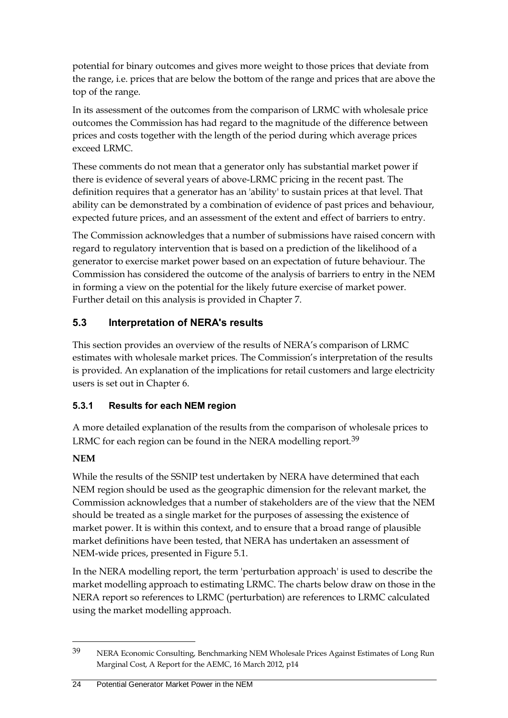potential for binary outcomes and gives more weight to those prices that deviate from the range, i.e. prices that are below the bottom of the range and prices that are above the top of the range.

In its assessment of the outcomes from the comparison of LRMC with wholesale price outcomes the Commission has had regard to the magnitude of the difference between prices and costs together with the length of the period during which average prices exceed LRMC.

These comments do not mean that a generator only has substantial market power if there is evidence of several years of above-LRMC pricing in the recent past. The definition requires that a generator has an 'ability' to sustain prices at that level. That ability can be demonstrated by a combination of evidence of past prices and behaviour, expected future prices, and an assessment of the extent and effect of barriers to entry.

The Commission acknowledges that a number of submissions have raised concern with regard to regulatory intervention that is based on a prediction of the likelihood of a generator to exercise market power based on an expectation of future behaviour. The Commission has considered the outcome of the analysis of barriers to entry in the NEM in forming a view on the potential for the likely future exercise of market power. Further detail on this analysis is provided in Chapter 7.

## <span id="page-31-0"></span>**5.3 Interpretation of NERA's results**

This section provides an overview of the results of NERA's comparison of LRMC estimates with wholesale market prices. The Commission's interpretation of the results is provided. An explanation of the implications for retail customers and large electricity users is set out in Chapter 6.

## **5.3.1 Results for each NEM region**

A more detailed explanation of the results from the comparison of wholesale prices to LRMC for each region can be found in the NERA modelling report.<sup>39</sup>

## **NEM**

 $\overline{a}$ 

While the results of the SSNIP test undertaken by NERA have determined that each NEM region should be used as the geographic dimension for the relevant market, the Commission acknowledges that a number of stakeholders are of the view that the NEM should be treated as a single market for the purposes of assessing the existence of market power. It is within this context, and to ensure that a broad range of plausible market definitions have been tested, that NERA has undertaken an assessment of NEM-wide prices, presented in Figure 5.1.

In the NERA modelling report, the term 'perturbation approach' is used to describe the market modelling approach to estimating LRMC. The charts below draw on those in the NERA report so references to LRMC (perturbation) are references to LRMC calculated using the market modelling approach.

<sup>39</sup> NERA Economic Consulting, Benchmarking NEM Wholesale Prices Against Estimates of Long Run Marginal Cost, A Report for the AEMC, 16 March 2012, p14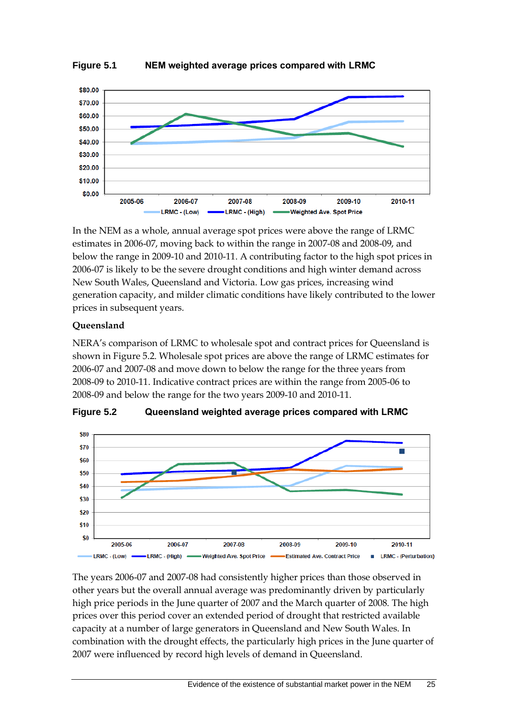

**Figure 5.1 NEM weighted average prices compared with LRMC**

In the NEM as a whole, annual average spot prices were above the range of LRMC estimates in 2006-07, moving back to within the range in 2007-08 and 2008-09, and below the range in 2009-10 and 2010-11. A contributing factor to the high spot prices in 2006-07 is likely to be the severe drought conditions and high winter demand across New South Wales, Queensland and Victoria. Low gas prices, increasing wind generation capacity, and milder climatic conditions have likely contributed to the lower prices in subsequent years.

#### **Queensland**

NERA's comparison of LRMC to wholesale spot and contract prices for Queensland is shown in Figure 5.2. Wholesale spot prices are above the range of LRMC estimates for 2006-07 and 2007-08 and move down to below the range for the three years from 2008-09 to 2010-11. Indicative contract prices are within the range from 2005-06 to 2008-09 and below the range for the two years 2009-10 and 2010-11.



**Figure 5.2 Queensland weighted average prices compared with LRMC**

The years 2006-07 and 2007-08 had consistently higher prices than those observed in other years but the overall annual average was predominantly driven by particularly high price periods in the June quarter of 2007 and the March quarter of 2008. The high prices over this period cover an extended period of drought that restricted available capacity at a number of large generators in Queensland and New South Wales. In combination with the drought effects, the particularly high prices in the June quarter of 2007 were influenced by record high levels of demand in Queensland.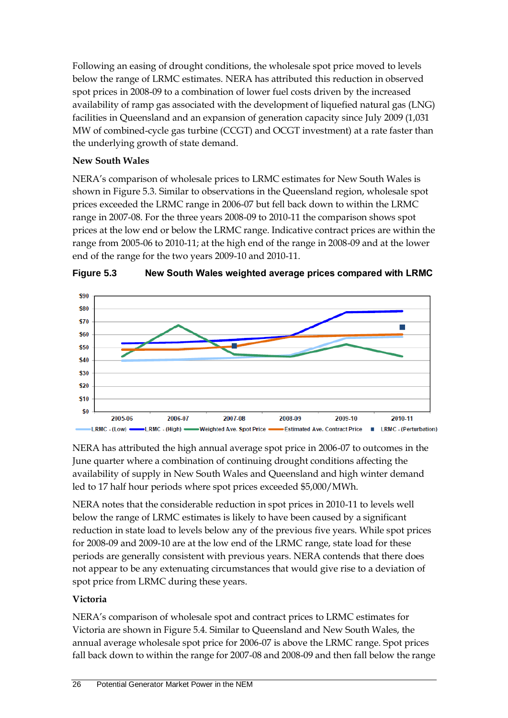Following an easing of drought conditions, the wholesale spot price moved to levels below the range of LRMC estimates. NERA has attributed this reduction in observed spot prices in 2008-09 to a combination of lower fuel costs driven by the increased availability of ramp gas associated with the development of liquefied natural gas (LNG) facilities in Queensland and an expansion of generation capacity since July 2009 (1,031 MW of combined-cycle gas turbine (CCGT) and OCGT investment) at a rate faster than the underlying growth of state demand.

#### **New South Wales**

NERA's comparison of wholesale prices to LRMC estimates for New South Wales is shown in Figure 5.3. Similar to observations in the Queensland region, wholesale spot prices exceeded the LRMC range in 2006-07 but fell back down to within the LRMC range in 2007-08. For the three years 2008-09 to 2010-11 the comparison shows spot prices at the low end or below the LRMC range. Indicative contract prices are within the range from 2005-06 to 2010-11; at the high end of the range in 2008-09 and at the lower end of the range for the two years 2009-10 and 2010-11.



#### **Figure 5.3 New South Wales weighted average prices compared with LRMC**

NERA has attributed the high annual average spot price in 2006-07 to outcomes in the June quarter where a combination of continuing drought conditions affecting the availability of supply in New South Wales and Queensland and high winter demand led to 17 half hour periods where spot prices exceeded \$5,000/MWh.

NERA notes that the considerable reduction in spot prices in 2010-11 to levels well below the range of LRMC estimates is likely to have been caused by a significant reduction in state load to levels below any of the previous five years. While spot prices for 2008-09 and 2009-10 are at the low end of the LRMC range, state load for these periods are generally consistent with previous years. NERA contends that there does not appear to be any extenuating circumstances that would give rise to a deviation of spot price from LRMC during these years.

#### **Victoria**

NERA's comparison of wholesale spot and contract prices to LRMC estimates for Victoria are shown in Figure 5.4. Similar to Queensland and New South Wales, the annual average wholesale spot price for 2006-07 is above the LRMC range. Spot prices fall back down to within the range for 2007-08 and 2008-09 and then fall below the range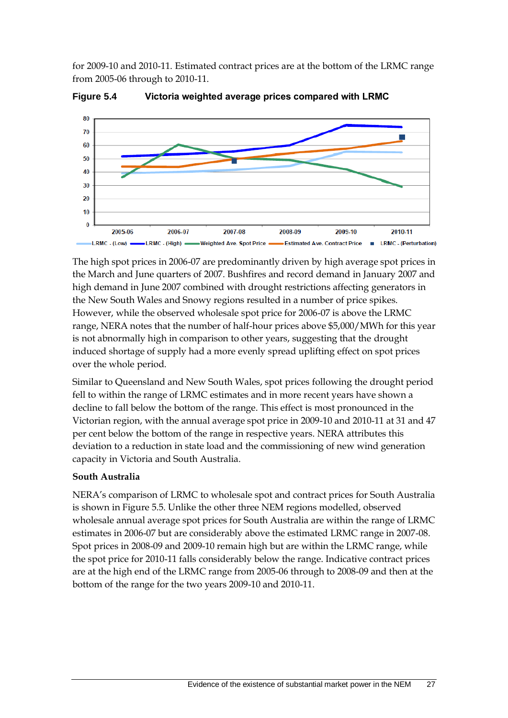for 2009-10 and 2010-11. Estimated contract prices are at the bottom of the LRMC range from 2005-06 through to 2010-11.



**Figure 5.4 Victoria weighted average prices compared with LRMC**

The high spot prices in 2006-07 are predominantly driven by high average spot prices in the March and June quarters of 2007. Bushfires and record demand in January 2007 and high demand in June 2007 combined with drought restrictions affecting generators in the New South Wales and Snowy regions resulted in a number of price spikes. However, while the observed wholesale spot price for 2006-07 is above the LRMC range, NERA notes that the number of half-hour prices above \$5,000/MWh for this year is not abnormally high in comparison to other years, suggesting that the drought induced shortage of supply had a more evenly spread uplifting effect on spot prices over the whole period.

Similar to Queensland and New South Wales, spot prices following the drought period fell to within the range of LRMC estimates and in more recent years have shown a decline to fall below the bottom of the range. This effect is most pronounced in the Victorian region, with the annual average spot price in 2009-10 and 2010-11 at 31 and 47 per cent below the bottom of the range in respective years. NERA attributes this deviation to a reduction in state load and the commissioning of new wind generation capacity in Victoria and South Australia.

#### **South Australia**

NERA's comparison of LRMC to wholesale spot and contract prices for South Australia is shown in Figure 5.5. Unlike the other three NEM regions modelled, observed wholesale annual average spot prices for South Australia are within the range of LRMC estimates in 2006-07 but are considerably above the estimated LRMC range in 2007-08. Spot prices in 2008-09 and 2009-10 remain high but are within the LRMC range, while the spot price for 2010-11 falls considerably below the range. Indicative contract prices are at the high end of the LRMC range from 2005-06 through to 2008-09 and then at the bottom of the range for the two years 2009-10 and 2010-11.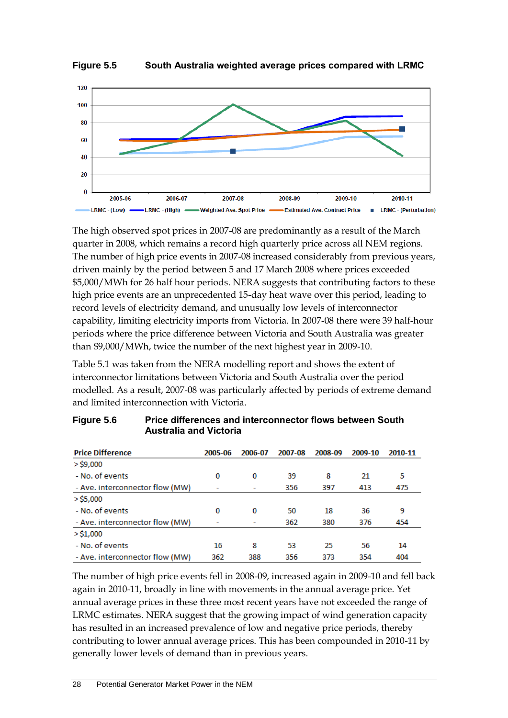



The high observed spot prices in 2007-08 are predominantly as a result of the March quarter in 2008, which remains a record high quarterly price across all NEM regions. The number of high price events in 2007-08 increased considerably from previous years, driven mainly by the period between 5 and 17 March 2008 where prices exceeded \$5,000/MWh for 26 half hour periods. NERA suggests that contributing factors to these high price events are an unprecedented 15-day heat wave over this period, leading to record levels of electricity demand, and unusually low levels of interconnector capability, limiting electricity imports from Victoria. In 2007-08 there were 39 half-hour periods where the price difference between Victoria and South Australia was greater than \$9,000/MWh, twice the number of the next highest year in 2009-10.

Table 5.1 was taken from the NERA modelling report and shows the extent of interconnector limitations between Victoria and South Australia over the period modelled. As a result, 2007-08 was particularly affected by periods of extreme demand and limited interconnection with Victoria.

| <b>Price Difference</b>         | 2005-06 | 2006-07 | 2007-08 | 2008-09 | 2009-10 | 2010-11 |
|---------------------------------|---------|---------|---------|---------|---------|---------|
| $>$ \$9,000                     |         |         |         |         |         |         |
| - No. of events                 | 0       | 0       | 39      | 8       | 21      | 5       |
| - Ave. interconnector flow (MW) |         | -       | 356     | 397     | 413     | 475     |
| $>$ \$5,000                     |         |         |         |         |         |         |
| - No. of events                 | 0       | 0       | 50      | 18      | 36      | 9       |
| - Ave. interconnector flow (MW) |         |         | 362     | 380     | 376     | 454     |
| $>$ \$1,000                     |         |         |         |         |         |         |
| - No. of events                 | 16      | 8       | 53      | 25      | 56      | 14      |
| - Ave. interconnector flow (MW) | 362     | 388     | 356     | 373     | 354     | 404     |

| <b>Figure 5.6</b> | <b>Price differences and interconnector flows between South</b> |
|-------------------|-----------------------------------------------------------------|
|                   | <b>Australia and Victoria</b>                                   |

The number of high price events fell in 2008-09, increased again in 2009-10 and fell back again in 2010-11, broadly in line with movements in the annual average price. Yet annual average prices in these three most recent years have not exceeded the range of LRMC estimates. NERA suggest that the growing impact of wind generation capacity has resulted in an increased prevalence of low and negative price periods, thereby contributing to lower annual average prices. This has been compounded in 2010-11 by generally lower levels of demand than in previous years.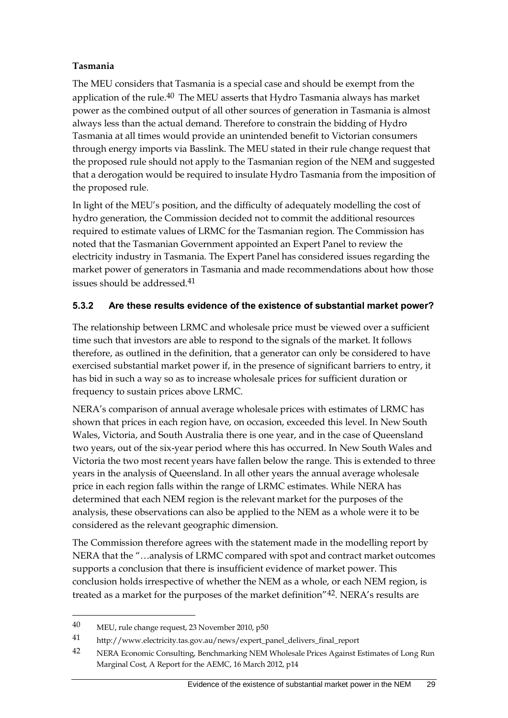### **Tasmania**

The MEU considers that Tasmania is a special case and should be exempt from the application of the rule.<sup>40</sup> The MEU asserts that Hydro Tasmania always has market power as the combined output of all other sources of generation in Tasmania is almost always less than the actual demand. Therefore to constrain the bidding of Hydro Tasmania at all times would provide an unintended benefit to Victorian consumers through energy imports via Basslink. The MEU stated in their rule change request that the proposed rule should not apply to the Tasmanian region of the NEM and suggested that a derogation would be required to insulate Hydro Tasmania from the imposition of the proposed rule.

In light of the MEU's position, and the difficulty of adequately modelling the cost of hydro generation, the Commission decided not to commit the additional resources required to estimate values of LRMC for the Tasmanian region. The Commission has noted that the Tasmanian Government appointed an Expert Panel to review the electricity industry in Tasmania. The Expert Panel has considered issues regarding the market power of generators in Tasmania and made recommendations about how those issues should be addressed.41

### **5.3.2 Are these results evidence of the existence of substantial market power?**

The relationship between LRMC and wholesale price must be viewed over a sufficient time such that investors are able to respond to the signals of the market. It follows therefore, as outlined in the definition, that a generator can only be considered to have exercised substantial market power if, in the presence of significant barriers to entry, it has bid in such a way so as to increase wholesale prices for sufficient duration or frequency to sustain prices above LRMC.

NERA's comparison of annual average wholesale prices with estimates of LRMC has shown that prices in each region have, on occasion, exceeded this level. In New South Wales, Victoria, and South Australia there is one year, and in the case of Queensland two years, out of the six-year period where this has occurred. In New South Wales and Victoria the two most recent years have fallen below the range. This is extended to three years in the analysis of Queensland. In all other years the annual average wholesale price in each region falls within the range of LRMC estimates. While NERA has determined that each NEM region is the relevant market for the purposes of the analysis, these observations can also be applied to the NEM as a whole were it to be considered as the relevant geographic dimension.

The Commission therefore agrees with the statement made in the modelling report by NERA that the "…analysis of LRMC compared with spot and contract market outcomes supports a conclusion that there is insufficient evidence of market power. This conclusion holds irrespective of whether the NEM as a whole, or each NEM region, is treated as a market for the purposes of the market definition"42. NERA's results are

<sup>40</sup> MEU, rule change request, 23 November 2010, p50

<sup>41</sup> http://www.electricity.tas.gov.au/news/expert\_panel\_delivers\_final\_report

<sup>42</sup> NERA Economic Consulting, Benchmarking NEM Wholesale Prices Against Estimates of Long Run Marginal Cost, A Report for the AEMC, 16 March 2012, p14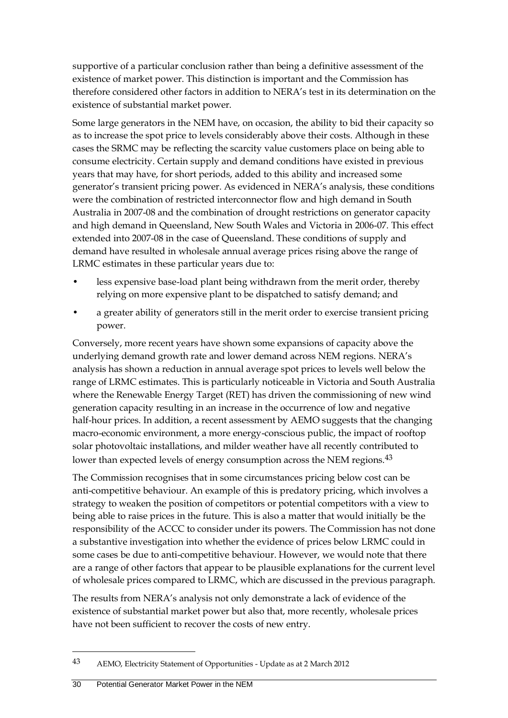supportive of a particular conclusion rather than being a definitive assessment of the existence of market power. This distinction is important and the Commission has therefore considered other factors in addition to NERA's test in its determination on the existence of substantial market power.

Some large generators in the NEM have, on occasion, the ability to bid their capacity so as to increase the spot price to levels considerably above their costs. Although in these cases the SRMC may be reflecting the scarcity value customers place on being able to consume electricity. Certain supply and demand conditions have existed in previous years that may have, for short periods, added to this ability and increased some generator's transient pricing power. As evidenced in NERA's analysis, these conditions were the combination of restricted interconnector flow and high demand in South Australia in 2007-08 and the combination of drought restrictions on generator capacity and high demand in Queensland, New South Wales and Victoria in 2006-07. This effect extended into 2007-08 in the case of Queensland. These conditions of supply and demand have resulted in wholesale annual average prices rising above the range of LRMC estimates in these particular years due to:

- less expensive base-load plant being withdrawn from the merit order, thereby relying on more expensive plant to be dispatched to satisfy demand; and
- a greater ability of generators still in the merit order to exercise transient pricing power.

Conversely, more recent years have shown some expansions of capacity above the underlying demand growth rate and lower demand across NEM regions. NERA's analysis has shown a reduction in annual average spot prices to levels well below the range of LRMC estimates. This is particularly noticeable in Victoria and South Australia where the Renewable Energy Target (RET) has driven the commissioning of new wind generation capacity resulting in an increase in the occurrence of low and negative half-hour prices. In addition, a recent assessment by AEMO suggests that the changing macro-economic environment, a more energy-conscious public, the impact of rooftop solar photovoltaic installations, and milder weather have all recently contributed to lower than expected levels of energy consumption across the NEM regions.<sup>43</sup>

The Commission recognises that in some circumstances pricing below cost can be anti-competitive behaviour. An example of this is predatory pricing, which involves a strategy to weaken the position of competitors or potential competitors with a view to being able to raise prices in the future. This is also a matter that would initially be the responsibility of the ACCC to consider under its powers. The Commission has not done a substantive investigation into whether the evidence of prices below LRMC could in some cases be due to anti-competitive behaviour. However, we would note that there are a range of other factors that appear to be plausible explanations for the current level of wholesale prices compared to LRMC, which are discussed in the previous paragraph.

The results from NERA's analysis not only demonstrate a lack of evidence of the existence of substantial market power but also that, more recently, wholesale prices have not been sufficient to recover the costs of new entry.

<sup>43</sup> AEMO, Electricity Statement of Opportunities - Update as at 2 March 2012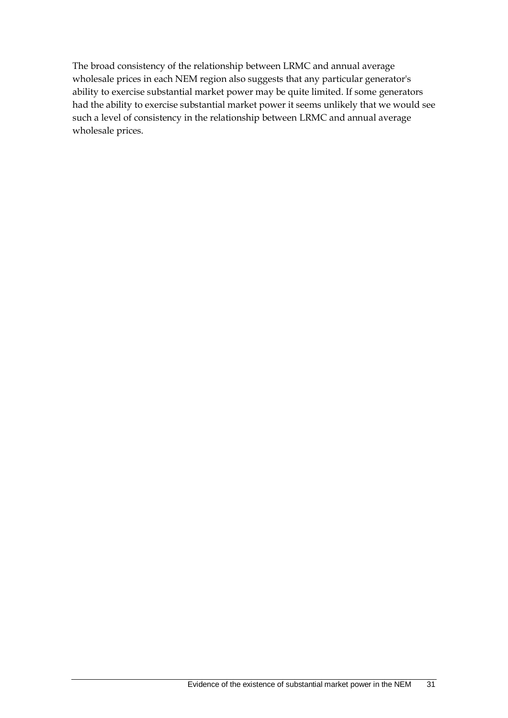The broad consistency of the relationship between LRMC and annual average wholesale prices in each NEM region also suggests that any particular generator's ability to exercise substantial market power may be quite limited. If some generators had the ability to exercise substantial market power it seems unlikely that we would see such a level of consistency in the relationship between LRMC and annual average wholesale prices.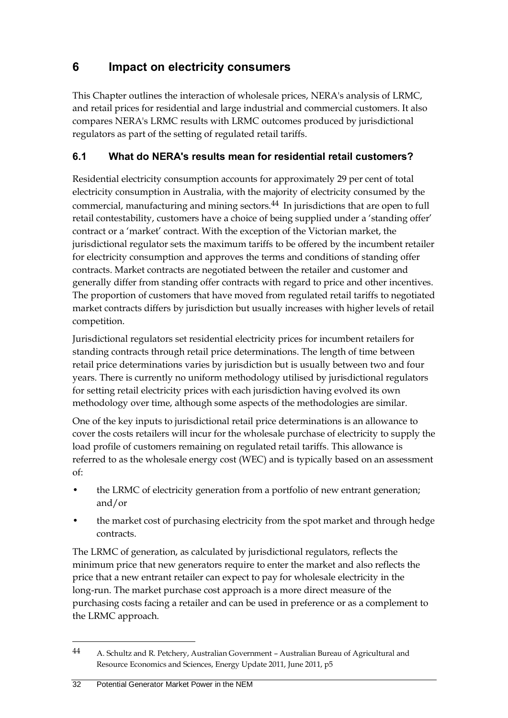# **6 Impact on electricity consumers**

This Chapter outlines the interaction of wholesale prices, NERA's analysis of LRMC, and retail prices for residential and large industrial and commercial customers. It also compares NERA's LRMC results with LRMC outcomes produced by jurisdictional regulators as part of the setting of regulated retail tariffs.

## **6.1 What do NERA's results mean for residential retail customers?**

Residential electricity consumption accounts for approximately 29 per cent of total electricity consumption in Australia, with the majority of electricity consumed by the commercial, manufacturing and mining sectors.44 In jurisdictions that are open to full retail contestability, customers have a choice of being supplied under a 'standing offer' contract or a 'market' contract. With the exception of the Victorian market, the jurisdictional regulator sets the maximum tariffs to be offered by the incumbent retailer for electricity consumption and approves the terms and conditions of standing offer contracts. Market contracts are negotiated between the retailer and customer and generally differ from standing offer contracts with regard to price and other incentives. The proportion of customers that have moved from regulated retail tariffs to negotiated market contracts differs by jurisdiction but usually increases with higher levels of retail competition.

Jurisdictional regulators set residential electricity prices for incumbent retailers for standing contracts through retail price determinations. The length of time between retail price determinations varies by jurisdiction but is usually between two and four years. There is currently no uniform methodology utilised by jurisdictional regulators for setting retail electricity prices with each jurisdiction having evolved its own methodology over time, although some aspects of the methodologies are similar.

One of the key inputs to jurisdictional retail price determinations is an allowance to cover the costs retailers will incur for the wholesale purchase of electricity to supply the load profile of customers remaining on regulated retail tariffs. This allowance is referred to as the wholesale energy cost (WEC) and is typically based on an assessment of:

- the LRMC of electricity generation from a portfolio of new entrant generation; and/or
- the market cost of purchasing electricity from the spot market and through hedge contracts.

The LRMC of generation, as calculated by jurisdictional regulators, reflects the minimum price that new generators require to enter the market and also reflects the price that a new entrant retailer can expect to pay for wholesale electricity in the long-run. The market purchase cost approach is a more direct measure of the purchasing costs facing a retailer and can be used in preference or as a complement to the LRMC approach.

<sup>44</sup> A. Schultz and R. Petchery, Australian Government – Australian Bureau of Agricultural and Resource Economics and Sciences, Energy Update 2011, June 2011, p5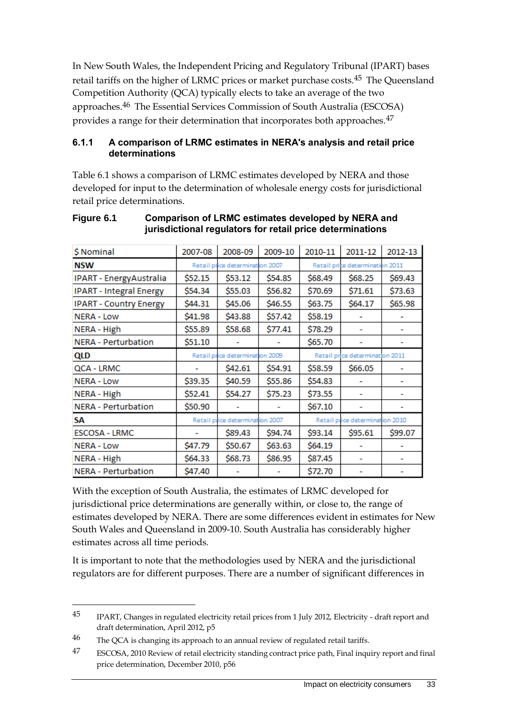In New South Wales, the Independent Pricing and Regulatory Tribunal (IPART) bases retail tariffs on the higher of LRMC prices or market purchase costs.45 The Queensland Competition Authority (QCA) typically elects to take an average of the two approaches.46 The Essential Services Commission of South Australia (ESCOSA) provides a range for their determination that incorporates both approaches.47

### **6.1.1 A comparison of LRMC estimates in NERA's analysis and retail price determinations**

Table 6.1 shows a comparison of LRMC estimates developed by NERA and those developed for input to the determination of wholesale energy costs for jurisdictional retail price determinations.

| \$ Nominal                     | 2007-08 | 2008-09                         | 2009-10 | 2010-11 | 2011-12                         | 2012-13 |
|--------------------------------|---------|---------------------------------|---------|---------|---------------------------------|---------|
| <b>NSW</b>                     |         | Retail price determination 2007 |         |         | Retail price determination 2011 |         |
| IPART - EnergyAustralia        | \$52.15 | \$53.12                         | \$54.85 | \$68.49 | \$68.25                         | \$69.43 |
| <b>IPART</b> - Integral Energy | \$54.34 | \$55.03                         | \$56.82 | \$70.69 | \$71.61                         | \$73.63 |
| <b>IPART - Country Energy</b>  | \$44.31 | \$45.06                         | \$46.55 | \$63.75 | \$64.17                         | \$65.98 |
| NERA - Low                     | \$41.98 | \$43.88                         | \$57.42 | \$58.19 |                                 |         |
| NERA - High                    | \$55.89 | \$58.68                         | \$77.41 | \$78.29 |                                 |         |
| NERA - Perturbation            | \$51.10 |                                 |         | \$65.70 |                                 |         |
| QLD                            |         | Retail price determination 2009 |         |         | Retail price determination 2011 |         |
| QCA - LRMC                     |         | \$42.61                         | \$54.91 | \$58.59 | \$66.05                         |         |
| NERA - Low                     | \$39.35 | \$40.59                         | \$55.86 | \$54.83 |                                 |         |
| NERA - High                    | \$52.41 | \$54.27                         | \$75.23 | \$73.55 |                                 |         |
| <b>NERA</b> - Perturbation     | \$50.90 |                                 |         | \$67.10 |                                 |         |
| SΑ                             |         | Retail price determination 2007 |         |         | Retail price determination 2010 |         |
| ESCOSA - LRMC                  |         | \$89.43                         | \$94.74 | \$93.14 | \$95.61                         | \$99.07 |
| NERA - Low                     | \$47.79 | \$50.67                         | \$63.63 | \$64.19 |                                 |         |
| NERA - High                    | \$64.33 | \$68.73                         | \$86.95 | \$87.45 |                                 |         |
| NERA - Perturbation            | \$47.40 |                                 |         | \$72.70 |                                 |         |

#### **Figure 6.1 Comparison of LRMC estimates developed by NERA and jurisdictional regulators for retail price determinations**

With the exception of South Australia, the estimates of LRMC developed for jurisdictional price determinations are generally within, or close to, the range of estimates developed by NERA. There are some differences evident in estimates for New South Wales and Queensland in 2009-10. South Australia has considerably higher estimates across all time periods.

It is important to note that the methodologies used by NERA and the jurisdictional regulators are for different purposes. There are a number of significant differences in

<sup>45</sup> IPART, Changes in regulated electricity retail prices from 1 July 2012, Electricity - draft report and draft determination, April 2012, p5

<sup>46</sup> The QCA is changing its approach to an annual review of regulated retail tariffs.

<sup>47</sup> ESCOSA, 2010 Review of retail electricity standing contract price path, Final inquiry report and final price determination, December 2010, p56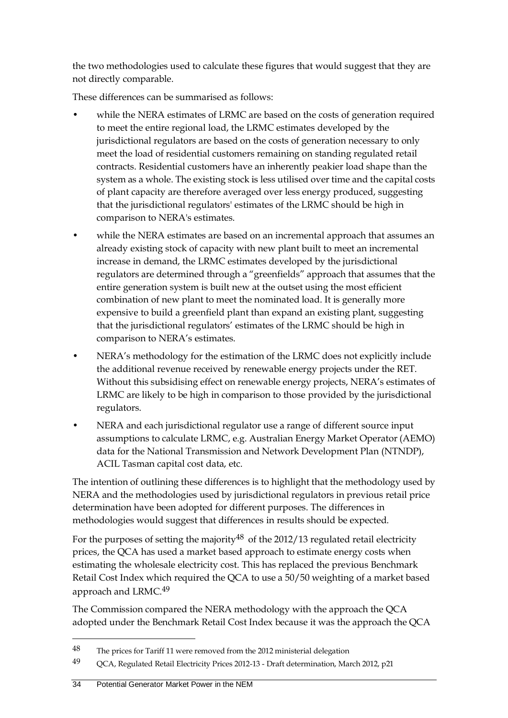the two methodologies used to calculate these figures that would suggest that they are not directly comparable.

These differences can be summarised as follows:

- while the NERA estimates of LRMC are based on the costs of generation required to meet the entire regional load, the LRMC estimates developed by the jurisdictional regulators are based on the costs of generation necessary to only meet the load of residential customers remaining on standing regulated retail contracts. Residential customers have an inherently peakier load shape than the system as a whole. The existing stock is less utilised over time and the capital costs of plant capacity are therefore averaged over less energy produced, suggesting that the jurisdictional regulators' estimates of the LRMC should be high in comparison to NERA's estimates.
- while the NERA estimates are based on an incremental approach that assumes an already existing stock of capacity with new plant built to meet an incremental increase in demand, the LRMC estimates developed by the jurisdictional regulators are determined through a "greenfields" approach that assumes that the entire generation system is built new at the outset using the most efficient combination of new plant to meet the nominated load. It is generally more expensive to build a greenfield plant than expand an existing plant, suggesting that the jurisdictional regulators' estimates of the LRMC should be high in comparison to NERA's estimates.
- NERA's methodology for the estimation of the LRMC does not explicitly include the additional revenue received by renewable energy projects under the RET. Without this subsidising effect on renewable energy projects, NERA's estimates of LRMC are likely to be high in comparison to those provided by the jurisdictional regulators.
- NERA and each jurisdictional regulator use a range of different source input assumptions to calculate LRMC, e.g. Australian Energy Market Operator (AEMO) data for the National Transmission and Network Development Plan (NTNDP), ACIL Tasman capital cost data, etc.

The intention of outlining these differences is to highlight that the methodology used by NERA and the methodologies used by jurisdictional regulators in previous retail price determination have been adopted for different purposes. The differences in methodologies would suggest that differences in results should be expected.

For the purposes of setting the majority<sup>48</sup> of the 2012/13 regulated retail electricity prices, the QCA has used a market based approach to estimate energy costs when estimating the wholesale electricity cost. This has replaced the previous Benchmark Retail Cost Index which required the QCA to use a 50/50 weighting of a market based approach and LRMC.49

The Commission compared the NERA methodology with the approach the QCA adopted under the Benchmark Retail Cost Index because it was the approach the QCA

<sup>48</sup> The prices for Tariff 11 were removed from the 2012 ministerial delegation

<sup>49</sup> QCA, Regulated Retail Electricity Prices 2012-13 - Draft determination, March 2012, p21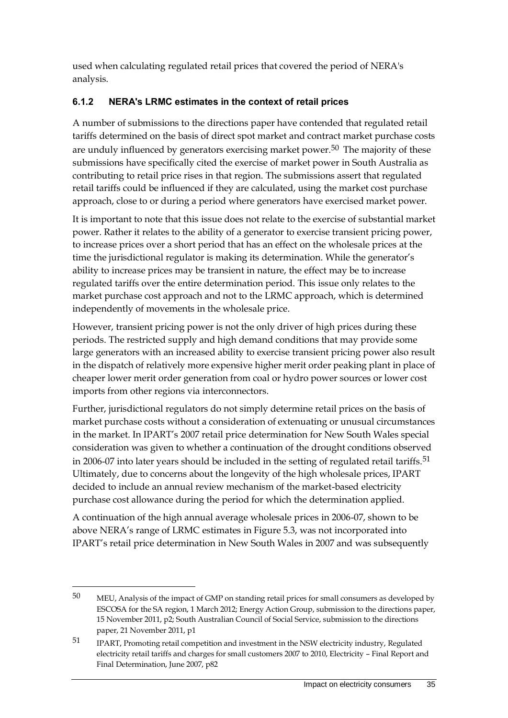used when calculating regulated retail prices that covered the period of NERA's analysis.

### **6.1.2 NERA's LRMC estimates in the context of retail prices**

A number of submissions to the directions paper have contended that regulated retail tariffs determined on the basis of direct spot market and contract market purchase costs are unduly influenced by generators exercising market power.<sup>50</sup> The majority of these submissions have specifically cited the exercise of market power in South Australia as contributing to retail price rises in that region. The submissions assert that regulated retail tariffs could be influenced if they are calculated, using the market cost purchase approach, close to or during a period where generators have exercised market power.

It is important to note that this issue does not relate to the exercise of substantial market power. Rather it relates to the ability of a generator to exercise transient pricing power, to increase prices over a short period that has an effect on the wholesale prices at the time the jurisdictional regulator is making its determination. While the generator's ability to increase prices may be transient in nature, the effect may be to increase regulated tariffs over the entire determination period. This issue only relates to the market purchase cost approach and not to the LRMC approach, which is determined independently of movements in the wholesale price.

However, transient pricing power is not the only driver of high prices during these periods. The restricted supply and high demand conditions that may provide some large generators with an increased ability to exercise transient pricing power also result in the dispatch of relatively more expensive higher merit order peaking plant in place of cheaper lower merit order generation from coal or hydro power sources or lower cost imports from other regions via interconnectors.

Further, jurisdictional regulators do not simply determine retail prices on the basis of market purchase costs without a consideration of extenuating or unusual circumstances in the market. In IPART's 2007 retail price determination for New South Wales special consideration was given to whether a continuation of the drought conditions observed in 2006-07 into later years should be included in the setting of regulated retail tariffs.<sup>51</sup> Ultimately, due to concerns about the longevity of the high wholesale prices, IPART decided to include an annual review mechanism of the market-based electricity purchase cost allowance during the period for which the determination applied.

A continuation of the high annual average wholesale prices in 2006-07, shown to be above NERA's range of LRMC estimates in Figure 5.3, was not incorporated into IPART's retail price determination in New South Wales in 2007 and was subsequently

<sup>50</sup> MEU, Analysis of the impact of GMP on standing retail prices for small consumers as developed by ESCOSA for the SA region, 1 March 2012; Energy Action Group, submission to the directions paper, 15 November 2011, p2; South Australian Council of Social Service, submission to the directions paper, 21 November 2011, p1

<sup>51</sup> IPART, Promoting retail competition and investment in the NSW electricity industry, Regulated electricity retail tariffs and charges for small customers 2007 to 2010, Electricity – Final Report and Final Determination, June 2007, p82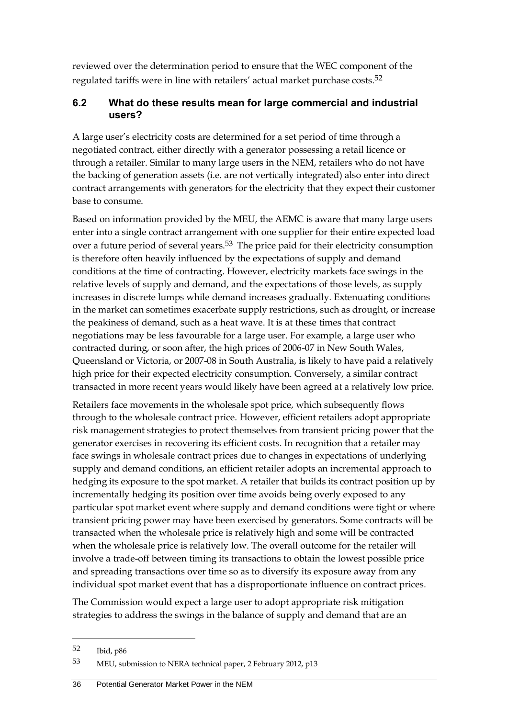reviewed over the determination period to ensure that the WEC component of the regulated tariffs were in line with retailers' actual market purchase costs.52

### **6.2 What do these results mean for large commercial and industrial users?**

A large user's electricity costs are determined for a set period of time through a negotiated contract, either directly with a generator possessing a retail licence or through a retailer. Similar to many large users in the NEM, retailers who do not have the backing of generation assets (i.e. are not vertically integrated) also enter into direct contract arrangements with generators for the electricity that they expect their customer base to consume.

Based on information provided by the MEU, the AEMC is aware that many large users enter into a single contract arrangement with one supplier for their entire expected load over a future period of several years.<sup>53</sup> The price paid for their electricity consumption is therefore often heavily influenced by the expectations of supply and demand conditions at the time of contracting. However, electricity markets face swings in the relative levels of supply and demand, and the expectations of those levels, as supply increases in discrete lumps while demand increases gradually. Extenuating conditions in the market can sometimes exacerbate supply restrictions, such as drought, or increase the peakiness of demand, such as a heat wave. It is at these times that contract negotiations may be less favourable for a large user. For example, a large user who contracted during, or soon after, the high prices of 2006-07 in New South Wales, Queensland or Victoria, or 2007-08 in South Australia, is likely to have paid a relatively high price for their expected electricity consumption. Conversely, a similar contract transacted in more recent years would likely have been agreed at a relatively low price.

Retailers face movements in the wholesale spot price, which subsequently flows through to the wholesale contract price. However, efficient retailers adopt appropriate risk management strategies to protect themselves from transient pricing power that the generator exercises in recovering its efficient costs. In recognition that a retailer may face swings in wholesale contract prices due to changes in expectations of underlying supply and demand conditions, an efficient retailer adopts an incremental approach to hedging its exposure to the spot market. A retailer that builds its contract position up by incrementally hedging its position over time avoids being overly exposed to any particular spot market event where supply and demand conditions were tight or where transient pricing power may have been exercised by generators. Some contracts will be transacted when the wholesale price is relatively high and some will be contracted when the wholesale price is relatively low. The overall outcome for the retailer will involve a trade-off between timing its transactions to obtain the lowest possible price and spreading transactions over time so as to diversify its exposure away from any individual spot market event that has a disproportionate influence on contract prices.

The Commission would expect a large user to adopt appropriate risk mitigation strategies to address the swings in the balance of supply and demand that are an

<sup>52</sup> Ibid, p86

<sup>53</sup> MEU, submission to NERA technical paper, 2 February 2012, p13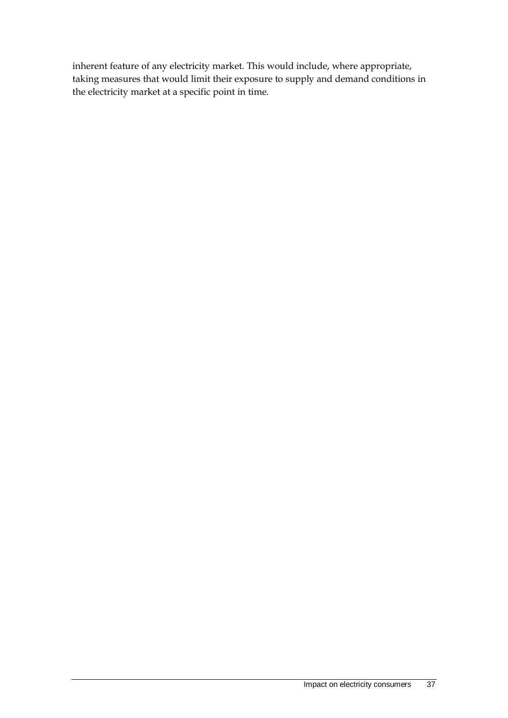inherent feature of any electricity market. This would include, where appropriate, taking measures that would limit their exposure to supply and demand conditions in the electricity market at a specific point in time.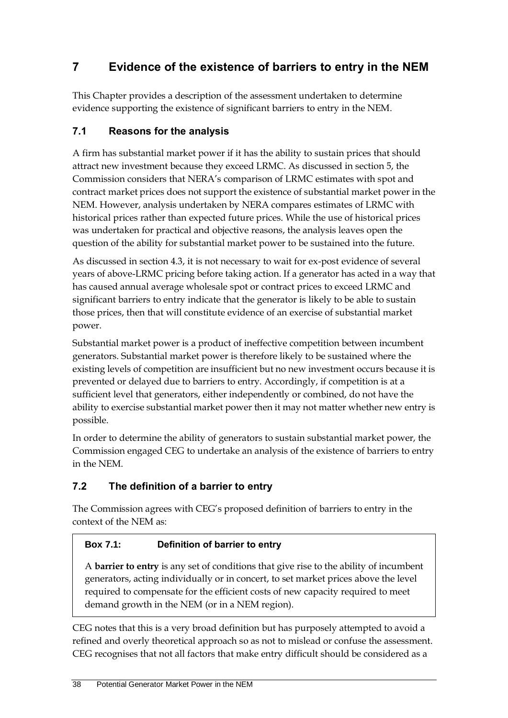# **7 Evidence of the existence of barriers to entry in the NEM**

This Chapter provides a description of the assessment undertaken to determine evidence supporting the existence of significant barriers to entry in the NEM.

## **7.1 Reasons for the analysis**

A firm has substantial market power if it has the ability to sustain prices that should attract new investment because they exceed LRMC. As discussed in section 5, the Commission considers that NERA's comparison of LRMC estimates with spot and contract market prices does not support the existence of substantial market power in the NEM. However, analysis undertaken by NERA compares estimates of LRMC with historical prices rather than expected future prices. While the use of historical prices was undertaken for practical and objective reasons, the analysis leaves open the question of the ability for substantial market power to be sustained into the future.

As discussed in section 4.3, it is not necessary to wait for ex-post evidence of several years of above-LRMC pricing before taking action. If a generator has acted in a way that has caused annual average wholesale spot or contract prices to exceed LRMC and significant barriers to entry indicate that the generator is likely to be able to sustain those prices, then that will constitute evidence of an exercise of substantial market power.

Substantial market power is a product of ineffective competition between incumbent generators. Substantial market power is therefore likely to be sustained where the existing levels of competition are insufficient but no new investment occurs because it is prevented or delayed due to barriers to entry. Accordingly, if competition is at a sufficient level that generators, either independently or combined, do not have the ability to exercise substantial market power then it may not matter whether new entry is possible.

In order to determine the ability of generators to sustain substantial market power, the Commission engaged CEG to undertake an analysis of the existence of barriers to entry in the NEM.

## **7.2 The definition of a barrier to entry**

The Commission agrees with CEG's proposed definition of barriers to entry in the context of the NEM as:

## **Box 7.1: Definition of barrier to entry**

A **barrier to entry** is any set of conditions that give rise to the ability of incumbent generators, acting individually or in concert, to set market prices above the level required to compensate for the efficient costs of new capacity required to meet demand growth in the NEM (or in a NEM region).

CEG notes that this is a very broad definition but has purposely attempted to avoid a refined and overly theoretical approach so as not to mislead or confuse the assessment. CEG recognises that not all factors that make entry difficult should be considered as a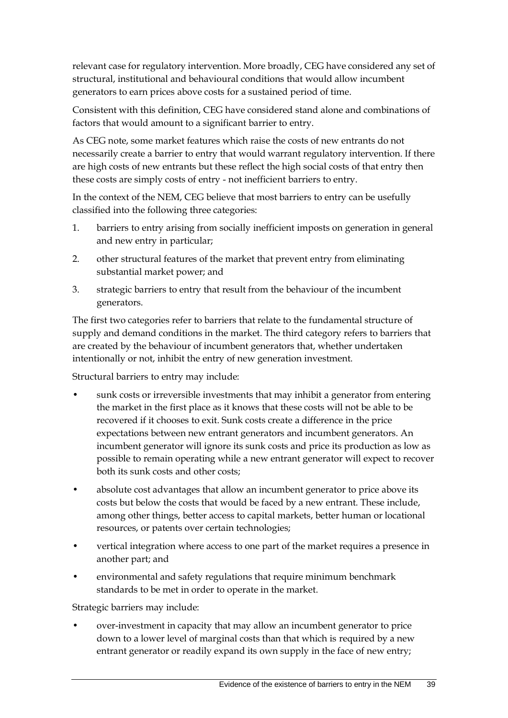relevant case for regulatory intervention. More broadly, CEG have considered any set of structural, institutional and behavioural conditions that would allow incumbent generators to earn prices above costs for a sustained period of time.

Consistent with this definition, CEG have considered stand alone and combinations of factors that would amount to a significant barrier to entry.

As CEG note, some market features which raise the costs of new entrants do not necessarily create a barrier to entry that would warrant regulatory intervention. If there are high costs of new entrants but these reflect the high social costs of that entry then these costs are simply costs of entry - not inefficient barriers to entry.

In the context of the NEM, CEG believe that most barriers to entry can be usefully classified into the following three categories:

- 1. barriers to entry arising from socially inefficient imposts on generation in general and new entry in particular;
- 2. other structural features of the market that prevent entry from eliminating substantial market power; and
- 3. strategic barriers to entry that result from the behaviour of the incumbent generators.

The first two categories refer to barriers that relate to the fundamental structure of supply and demand conditions in the market. The third category refers to barriers that are created by the behaviour of incumbent generators that, whether undertaken intentionally or not, inhibit the entry of new generation investment.

Structural barriers to entry may include:

- sunk costs or irreversible investments that may inhibit a generator from entering the market in the first place as it knows that these costs will not be able to be recovered if it chooses to exit. Sunk costs create a difference in the price expectations between new entrant generators and incumbent generators. An incumbent generator will ignore its sunk costs and price its production as low as possible to remain operating while a new entrant generator will expect to recover both its sunk costs and other costs;
- absolute cost advantages that allow an incumbent generator to price above its costs but below the costs that would be faced by a new entrant. These include, among other things, better access to capital markets, better human or locational resources, or patents over certain technologies;
- vertical integration where access to one part of the market requires a presence in another part; and
- environmental and safety regulations that require minimum benchmark standards to be met in order to operate in the market.

Strategic barriers may include:

• over-investment in capacity that may allow an incumbent generator to price down to a lower level of marginal costs than that which is required by a new entrant generator or readily expand its own supply in the face of new entry;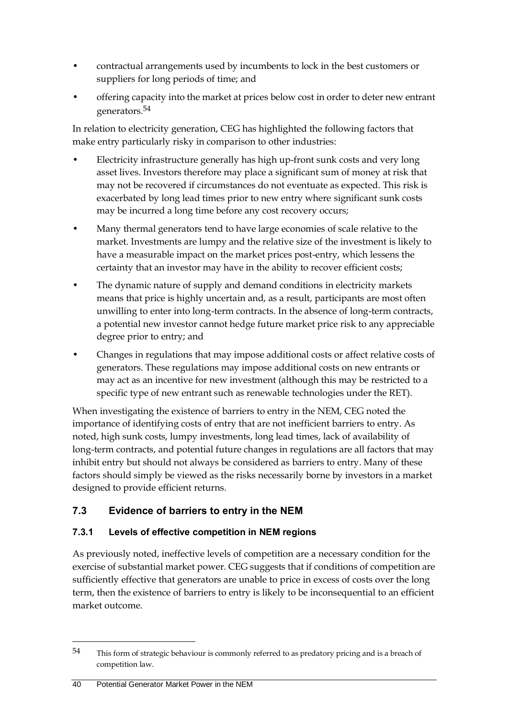- contractual arrangements used by incumbents to lock in the best customers or suppliers for long periods of time; and
- offering capacity into the market at prices below cost in order to deter new entrant generators.54

In relation to electricity generation, CEG has highlighted the following factors that make entry particularly risky in comparison to other industries:

- Electricity infrastructure generally has high up-front sunk costs and very long asset lives. Investors therefore may place a significant sum of money at risk that may not be recovered if circumstances do not eventuate as expected. This risk is exacerbated by long lead times prior to new entry where significant sunk costs may be incurred a long time before any cost recovery occurs;
- Many thermal generators tend to have large economies of scale relative to the market. Investments are lumpy and the relative size of the investment is likely to have a measurable impact on the market prices post-entry, which lessens the certainty that an investor may have in the ability to recover efficient costs;
- The dynamic nature of supply and demand conditions in electricity markets means that price is highly uncertain and, as a result, participants are most often unwilling to enter into long-term contracts. In the absence of long-term contracts, a potential new investor cannot hedge future market price risk to any appreciable degree prior to entry; and
- Changes in regulations that may impose additional costs or affect relative costs of generators. These regulations may impose additional costs on new entrants or may act as an incentive for new investment (although this may be restricted to a specific type of new entrant such as renewable technologies under the RET).

When investigating the existence of barriers to entry in the NEM, CEG noted the importance of identifying costs of entry that are not inefficient barriers to entry. As noted, high sunk costs, lumpy investments, long lead times, lack of availability of long-term contracts, and potential future changes in regulations are all factors that may inhibit entry but should not always be considered as barriers to entry. Many of these factors should simply be viewed as the risks necessarily borne by investors in a market designed to provide efficient returns.

## **7.3 Evidence of barriers to entry in the NEM**

### **7.3.1 Levels of effective competition in NEM regions**

As previously noted, ineffective levels of competition are a necessary condition for the exercise of substantial market power. CEG suggests that if conditions of competition are sufficiently effective that generators are unable to price in excess of costs over the long term, then the existence of barriers to entry is likely to be inconsequential to an efficient market outcome.

#### 40 Potential Generator Market Power in the NEM

<sup>54</sup> This form of strategic behaviour is commonly referred to as predatory pricing and is a breach of competition law.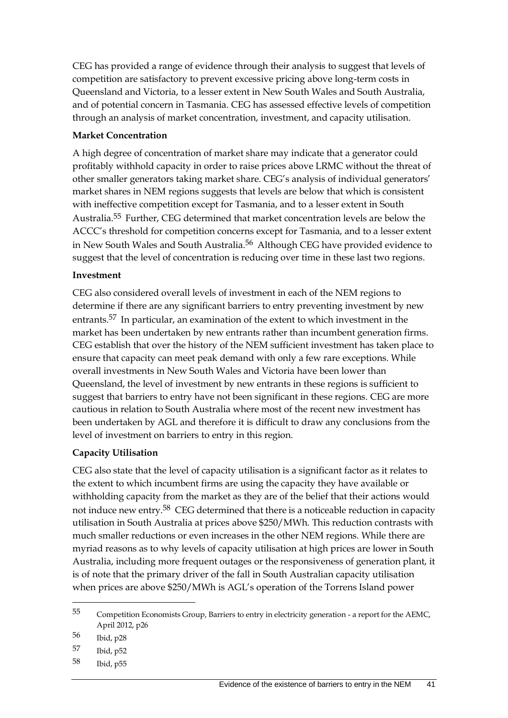CEG has provided a range of evidence through their analysis to suggest that levels of competition are satisfactory to prevent excessive pricing above long-term costs in Queensland and Victoria, to a lesser extent in New South Wales and South Australia, and of potential concern in Tasmania. CEG has assessed effective levels of competition through an analysis of market concentration, investment, and capacity utilisation.

### **Market Concentration**

A high degree of concentration of market share may indicate that a generator could profitably withhold capacity in order to raise prices above LRMC without the threat of other smaller generators taking market share. CEG's analysis of individual generators' market shares in NEM regions suggests that levels are below that which is consistent with ineffective competition except for Tasmania, and to a lesser extent in South Australia.55 Further, CEG determined that market concentration levels are below the ACCC's threshold for competition concerns except for Tasmania, and to a lesser extent in New South Wales and South Australia.<sup>56</sup> Although CEG have provided evidence to suggest that the level of concentration is reducing over time in these last two regions.

#### **Investment**

CEG also considered overall levels of investment in each of the NEM regions to determine if there are any significant barriers to entry preventing investment by new entrants.57 In particular, an examination of the extent to which investment in the market has been undertaken by new entrants rather than incumbent generation firms. CEG establish that over the history of the NEM sufficient investment has taken place to ensure that capacity can meet peak demand with only a few rare exceptions. While overall investments in New South Wales and Victoria have been lower than Queensland, the level of investment by new entrants in these regions is sufficient to suggest that barriers to entry have not been significant in these regions. CEG are more cautious in relation to South Australia where most of the recent new investment has been undertaken by AGL and therefore it is difficult to draw any conclusions from the level of investment on barriers to entry in this region.

### **Capacity Utilisation**

CEG also state that the level of capacity utilisation is a significant factor as it relates to the extent to which incumbent firms are using the capacity they have available or withholding capacity from the market as they are of the belief that their actions would not induce new entry.58 CEG determined that there is a noticeable reduction in capacity utilisation in South Australia at prices above \$250/MWh. This reduction contrasts with much smaller reductions or even increases in the other NEM regions. While there are myriad reasons as to why levels of capacity utilisation at high prices are lower in South Australia, including more frequent outages or the responsiveness of generation plant, it is of note that the primary driver of the fall in South Australian capacity utilisation when prices are above \$250/MWh is AGL's operation of the Torrens Island power

 $\overline{a}$ 

58 Ibid, p55

<sup>55</sup> Competition Economists Group, Barriers to entry in electricity generation - a report for the AEMC, April 2012, p26

<sup>56</sup> Ibid, p28

<sup>57</sup> Ibid, p52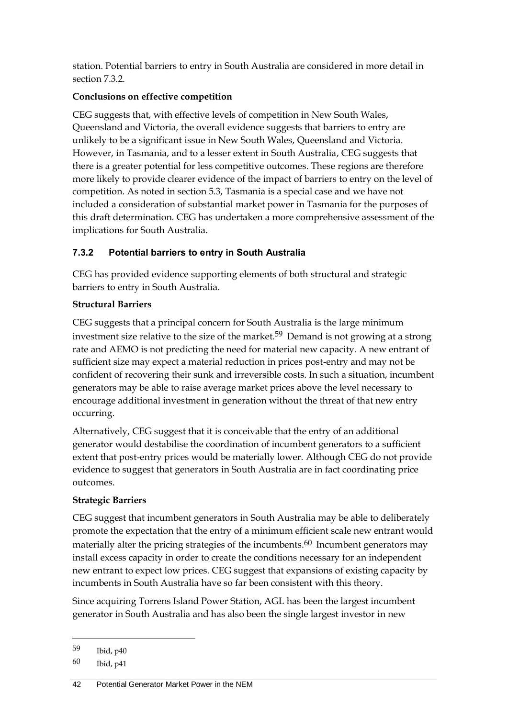station. Potential barriers to entry in South Australia are considered in more detail in section 7.3.2.

### **Conclusions on effective competition**

CEG suggests that, with effective levels of competition in New South Wales, Queensland and Victoria, the overall evidence suggests that barriers to entry are unlikely to be a significant issue in New South Wales, Queensland and Victoria. However, in Tasmania, and to a lesser extent in South Australia, CEG suggests that there is a greater potential for less competitive outcomes. These regions are therefore more likely to provide clearer evidence of the impact of barriers to entry on the level of competition. As noted in section 5.3, Tasmania is a special case and we have not included a consideration of substantial market power in Tasmania for the purposes of this draft determination. CEG has undertaken a more comprehensive assessment of the implications for South Australia.

### **7.3.2 Potential barriers to entry in South Australia**

CEG has provided evidence supporting elements of both structural and strategic barriers to entry in South Australia.

### **Structural Barriers**

CEG suggests that a principal concern for South Australia is the large minimum investment size relative to the size of the market.<sup>59</sup> Demand is not growing at a strong rate and AEMO is not predicting the need for material new capacity. A new entrant of sufficient size may expect a material reduction in prices post-entry and may not be confident of recovering their sunk and irreversible costs. In such a situation, incumbent generators may be able to raise average market prices above the level necessary to encourage additional investment in generation without the threat of that new entry occurring.

Alternatively, CEG suggest that it is conceivable that the entry of an additional generator would destabilise the coordination of incumbent generators to a sufficient extent that post-entry prices would be materially lower. Although CEG do not provide evidence to suggest that generators in South Australia are in fact coordinating price outcomes.

### **Strategic Barriers**

CEG suggest that incumbent generators in South Australia may be able to deliberately promote the expectation that the entry of a minimum efficient scale new entrant would materially alter the pricing strategies of the incumbents.<sup>60</sup> Incumbent generators may install excess capacity in order to create the conditions necessary for an independent new entrant to expect low prices. CEG suggest that expansions of existing capacity by incumbents in South Australia have so far been consistent with this theory.

Since acquiring Torrens Island Power Station, AGL has been the largest incumbent generator in South Australia and has also been the single largest investor in new

<sup>59</sup> Ibid, p40

<sup>60</sup> Ibid, p41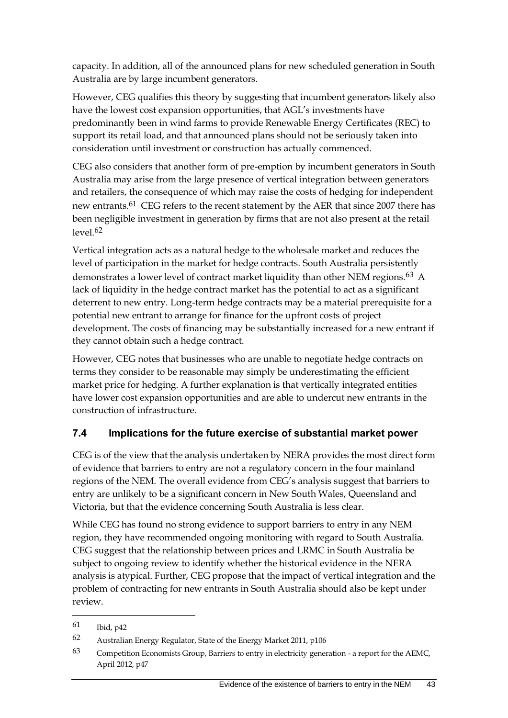capacity. In addition, all of the announced plans for new scheduled generation in South Australia are by large incumbent generators.

However, CEG qualifies this theory by suggesting that incumbent generators likely also have the lowest cost expansion opportunities, that AGL's investments have predominantly been in wind farms to provide Renewable Energy Certificates (REC) to support its retail load, and that announced plans should not be seriously taken into consideration until investment or construction has actually commenced.

CEG also considers that another form of pre-emption by incumbent generators in South Australia may arise from the large presence of vertical integration between generators and retailers, the consequence of which may raise the costs of hedging for independent new entrants.61 CEG refers to the recent statement by the AER that since 2007 there has been negligible investment in generation by firms that are not also present at the retail level.62

Vertical integration acts as a natural hedge to the wholesale market and reduces the level of participation in the market for hedge contracts. South Australia persistently demonstrates a lower level of contract market liquidity than other NEM regions.63 A lack of liquidity in the hedge contract market has the potential to act as a significant deterrent to new entry. Long-term hedge contracts may be a material prerequisite for a potential new entrant to arrange for finance for the upfront costs of project development. The costs of financing may be substantially increased for a new entrant if they cannot obtain such a hedge contract.

However, CEG notes that businesses who are unable to negotiate hedge contracts on terms they consider to be reasonable may simply be underestimating the efficient market price for hedging. A further explanation is that vertically integrated entities have lower cost expansion opportunities and are able to undercut new entrants in the construction of infrastructure.

## **7.4 Implications for the future exercise of substantial market power**

CEG is of the view that the analysis undertaken by NERA provides the most direct form of evidence that barriers to entry are not a regulatory concern in the four mainland regions of the NEM. The overall evidence from CEG's analysis suggest that barriers to entry are unlikely to be a significant concern in New South Wales, Queensland and Victoria, but that the evidence concerning South Australia is less clear.

While CEG has found no strong evidence to support barriers to entry in any NEM region, they have recommended ongoing monitoring with regard to South Australia. CEG suggest that the relationship between prices and LRMC in South Australia be subject to ongoing review to identify whether the historical evidence in the NERA analysis is atypical. Further, CEG propose that the impact of vertical integration and the problem of contracting for new entrants in South Australia should also be kept under review.

<sup>61</sup> Ibid, p42

<sup>62</sup> Australian Energy Regulator, State of the Energy Market 2011, p106

<sup>63</sup> Competition Economists Group, Barriers to entry in electricity generation - a report for the AEMC, April 2012, p47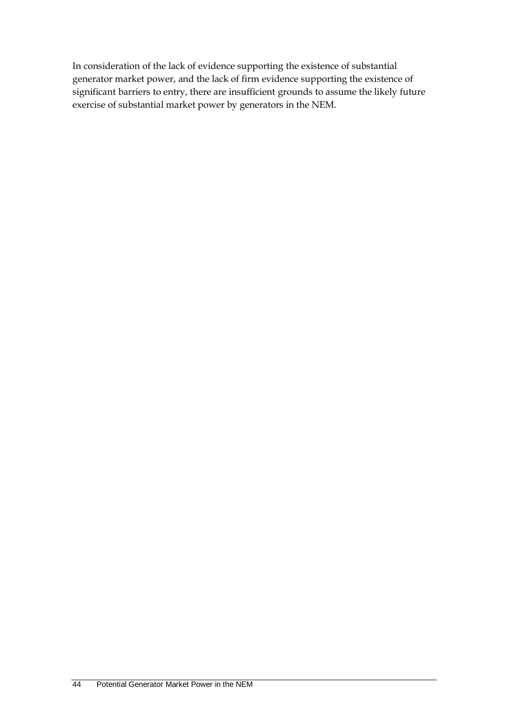In consideration of the lack of evidence supporting the existence of substantial generator market power, and the lack of firm evidence supporting the existence of significant barriers to entry, there are insufficient grounds to assume the likely future exercise of substantial market power by generators in the NEM.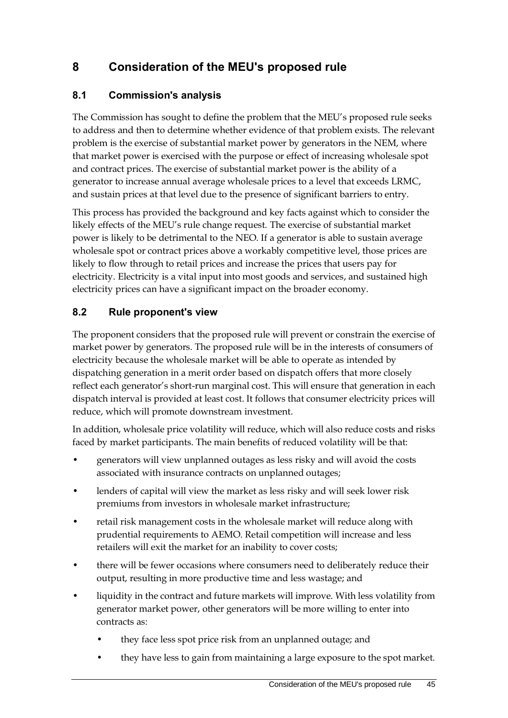# **8 Consideration of the MEU's proposed rule**

## **8.1 Commission's analysis**

The Commission has sought to define the problem that the MEU's proposed rule seeks to address and then to determine whether evidence of that problem exists. The relevant problem is the exercise of substantial market power by generators in the NEM, where that market power is exercised with the purpose or effect of increasing wholesale spot and contract prices. The exercise of substantial market power is the ability of a generator to increase annual average wholesale prices to a level that exceeds LRMC, and sustain prices at that level due to the presence of significant barriers to entry.

This process has provided the background and key facts against which to consider the likely effects of the MEU's rule change request. The exercise of substantial market power is likely to be detrimental to the NEO. If a generator is able to sustain average wholesale spot or contract prices above a workably competitive level, those prices are likely to flow through to retail prices and increase the prices that users pay for electricity. Electricity is a vital input into most goods and services, and sustained high electricity prices can have a significant impact on the broader economy.

### **8.2 Rule proponent's view**

The proponent considers that the proposed rule will prevent or constrain the exercise of market power by generators. The proposed rule will be in the interests of consumers of electricity because the wholesale market will be able to operate as intended by dispatching generation in a merit order based on dispatch offers that more closely reflect each generator's short-run marginal cost. This will ensure that generation in each dispatch interval is provided at least cost. It follows that consumer electricity prices will reduce, which will promote downstream investment.

In addition, wholesale price volatility will reduce, which will also reduce costs and risks faced by market participants. The main benefits of reduced volatility will be that:

- generators will view unplanned outages as less risky and will avoid the costs associated with insurance contracts on unplanned outages;
- lenders of capital will view the market as less risky and will seek lower risk premiums from investors in wholesale market infrastructure;
- retail risk management costs in the wholesale market will reduce along with prudential requirements to AEMO. Retail competition will increase and less retailers will exit the market for an inability to cover costs;
- there will be fewer occasions where consumers need to deliberately reduce their output, resulting in more productive time and less wastage; and
- liquidity in the contract and future markets will improve. With less volatility from generator market power, other generators will be more willing to enter into contracts as:
	- they face less spot price risk from an unplanned outage; and
	- they have less to gain from maintaining a large exposure to the spot market.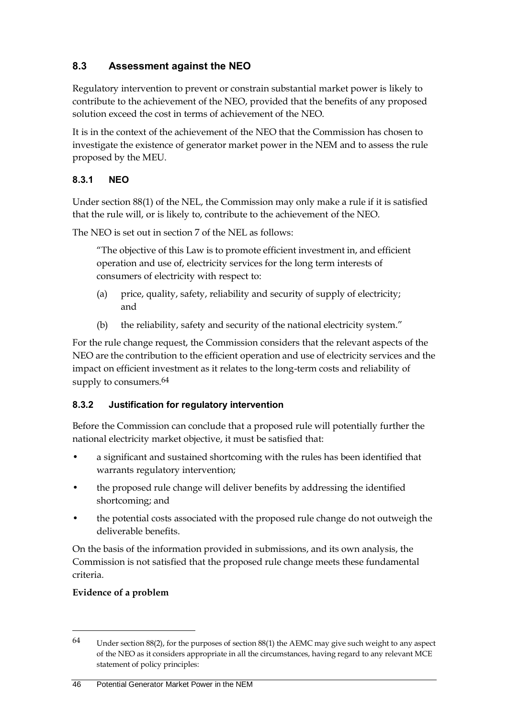# **8.3 Assessment against the NEO**

Regulatory intervention to prevent or constrain substantial market power is likely to contribute to the achievement of the NEO, provided that the benefits of any proposed solution exceed the cost in terms of achievement of the NEO.

It is in the context of the achievement of the NEO that the Commission has chosen to investigate the existence of generator market power in the NEM and to assess the rule proposed by the MEU.

## **8.3.1 NEO**

Under section 88(1) of the NEL, the Commission may only make a rule if it is satisfied that the rule will, or is likely to, contribute to the achievement of the NEO.

The NEO is set out in section 7 of the NEL as follows:

"The objective of this Law is to promote efficient investment in, and efficient operation and use of, electricity services for the long term interests of consumers of electricity with respect to:

- (a) price, quality, safety, reliability and security of supply of electricity; and
- (b) the reliability, safety and security of the national electricity system."

For the rule change request, the Commission considers that the relevant aspects of the NEO are the contribution to the efficient operation and use of electricity services and the impact on efficient investment as it relates to the long-term costs and reliability of supply to consumers.<sup>64</sup>

## **8.3.2 Justification for regulatory intervention**

Before the Commission can conclude that a proposed rule will potentially further the national electricity market objective, it must be satisfied that:

- a significant and sustained shortcoming with the rules has been identified that warrants regulatory intervention;
- the proposed rule change will deliver benefits by addressing the identified shortcoming; and
- the potential costs associated with the proposed rule change do not outweigh the deliverable benefits.

On the basis of the information provided in submissions, and its own analysis, the Commission is not satisfied that the proposed rule change meets these fundamental criteria.

## **Evidence of a problem**

<sup>64</sup> Under section 88(2), for the purposes of section 88(1) the AEMC may give such weight to any aspect of the NEO as it considers appropriate in all the circumstances, having regard to any relevant MCE statement of policy principles: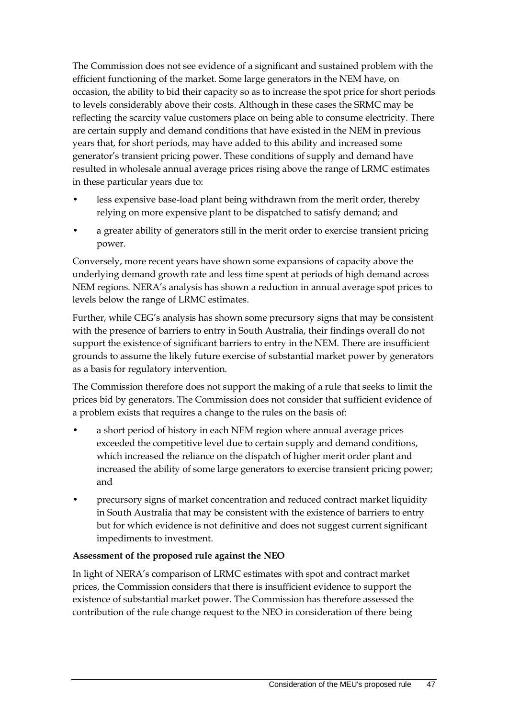The Commission does not see evidence of a significant and sustained problem with the efficient functioning of the market. Some large generators in the NEM have, on occasion, the ability to bid their capacity so as to increase the spot price for short periods to levels considerably above their costs. Although in these cases the SRMC may be reflecting the scarcity value customers place on being able to consume electricity. There are certain supply and demand conditions that have existed in the NEM in previous years that, for short periods, may have added to this ability and increased some generator's transient pricing power. These conditions of supply and demand have resulted in wholesale annual average prices rising above the range of LRMC estimates in these particular years due to:

- less expensive base-load plant being withdrawn from the merit order, thereby relying on more expensive plant to be dispatched to satisfy demand; and
- a greater ability of generators still in the merit order to exercise transient pricing power.

Conversely, more recent years have shown some expansions of capacity above the underlying demand growth rate and less time spent at periods of high demand across NEM regions. NERA's analysis has shown a reduction in annual average spot prices to levels below the range of LRMC estimates.

Further, while CEG's analysis has shown some precursory signs that may be consistent with the presence of barriers to entry in South Australia, their findings overall do not support the existence of significant barriers to entry in the NEM. There are insufficient grounds to assume the likely future exercise of substantial market power by generators as a basis for regulatory intervention.

The Commission therefore does not support the making of a rule that seeks to limit the prices bid by generators. The Commission does not consider that sufficient evidence of a problem exists that requires a change to the rules on the basis of:

- a short period of history in each NEM region where annual average prices exceeded the competitive level due to certain supply and demand conditions, which increased the reliance on the dispatch of higher merit order plant and increased the ability of some large generators to exercise transient pricing power; and
- precursory signs of market concentration and reduced contract market liquidity in South Australia that may be consistent with the existence of barriers to entry but for which evidence is not definitive and does not suggest current significant impediments to investment.

#### **Assessment of the proposed rule against the NEO**

In light of NERA's comparison of LRMC estimates with spot and contract market prices, the Commission considers that there is insufficient evidence to support the existence of substantial market power. The Commission has therefore assessed the contribution of the rule change request to the NEO in consideration of there being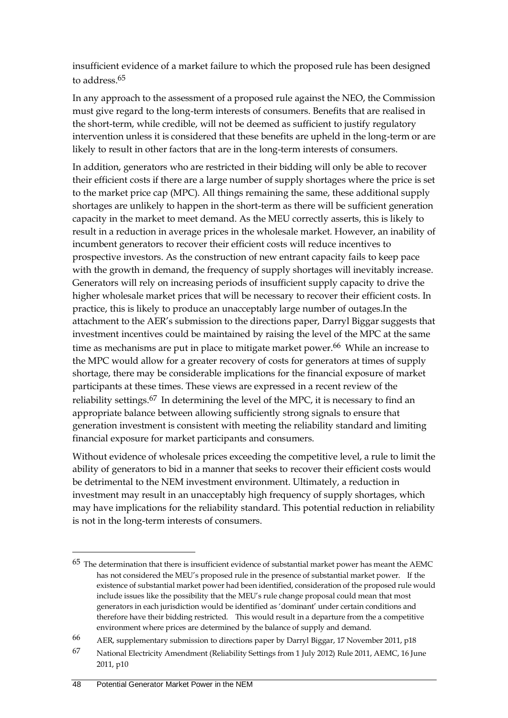insufficient evidence of a market failure to which the proposed rule has been designed to address 65

In any approach to the assessment of a proposed rule against the NEO, the Commission must give regard to the long-term interests of consumers. Benefits that are realised in the short-term, while credible, will not be deemed as sufficient to justify regulatory intervention unless it is considered that these benefits are upheld in the long-term or are likely to result in other factors that are in the long-term interests of consumers.

In addition, generators who are restricted in their bidding will only be able to recover their efficient costs if there are a large number of supply shortages where the price is set to the market price cap (MPC). All things remaining the same, these additional supply shortages are unlikely to happen in the short-term as there will be sufficient generation capacity in the market to meet demand. As the MEU correctly asserts, this is likely to result in a reduction in average prices in the wholesale market. However, an inability of incumbent generators to recover their efficient costs will reduce incentives to prospective investors. As the construction of new entrant capacity fails to keep pace with the growth in demand, the frequency of supply shortages will inevitably increase. Generators will rely on increasing periods of insufficient supply capacity to drive the higher wholesale market prices that will be necessary to recover their efficient costs. In practice, this is likely to produce an unacceptably large number of outages.In the attachment to the AER's submission to the directions paper, Darryl Biggar suggests that investment incentives could be maintained by raising the level of the MPC at the same time as mechanisms are put in place to mitigate market power.<sup>66</sup> While an increase to the MPC would allow for a greater recovery of costs for generators at times of supply shortage, there may be considerable implications for the financial exposure of market participants at these times. These views are expressed in a recent review of the reliability settings.67 In determining the level of the MPC, it is necessary to find an appropriate balance between allowing sufficiently strong signals to ensure that generation investment is consistent with meeting the reliability standard and limiting financial exposure for market participants and consumers.

Without evidence of wholesale prices exceeding the competitive level, a rule to limit the ability of generators to bid in a manner that seeks to recover their efficient costs would be detrimental to the NEM investment environment. Ultimately, a reduction in investment may result in an unacceptably high frequency of supply shortages, which may have implications for the reliability standard. This potential reduction in reliability is not in the long-term interests of consumers.

<sup>65</sup> The determination that there is insufficient evidence of substantial market power has meant the AEMC has not considered the MEU's proposed rule in the presence of substantial market power. If the existence of substantial market power had been identified, consideration of the proposed rule would include issues like the possibility that the MEU's rule change proposal could mean that most generators in each jurisdiction would be identified as 'dominant' under certain conditions and therefore have their bidding restricted. This would result in a departure from the a competitive environment where prices are determined by the balance of supply and demand.

<sup>66</sup> AER, supplementary submission to directions paper by Darryl Biggar, 17 November 2011, p18

<sup>67</sup> National Electricity Amendment (Reliability Settings from 1 July 2012) Rule 2011, AEMC, 16 June 2011, p10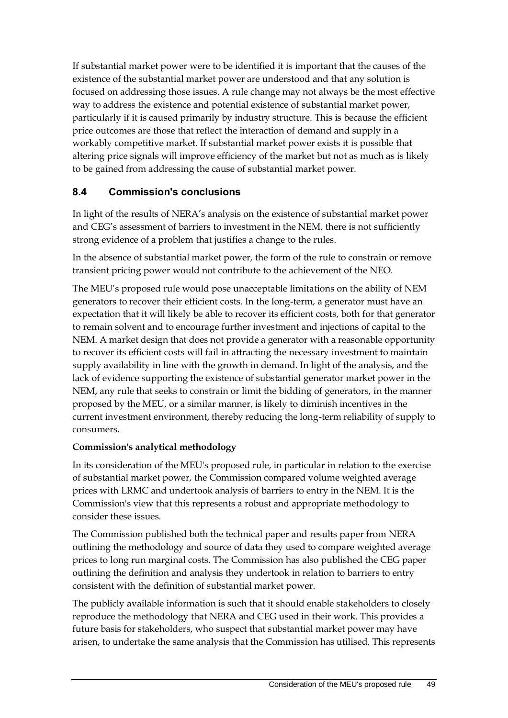If substantial market power were to be identified it is important that the causes of the existence of the substantial market power are understood and that any solution is focused on addressing those issues. A rule change may not always be the most effective way to address the existence and potential existence of substantial market power, particularly if it is caused primarily by industry structure. This is because the efficient price outcomes are those that reflect the interaction of demand and supply in a workably competitive market. If substantial market power exists it is possible that altering price signals will improve efficiency of the market but not as much as is likely to be gained from addressing the cause of substantial market power.

## **8.4 Commission's conclusions**

In light of the results of NERA's analysis on the existence of substantial market power and CEG's assessment of barriers to investment in the NEM, there is not sufficiently strong evidence of a problem that justifies a change to the rules.

In the absence of substantial market power, the form of the rule to constrain or remove transient pricing power would not contribute to the achievement of the NEO.

The MEU's proposed rule would pose unacceptable limitations on the ability of NEM generators to recover their efficient costs. In the long-term, a generator must have an expectation that it will likely be able to recover its efficient costs, both for that generator to remain solvent and to encourage further investment and injections of capital to the NEM. A market design that does not provide a generator with a reasonable opportunity to recover its efficient costs will fail in attracting the necessary investment to maintain supply availability in line with the growth in demand. In light of the analysis, and the lack of evidence supporting the existence of substantial generator market power in the NEM, any rule that seeks to constrain or limit the bidding of generators, in the manner proposed by the MEU, or a similar manner, is likely to diminish incentives in the current investment environment, thereby reducing the long-term reliability of supply to consumers.

### **Commission's analytical methodology**

In its consideration of the MEU's proposed rule, in particular in relation to the exercise of substantial market power, the Commission compared volume weighted average prices with LRMC and undertook analysis of barriers to entry in the NEM. It is the Commission's view that this represents a robust and appropriate methodology to consider these issues.

The Commission published both the technical paper and results paper from NERA outlining the methodology and source of data they used to compare weighted average prices to long run marginal costs. The Commission has also published the CEG paper outlining the definition and analysis they undertook in relation to barriers to entry consistent with the definition of substantial market power.

The publicly available information is such that it should enable stakeholders to closely reproduce the methodology that NERA and CEG used in their work. This provides a future basis for stakeholders, who suspect that substantial market power may have arisen, to undertake the same analysis that the Commission has utilised. This represents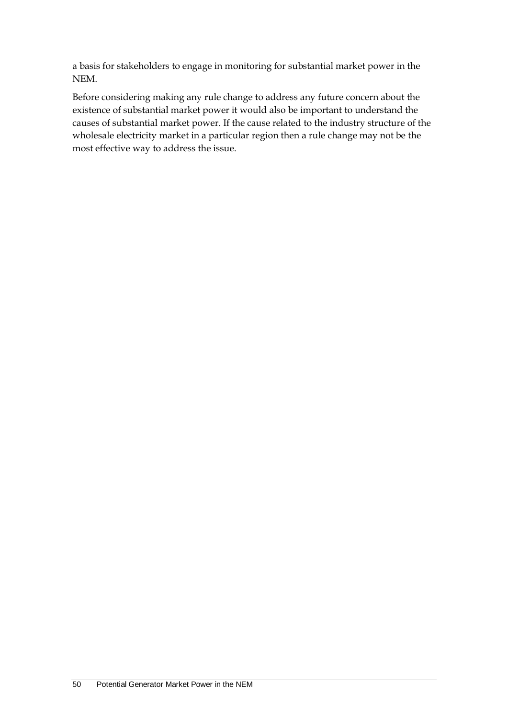a basis for stakeholders to engage in monitoring for substantial market power in the NEM.

Before considering making any rule change to address any future concern about the existence of substantial market power it would also be important to understand the causes of substantial market power. If the cause related to the industry structure of the wholesale electricity market in a particular region then a rule change may not be the most effective way to address the issue.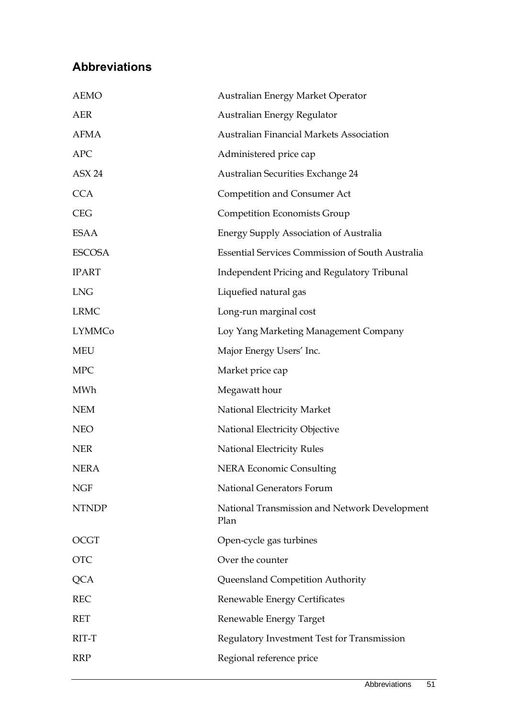# **Abbreviations**

| <b>AEMO</b>       | Australian Energy Market Operator                       |
|-------------------|---------------------------------------------------------|
| <b>AER</b>        | Australian Energy Regulator                             |
| <b>AFMA</b>       | <b>Australian Financial Markets Association</b>         |
| <b>APC</b>        | Administered price cap                                  |
| ASX <sub>24</sub> | Australian Securities Exchange 24                       |
| <b>CCA</b>        | Competition and Consumer Act                            |
| <b>CEG</b>        | <b>Competition Economists Group</b>                     |
| <b>ESAA</b>       | <b>Energy Supply Association of Australia</b>           |
| <b>ESCOSA</b>     | <b>Essential Services Commission of South Australia</b> |
| <b>IPART</b>      | <b>Independent Pricing and Regulatory Tribunal</b>      |
| <b>LNG</b>        | Liquefied natural gas                                   |
| <b>LRMC</b>       | Long-run marginal cost                                  |
| <b>LYMMCo</b>     | Loy Yang Marketing Management Company                   |
| MEU               | Major Energy Users' Inc.                                |
| <b>MPC</b>        | Market price cap                                        |
| MWh               | Megawatt hour                                           |
| <b>NEM</b>        | National Electricity Market                             |
| <b>NEO</b>        | National Electricity Objective                          |
| <b>NER</b>        | National Electricity Rules                              |
| <b>NERA</b>       | <b>NERA Economic Consulting</b>                         |
| <b>NGF</b>        | National Generators Forum                               |
| <b>NTNDP</b>      | National Transmission and Network Development<br>Plan   |
| <b>OCGT</b>       | Open-cycle gas turbines                                 |
| <b>OTC</b>        | Over the counter                                        |
| QCA               | Queensland Competition Authority                        |
| <b>REC</b>        | Renewable Energy Certificates                           |
| <b>RET</b>        | Renewable Energy Target                                 |
| RIT-T             | Regulatory Investment Test for Transmission             |
| <b>RRP</b>        | Regional reference price                                |
|                   |                                                         |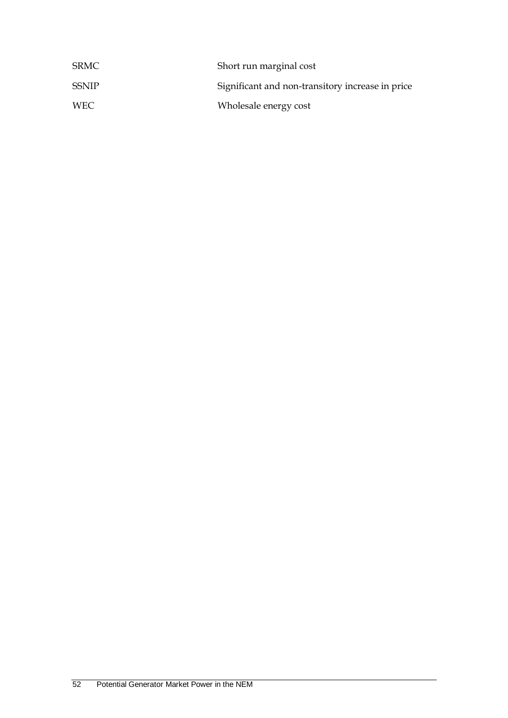| SRMC         | Short run marginal cost                          |
|--------------|--------------------------------------------------|
| <b>SSNIP</b> | Significant and non-transitory increase in price |
| <b>WEC</b>   | Wholesale energy cost                            |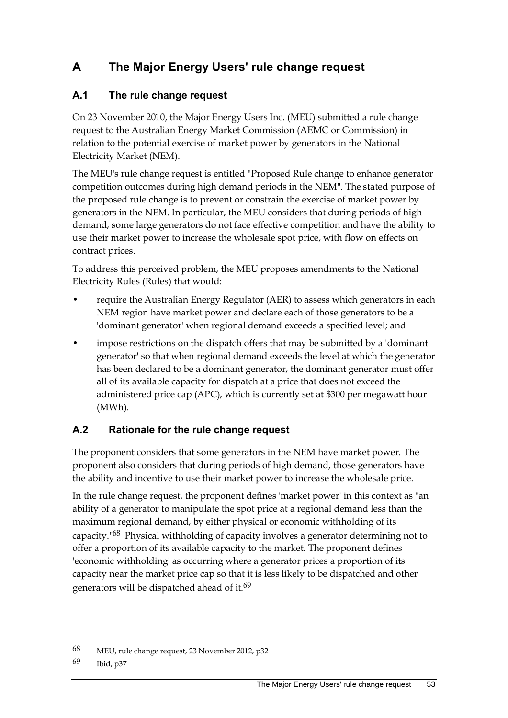# **A The Major Energy Users' rule change request**

## **A.1 The rule change request**

On 23 November 2010, the Major Energy Users Inc. (MEU) submitted a rule change request to the Australian Energy Market Commission (AEMC or Commission) in relation to the potential exercise of market power by generators in the National Electricity Market (NEM).

The MEU's rule change request is entitled "Proposed Rule change to enhance generator competition outcomes during high demand periods in the NEM". The stated purpose of the proposed rule change is to prevent or constrain the exercise of market power by generators in the NEM. In particular, the MEU considers that during periods of high demand, some large generators do not face effective competition and have the ability to use their market power to increase the wholesale spot price, with flow on effects on contract prices.

To address this perceived problem, the MEU proposes amendments to the National Electricity Rules (Rules) that would:

- require the Australian Energy Regulator (AER) to assess which generators in each NEM region have market power and declare each of those generators to be a 'dominant generator' when regional demand exceeds a specified level; and
- impose restrictions on the dispatch offers that may be submitted by a 'dominant generator' so that when regional demand exceeds the level at which the generator has been declared to be a dominant generator, the dominant generator must offer all of its available capacity for dispatch at a price that does not exceed the administered price cap (APC), which is currently set at \$300 per megawatt hour (MWh).

## **A.2 Rationale for the rule change request**

The proponent considers that some generators in the NEM have market power. The proponent also considers that during periods of high demand, those generators have the ability and incentive to use their market power to increase the wholesale price.

In the rule change request, the proponent defines 'market power' in this context as "an ability of a generator to manipulate the spot price at a regional demand less than the maximum regional demand, by either physical or economic withholding of its capacity."68 Physical withholding of capacity involves a generator determining not to offer a proportion of its available capacity to the market. The proponent defines 'economic withholding' as occurring where a generator prices a proportion of its capacity near the market price cap so that it is less likely to be dispatched and other generators will be dispatched ahead of it.69

<sup>68</sup> MEU, rule change request, 23 November 2012, p32

<sup>69</sup> Ibid, p37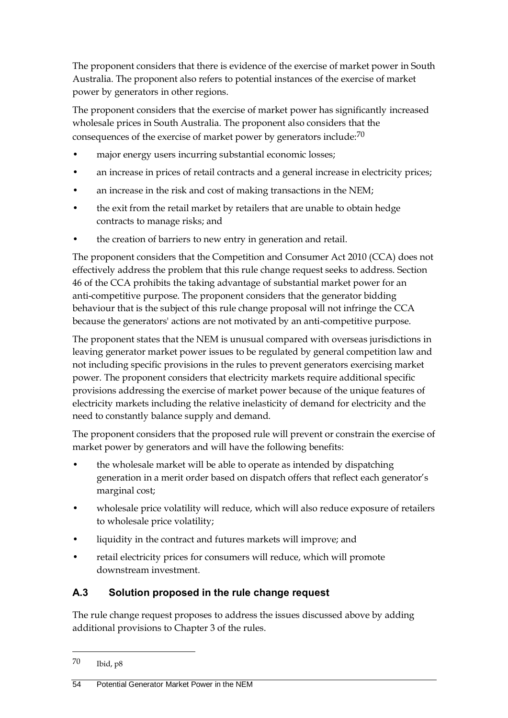The proponent considers that there is evidence of the exercise of market power in South Australia. The proponent also refers to potential instances of the exercise of market power by generators in other regions.

The proponent considers that the exercise of market power has significantly increased wholesale prices in South Australia. The proponent also considers that the consequences of the exercise of market power by generators include:70

- major energy users incurring substantial economic losses;
- an increase in prices of retail contracts and a general increase in electricity prices;
- an increase in the risk and cost of making transactions in the NEM;
- the exit from the retail market by retailers that are unable to obtain hedge contracts to manage risks; and
- the creation of barriers to new entry in generation and retail.

The proponent considers that the Competition and Consumer Act 2010 (CCA) does not effectively address the problem that this rule change request seeks to address. Section 46 of the CCA prohibits the taking advantage of substantial market power for an anti-competitive purpose. The proponent considers that the generator bidding behaviour that is the subject of this rule change proposal will not infringe the CCA because the generators' actions are not motivated by an anti-competitive purpose.

The proponent states that the NEM is unusual compared with overseas jurisdictions in leaving generator market power issues to be regulated by general competition law and not including specific provisions in the rules to prevent generators exercising market power. The proponent considers that electricity markets require additional specific provisions addressing the exercise of market power because of the unique features of electricity markets including the relative inelasticity of demand for electricity and the need to constantly balance supply and demand.

The proponent considers that the proposed rule will prevent or constrain the exercise of market power by generators and will have the following benefits:

- the wholesale market will be able to operate as intended by dispatching generation in a merit order based on dispatch offers that reflect each generator's marginal cost;
- wholesale price volatility will reduce, which will also reduce exposure of retailers to wholesale price volatility;
- liquidity in the contract and futures markets will improve; and
- retail electricity prices for consumers will reduce, which will promote downstream investment.

## **A.3 Solution proposed in the rule change request**

The rule change request proposes to address the issues discussed above by adding additional provisions to Chapter 3 of the rules.

<sup>70</sup> Ibid, p8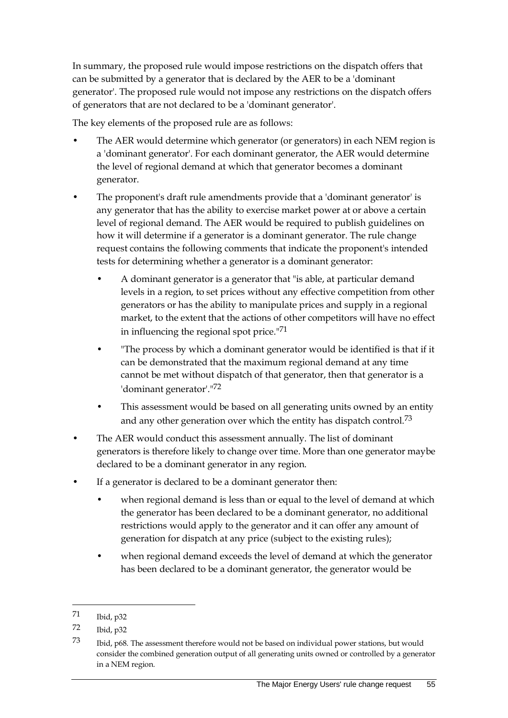In summary, the proposed rule would impose restrictions on the dispatch offers that can be submitted by a generator that is declared by the AER to be a 'dominant generator'. The proposed rule would not impose any restrictions on the dispatch offers of generators that are not declared to be a 'dominant generator'.

The key elements of the proposed rule are as follows:

- The AER would determine which generator (or generators) in each NEM region is a 'dominant generator'. For each dominant generator, the AER would determine the level of regional demand at which that generator becomes a dominant generator.
- The proponent's draft rule amendments provide that a 'dominant generator' is any generator that has the ability to exercise market power at or above a certain level of regional demand. The AER would be required to publish guidelines on how it will determine if a generator is a dominant generator. The rule change request contains the following comments that indicate the proponent's intended tests for determining whether a generator is a dominant generator:
	- A dominant generator is a generator that "is able, at particular demand levels in a region, to set prices without any effective competition from other generators or has the ability to manipulate prices and supply in a regional market, to the extent that the actions of other competitors will have no effect in influencing the regional spot price."71
	- "The process by which a dominant generator would be identified is that if it can be demonstrated that the maximum regional demand at any time cannot be met without dispatch of that generator, then that generator is a 'dominant generator'."72
	- This assessment would be based on all generating units owned by an entity and any other generation over which the entity has dispatch control.<sup>73</sup>
- The AER would conduct this assessment annually. The list of dominant generators is therefore likely to change over time. More than one generator maybe declared to be a dominant generator in any region.
- If a generator is declared to be a dominant generator then:
	- when regional demand is less than or equal to the level of demand at which the generator has been declared to be a dominant generator, no additional restrictions would apply to the generator and it can offer any amount of generation for dispatch at any price (subject to the existing rules);
	- when regional demand exceeds the level of demand at which the generator has been declared to be a dominant generator, the generator would be

<sup>71</sup> Ibid, p32

<sup>72</sup> Ibid, p32

<sup>73</sup> Ibid, p68. The assessment therefore would not be based on individual power stations, but would consider the combined generation output of all generating units owned or controlled by a generator in a NEM region.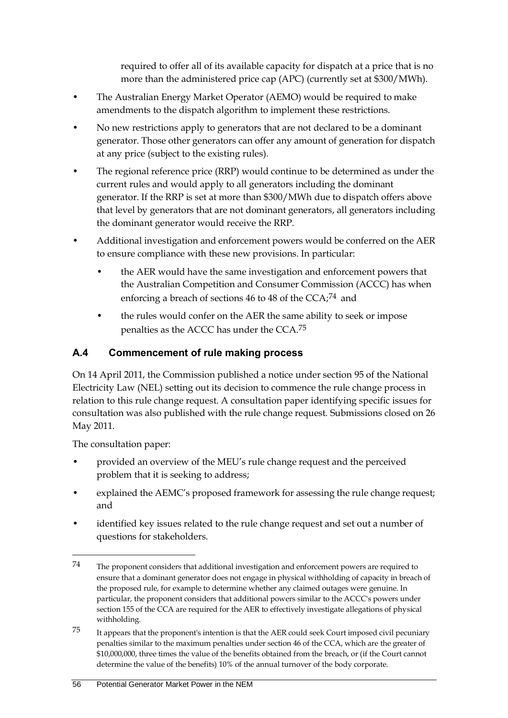required to offer all of its available capacity for dispatch at a price that is no more than the administered price cap (APC) (currently set at \$300/MWh).

- The Australian Energy Market Operator (AEMO) would be required to make amendments to the dispatch algorithm to implement these restrictions.
- No new restrictions apply to generators that are not declared to be a dominant generator. Those other generators can offer any amount of generation for dispatch at any price (subject to the existing rules).
- The regional reference price (RRP) would continue to be determined as under the current rules and would apply to all generators including the dominant generator. If the RRP is set at more than \$300/MWh due to dispatch offers above that level by generators that are not dominant generators, all generators including the dominant generator would receive the RRP.
- Additional investigation and enforcement powers would be conferred on the AER to ensure compliance with these new provisions. In particular:
	- the AER would have the same investigation and enforcement powers that the Australian Competition and Consumer Commission (ACCC) has when enforcing a breach of sections 46 to 48 of the  $CCA;^{74}$  and
	- the rules would confer on the AER the same ability to seek or impose penalties as the ACCC has under the CCA.75

## **A.4 Commencement of rule making process**

On 14 April 2011, the Commission published a notice under section 95 of the National Electricity Law (NEL) setting out its decision to commence the rule change process in relation to this rule change request. A consultation paper identifying specific issues for consultation was also published with the rule change request. Submissions closed on 26 May 2011.

The consultation paper:

- provided an overview of the MEU's rule change request and the perceived problem that it is seeking to address;
- explained the AEMC's proposed framework for assessing the rule change request; and
- identified key issues related to the rule change request and set out a number of questions for stakeholders.

<sup>74</sup> The proponent considers that additional investigation and enforcement powers are required to ensure that a dominant generator does not engage in physical withholding of capacity in breach of the proposed rule, for example to determine whether any claimed outages were genuine. In particular, the proponent considers that additional powers similar to the ACCC's powers under section 155 of the CCA are required for the AER to effectively investigate allegations of physical withholding.

<sup>75</sup> It appears that the proponent's intention is that the AER could seek Court imposed civil pecuniary penalties similar to the maximum penalties under section 46 of the CCA, which are the greater of \$10,000,000, three times the value of the benefits obtained from the breach, or (if the Court cannot determine the value of the benefits) 10% of the annual turnover of the body corporate.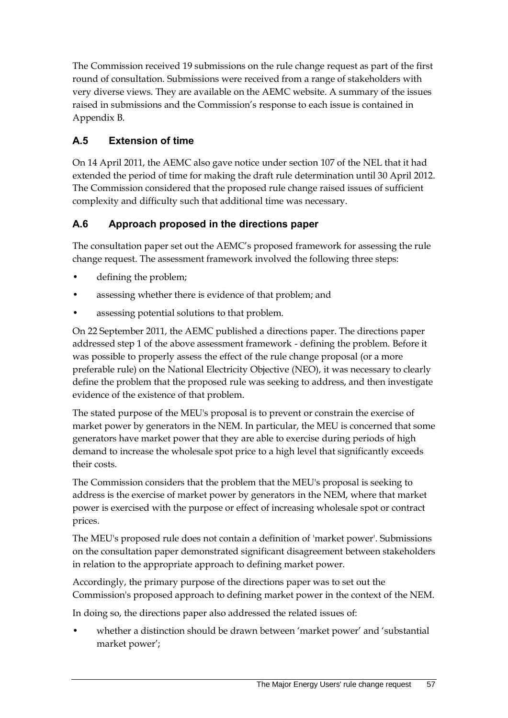The Commission received 19 submissions on the rule change request as part of the first round of consultation. Submissions were received from a range of stakeholders with very diverse views. They are available on the AEMC website. A summary of the issues raised in submissions and the Commission's response to each issue is contained in Appendix B.

# **A.5 Extension of time**

On 14 April 2011, the AEMC also gave notice under section 107 of the NEL that it had extended the period of time for making the draft rule determination until 30 April 2012. The Commission considered that the proposed rule change raised issues of sufficient complexity and difficulty such that additional time was necessary.

## **A.6 Approach proposed in the directions paper**

The consultation paper set out the AEMC's proposed framework for assessing the rule change request. The assessment framework involved the following three steps:

- defining the problem:
- assessing whether there is evidence of that problem; and
- assessing potential solutions to that problem.

On 22 September 2011, the AEMC published a directions paper. The directions paper addressed step 1 of the above assessment framework - defining the problem. Before it was possible to properly assess the effect of the rule change proposal (or a more preferable rule) on the National Electricity Objective (NEO), it was necessary to clearly define the problem that the proposed rule was seeking to address, and then investigate evidence of the existence of that problem.

The stated purpose of the MEU's proposal is to prevent or constrain the exercise of market power by generators in the NEM. In particular, the MEU is concerned that some generators have market power that they are able to exercise during periods of high demand to increase the wholesale spot price to a high level that significantly exceeds their costs.

The Commission considers that the problem that the MEU's proposal is seeking to address is the exercise of market power by generators in the NEM, where that market power is exercised with the purpose or effect of increasing wholesale spot or contract prices.

The MEU's proposed rule does not contain a definition of 'market power'. Submissions on the consultation paper demonstrated significant disagreement between stakeholders in relation to the appropriate approach to defining market power.

Accordingly, the primary purpose of the directions paper was to set out the Commission's proposed approach to defining market power in the context of the NEM.

In doing so, the directions paper also addressed the related issues of:

• whether a distinction should be drawn between 'market power' and 'substantial market power';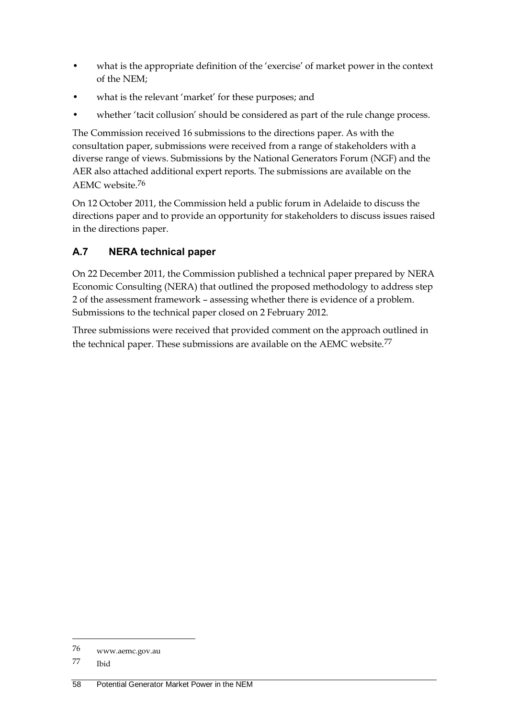- what is the appropriate definition of the 'exercise' of market power in the context of the NEM;
- what is the relevant 'market' for these purposes; and
- whether 'tacit collusion' should be considered as part of the rule change process.

The Commission received 16 submissions to the directions paper. As with the consultation paper, submissions were received from a range of stakeholders with a diverse range of views. Submissions by the National Generators Forum (NGF) and the AER also attached additional expert reports. The submissions are available on the AEMC website.76

On 12 October 2011, the Commission held a public forum in Adelaide to discuss the directions paper and to provide an opportunity for stakeholders to discuss issues raised in the directions paper.

## **A.7 NERA technical paper**

On 22 December 2011, the Commission published a technical paper prepared by NERA Economic Consulting (NERA) that outlined the proposed methodology to address step 2 of the assessment framework – assessing whether there is evidence of a problem. Submissions to the technical paper closed on 2 February 2012.

Three submissions were received that provided comment on the approach outlined in the technical paper. These submissions are available on the AEMC website.<sup>77</sup>

<sup>76</sup> www.aemc.gov.au

<sup>77</sup> Ibid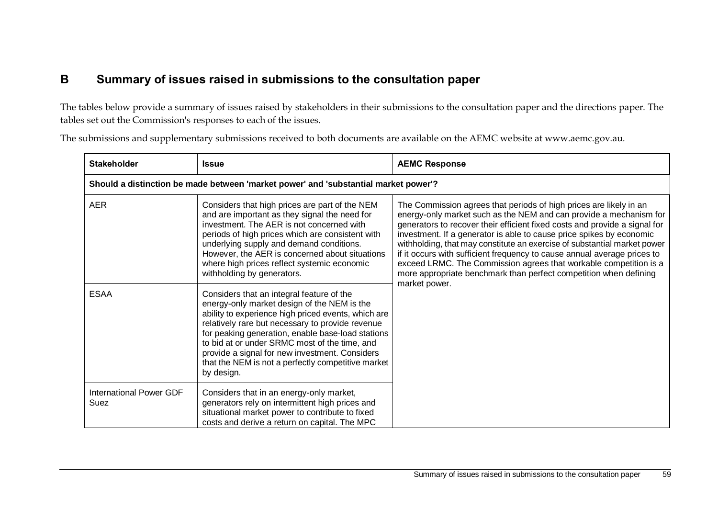# **B Summary of issues raised in submissions to the consultation paper**

The tables below provide a summary of issues raised by stakeholders in their submissions to the consultation paper and the directions paper. The tables set out the Commission's responses to each of the issues.

The submissions and supplementary submissions received to both documents are available on the AEMC website at www.aemc.gov.au.

| <b>Stakeholder</b>              | <b>Issue</b>                                                                                                                                                                                                                                                                                                                                                                                                                    | <b>AEMC Response</b>                                                                                                                                                                                                                                                                                                                                                                                                                                                                                                                                                                                              |  |  |
|---------------------------------|---------------------------------------------------------------------------------------------------------------------------------------------------------------------------------------------------------------------------------------------------------------------------------------------------------------------------------------------------------------------------------------------------------------------------------|-------------------------------------------------------------------------------------------------------------------------------------------------------------------------------------------------------------------------------------------------------------------------------------------------------------------------------------------------------------------------------------------------------------------------------------------------------------------------------------------------------------------------------------------------------------------------------------------------------------------|--|--|
|                                 | Should a distinction be made between 'market power' and 'substantial market power'?                                                                                                                                                                                                                                                                                                                                             |                                                                                                                                                                                                                                                                                                                                                                                                                                                                                                                                                                                                                   |  |  |
| <b>AER</b>                      | Considers that high prices are part of the NEM<br>and are important as they signal the need for<br>investment. The AER is not concerned with<br>periods of high prices which are consistent with<br>underlying supply and demand conditions.<br>However, the AER is concerned about situations<br>where high prices reflect systemic economic<br>withholding by generators.                                                     | The Commission agrees that periods of high prices are likely in an<br>energy-only market such as the NEM and can provide a mechanism for<br>generators to recover their efficient fixed costs and provide a signal for<br>investment. If a generator is able to cause price spikes by economic<br>withholding, that may constitute an exercise of substantial market power<br>if it occurs with sufficient frequency to cause annual average prices to<br>exceed LRMC. The Commission agrees that workable competition is a<br>more appropriate benchmark than perfect competition when defining<br>market power. |  |  |
| <b>ESAA</b>                     | Considers that an integral feature of the<br>energy-only market design of the NEM is the<br>ability to experience high priced events, which are<br>relatively rare but necessary to provide revenue<br>for peaking generation, enable base-load stations<br>to bid at or under SRMC most of the time, and<br>provide a signal for new investment. Considers<br>that the NEM is not a perfectly competitive market<br>by design. |                                                                                                                                                                                                                                                                                                                                                                                                                                                                                                                                                                                                                   |  |  |
| International Power GDF<br>Suez | Considers that in an energy-only market,<br>generators rely on intermittent high prices and<br>situational market power to contribute to fixed<br>costs and derive a return on capital. The MPC                                                                                                                                                                                                                                 |                                                                                                                                                                                                                                                                                                                                                                                                                                                                                                                                                                                                                   |  |  |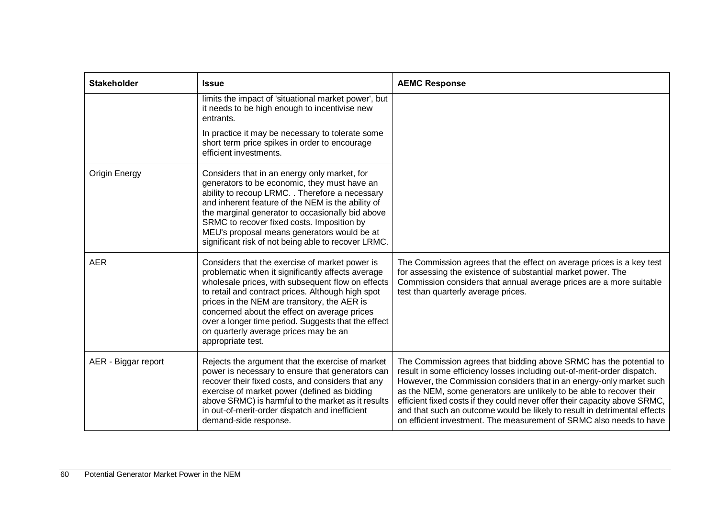| <b>Stakeholder</b>  | <b>Issue</b>                                                                                                                                                                                                                                                                                                                                                                                                                       | <b>AEMC Response</b>                                                                                                                                                                                                                                                                                                                                                                                                                                                                                                            |
|---------------------|------------------------------------------------------------------------------------------------------------------------------------------------------------------------------------------------------------------------------------------------------------------------------------------------------------------------------------------------------------------------------------------------------------------------------------|---------------------------------------------------------------------------------------------------------------------------------------------------------------------------------------------------------------------------------------------------------------------------------------------------------------------------------------------------------------------------------------------------------------------------------------------------------------------------------------------------------------------------------|
|                     | limits the impact of 'situational market power', but<br>it needs to be high enough to incentivise new<br>entrants.                                                                                                                                                                                                                                                                                                                 |                                                                                                                                                                                                                                                                                                                                                                                                                                                                                                                                 |
|                     | In practice it may be necessary to tolerate some<br>short term price spikes in order to encourage<br>efficient investments.                                                                                                                                                                                                                                                                                                        |                                                                                                                                                                                                                                                                                                                                                                                                                                                                                                                                 |
| Origin Energy       | Considers that in an energy only market, for<br>generators to be economic, they must have an<br>ability to recoup LRMC. . Therefore a necessary<br>and inherent feature of the NEM is the ability of<br>the marginal generator to occasionally bid above<br>SRMC to recover fixed costs. Imposition by<br>MEU's proposal means generators would be at<br>significant risk of not being able to recover LRMC.                       |                                                                                                                                                                                                                                                                                                                                                                                                                                                                                                                                 |
| <b>AER</b>          | Considers that the exercise of market power is<br>problematic when it significantly affects average<br>wholesale prices, with subsequent flow on effects<br>to retail and contract prices. Although high spot<br>prices in the NEM are transitory, the AER is<br>concerned about the effect on average prices<br>over a longer time period. Suggests that the effect<br>on quarterly average prices may be an<br>appropriate test. | The Commission agrees that the effect on average prices is a key test<br>for assessing the existence of substantial market power. The<br>Commission considers that annual average prices are a more suitable<br>test than quarterly average prices.                                                                                                                                                                                                                                                                             |
| AER - Biggar report | Rejects the argument that the exercise of market<br>power is necessary to ensure that generators can<br>recover their fixed costs, and considers that any<br>exercise of market power (defined as bidding<br>above SRMC) is harmful to the market as it results<br>in out-of-merit-order dispatch and inefficient<br>demand-side response.                                                                                         | The Commission agrees that bidding above SRMC has the potential to<br>result in some efficiency losses including out-of-merit-order dispatch.<br>However, the Commission considers that in an energy-only market such<br>as the NEM, some generators are unlikely to be able to recover their<br>efficient fixed costs if they could never offer their capacity above SRMC,<br>and that such an outcome would be likely to result in detrimental effects<br>on efficient investment. The measurement of SRMC also needs to have |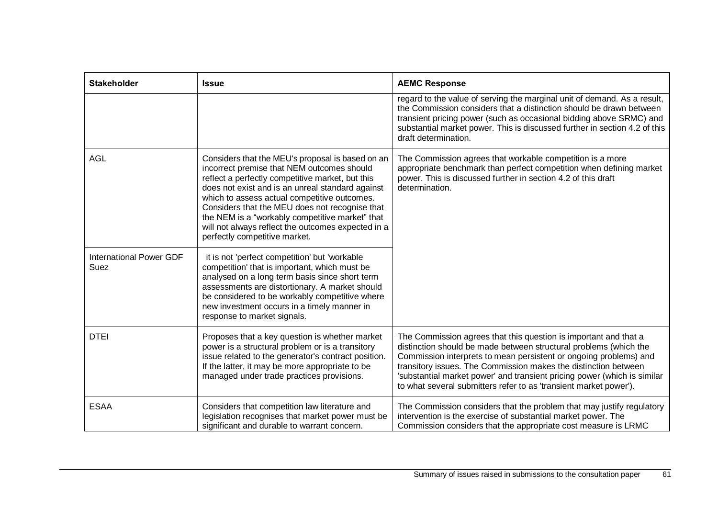| <b>Stakeholder</b>              | <b>Issue</b>                                                                                                                                                                                                                                                                                                                                                                                                                                       | <b>AEMC Response</b>                                                                                                                                                                                                                                                                                                                                                                                                           |
|---------------------------------|----------------------------------------------------------------------------------------------------------------------------------------------------------------------------------------------------------------------------------------------------------------------------------------------------------------------------------------------------------------------------------------------------------------------------------------------------|--------------------------------------------------------------------------------------------------------------------------------------------------------------------------------------------------------------------------------------------------------------------------------------------------------------------------------------------------------------------------------------------------------------------------------|
|                                 |                                                                                                                                                                                                                                                                                                                                                                                                                                                    | regard to the value of serving the marginal unit of demand. As a result,<br>the Commission considers that a distinction should be drawn between<br>transient pricing power (such as occasional bidding above SRMC) and<br>substantial market power. This is discussed further in section 4.2 of this<br>draft determination.                                                                                                   |
| <b>AGL</b>                      | Considers that the MEU's proposal is based on an<br>incorrect premise that NEM outcomes should<br>reflect a perfectly competitive market, but this<br>does not exist and is an unreal standard against<br>which to assess actual competitive outcomes.<br>Considers that the MEU does not recognise that<br>the NEM is a "workably competitive market" that<br>will not always reflect the outcomes expected in a<br>perfectly competitive market. | The Commission agrees that workable competition is a more<br>appropriate benchmark than perfect competition when defining market<br>power. This is discussed further in section 4.2 of this draft<br>determination.                                                                                                                                                                                                            |
| International Power GDF<br>Suez | it is not 'perfect competition' but 'workable<br>competition' that is important, which must be<br>analysed on a long term basis since short term<br>assessments are distortionary. A market should<br>be considered to be workably competitive where<br>new investment occurs in a timely manner in<br>response to market signals.                                                                                                                 |                                                                                                                                                                                                                                                                                                                                                                                                                                |
| <b>DTEI</b>                     | Proposes that a key question is whether market<br>power is a structural problem or is a transitory<br>issue related to the generator's contract position.<br>If the latter, it may be more appropriate to be<br>managed under trade practices provisions.                                                                                                                                                                                          | The Commission agrees that this question is important and that a<br>distinction should be made between structural problems (which the<br>Commission interprets to mean persistent or ongoing problems) and<br>transitory issues. The Commission makes the distinction between<br>'substantial market power' and transient pricing power (which is similar<br>to what several submitters refer to as 'transient market power'). |
| <b>ESAA</b>                     | Considers that competition law literature and<br>legislation recognises that market power must be<br>significant and durable to warrant concern.                                                                                                                                                                                                                                                                                                   | The Commission considers that the problem that may justify regulatory<br>intervention is the exercise of substantial market power. The<br>Commission considers that the appropriate cost measure is LRMC                                                                                                                                                                                                                       |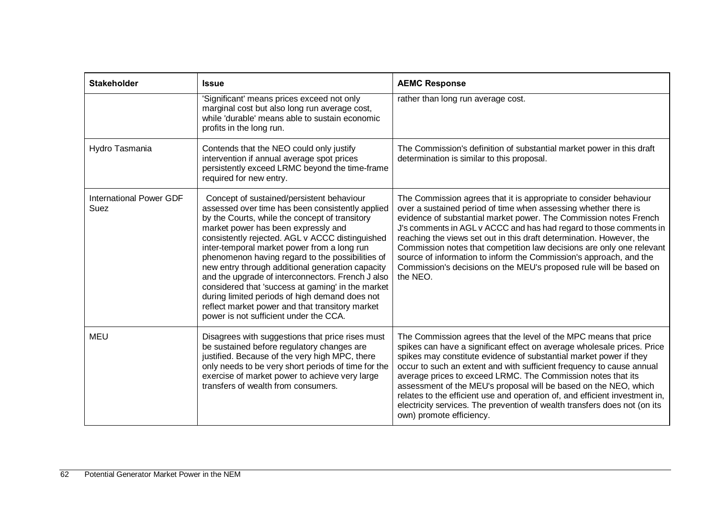| <b>Stakeholder</b>                     | <b>Issue</b>                                                                                                                                                                                                                                                                                                                                                                                                                                                                                                                                                                                                                                              | <b>AEMC Response</b>                                                                                                                                                                                                                                                                                                                                                                                                                                                                                                                                                                                                   |
|----------------------------------------|-----------------------------------------------------------------------------------------------------------------------------------------------------------------------------------------------------------------------------------------------------------------------------------------------------------------------------------------------------------------------------------------------------------------------------------------------------------------------------------------------------------------------------------------------------------------------------------------------------------------------------------------------------------|------------------------------------------------------------------------------------------------------------------------------------------------------------------------------------------------------------------------------------------------------------------------------------------------------------------------------------------------------------------------------------------------------------------------------------------------------------------------------------------------------------------------------------------------------------------------------------------------------------------------|
|                                        | 'Significant' means prices exceed not only<br>marginal cost but also long run average cost,<br>while 'durable' means able to sustain economic<br>profits in the long run.                                                                                                                                                                                                                                                                                                                                                                                                                                                                                 | rather than long run average cost.                                                                                                                                                                                                                                                                                                                                                                                                                                                                                                                                                                                     |
| Hydro Tasmania                         | Contends that the NEO could only justify<br>intervention if annual average spot prices<br>persistently exceed LRMC beyond the time-frame<br>required for new entry.                                                                                                                                                                                                                                                                                                                                                                                                                                                                                       | The Commission's definition of substantial market power in this draft<br>determination is similar to this proposal.                                                                                                                                                                                                                                                                                                                                                                                                                                                                                                    |
| <b>International Power GDF</b><br>Suez | Concept of sustained/persistent behaviour<br>assessed over time has been consistently applied<br>by the Courts, while the concept of transitory<br>market power has been expressly and<br>consistently rejected. AGL v ACCC distinguished<br>inter-temporal market power from a long run<br>phenomenon having regard to the possibilities of<br>new entry through additional generation capacity<br>and the upgrade of interconnectors. French J also<br>considered that 'success at gaming' in the market<br>during limited periods of high demand does not<br>reflect market power and that transitory market<br>power is not sufficient under the CCA. | The Commission agrees that it is appropriate to consider behaviour<br>over a sustained period of time when assessing whether there is<br>evidence of substantial market power. The Commission notes French<br>J's comments in AGL v ACCC and has had regard to those comments in<br>reaching the views set out in this draft determination. However, the<br>Commission notes that competition law decisions are only one relevant<br>source of information to inform the Commission's approach, and the<br>Commission's decisions on the MEU's proposed rule will be based on<br>the NEO.                              |
| <b>MEU</b>                             | Disagrees with suggestions that price rises must<br>be sustained before regulatory changes are<br>justified. Because of the very high MPC, there<br>only needs to be very short periods of time for the<br>exercise of market power to achieve very large<br>transfers of wealth from consumers.                                                                                                                                                                                                                                                                                                                                                          | The Commission agrees that the level of the MPC means that price<br>spikes can have a significant effect on average wholesale prices. Price<br>spikes may constitute evidence of substantial market power if they<br>occur to such an extent and with sufficient frequency to cause annual<br>average prices to exceed LRMC. The Commission notes that its<br>assessment of the MEU's proposal will be based on the NEO, which<br>relates to the efficient use and operation of, and efficient investment in,<br>electricity services. The prevention of wealth transfers does not (on its<br>own) promote efficiency. |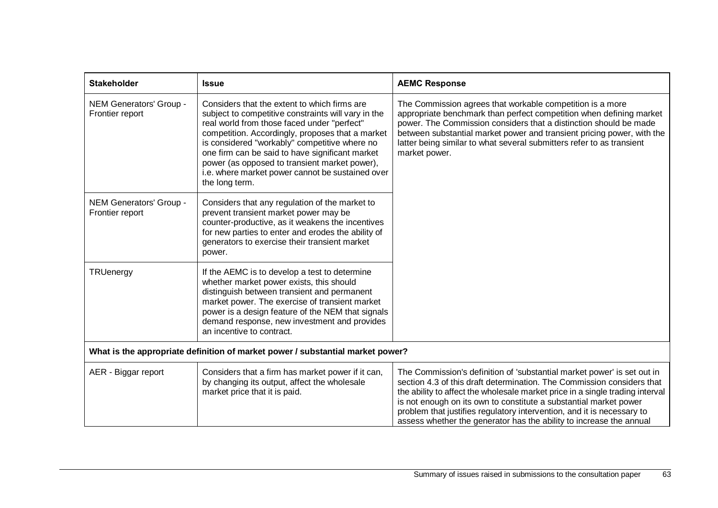| <b>Stakeholder</b>                                                             | <b>Issue</b>                                                                                                                                                                                                                                                                                                                                                                                                                      | <b>AEMC Response</b>                                                                                                                                                                                                                                                                                                                                                                                                                                     |  |
|--------------------------------------------------------------------------------|-----------------------------------------------------------------------------------------------------------------------------------------------------------------------------------------------------------------------------------------------------------------------------------------------------------------------------------------------------------------------------------------------------------------------------------|----------------------------------------------------------------------------------------------------------------------------------------------------------------------------------------------------------------------------------------------------------------------------------------------------------------------------------------------------------------------------------------------------------------------------------------------------------|--|
| NEM Generators' Group -<br>Frontier report                                     | Considers that the extent to which firms are<br>subject to competitive constraints will vary in the<br>real world from those faced under "perfect"<br>competition. Accordingly, proposes that a market<br>is considered "workably" competitive where no<br>one firm can be said to have significant market<br>power (as opposed to transient market power),<br>i.e. where market power cannot be sustained over<br>the long term. | The Commission agrees that workable competition is a more<br>appropriate benchmark than perfect competition when defining market<br>power. The Commission considers that a distinction should be made<br>between substantial market power and transient pricing power, with the<br>latter being similar to what several submitters refer to as transient<br>market power.                                                                                |  |
| NEM Generators' Group -<br>Frontier report                                     | Considers that any regulation of the market to<br>prevent transient market power may be<br>counter-productive, as it weakens the incentives<br>for new parties to enter and erodes the ability of<br>generators to exercise their transient market<br>power.                                                                                                                                                                      |                                                                                                                                                                                                                                                                                                                                                                                                                                                          |  |
| TRUenergy                                                                      | If the AEMC is to develop a test to determine<br>whether market power exists, this should<br>distinguish between transient and permanent<br>market power. The exercise of transient market<br>power is a design feature of the NEM that signals<br>demand response, new investment and provides<br>an incentive to contract.                                                                                                      |                                                                                                                                                                                                                                                                                                                                                                                                                                                          |  |
| What is the appropriate definition of market power / substantial market power? |                                                                                                                                                                                                                                                                                                                                                                                                                                   |                                                                                                                                                                                                                                                                                                                                                                                                                                                          |  |
| AER - Biggar report                                                            | Considers that a firm has market power if it can,<br>by changing its output, affect the wholesale<br>market price that it is paid.                                                                                                                                                                                                                                                                                                | The Commission's definition of 'substantial market power' is set out in<br>section 4.3 of this draft determination. The Commission considers that<br>the ability to affect the wholesale market price in a single trading interval<br>is not enough on its own to constitute a substantial market power<br>problem that justifies regulatory intervention, and it is necessary to<br>assess whether the generator has the ability to increase the annual |  |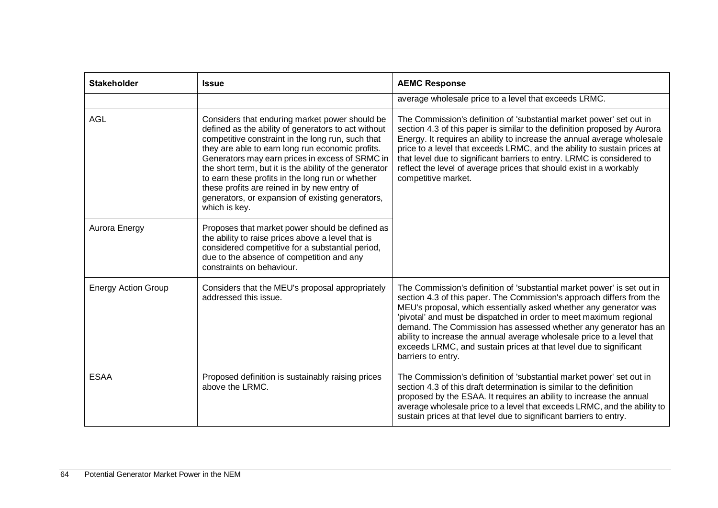| <b>Stakeholder</b>         | <b>Issue</b>                                                                                                                                                                                                                                                                                                                                                                                                                                                                                        | <b>AEMC Response</b>                                                                                                                                                                                                                                                                                                                                                                                                                                                                                                                 |
|----------------------------|-----------------------------------------------------------------------------------------------------------------------------------------------------------------------------------------------------------------------------------------------------------------------------------------------------------------------------------------------------------------------------------------------------------------------------------------------------------------------------------------------------|--------------------------------------------------------------------------------------------------------------------------------------------------------------------------------------------------------------------------------------------------------------------------------------------------------------------------------------------------------------------------------------------------------------------------------------------------------------------------------------------------------------------------------------|
|                            |                                                                                                                                                                                                                                                                                                                                                                                                                                                                                                     | average wholesale price to a level that exceeds LRMC.                                                                                                                                                                                                                                                                                                                                                                                                                                                                                |
| <b>AGL</b>                 | Considers that enduring market power should be<br>defined as the ability of generators to act without<br>competitive constraint in the long run, such that<br>they are able to earn long run economic profits.<br>Generators may earn prices in excess of SRMC in<br>the short term, but it is the ability of the generator<br>to earn these profits in the long run or whether<br>these profits are reined in by new entry of<br>generators, or expansion of existing generators,<br>which is key. | The Commission's definition of 'substantial market power' set out in<br>section 4.3 of this paper is similar to the definition proposed by Aurora<br>Energy. It requires an ability to increase the annual average wholesale<br>price to a level that exceeds LRMC, and the ability to sustain prices at<br>that level due to significant barriers to entry. LRMC is considered to<br>reflect the level of average prices that should exist in a workably<br>competitive market.                                                     |
| Aurora Energy              | Proposes that market power should be defined as<br>the ability to raise prices above a level that is<br>considered competitive for a substantial period,<br>due to the absence of competition and any<br>constraints on behaviour.                                                                                                                                                                                                                                                                  |                                                                                                                                                                                                                                                                                                                                                                                                                                                                                                                                      |
| <b>Energy Action Group</b> | Considers that the MEU's proposal appropriately<br>addressed this issue.                                                                                                                                                                                                                                                                                                                                                                                                                            | The Commission's definition of 'substantial market power' is set out in<br>section 4.3 of this paper. The Commission's approach differs from the<br>MEU's proposal, which essentially asked whether any generator was<br>'pivotal' and must be dispatched in order to meet maximum regional<br>demand. The Commission has assessed whether any generator has an<br>ability to increase the annual average wholesale price to a level that<br>exceeds LRMC, and sustain prices at that level due to significant<br>barriers to entry. |
| <b>ESAA</b>                | Proposed definition is sustainably raising prices<br>above the LRMC.                                                                                                                                                                                                                                                                                                                                                                                                                                | The Commission's definition of 'substantial market power' set out in<br>section 4.3 of this draft determination is similar to the definition<br>proposed by the ESAA. It requires an ability to increase the annual<br>average wholesale price to a level that exceeds LRMC, and the ability to<br>sustain prices at that level due to significant barriers to entry.                                                                                                                                                                |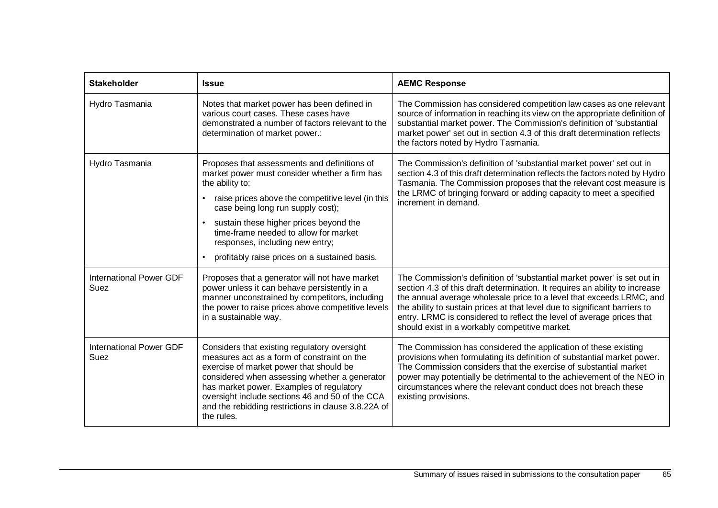| <b>Stakeholder</b>                            | <b>Issue</b>                                                                                                                                                                                                                                                                                                                                                                      | <b>AEMC Response</b>                                                                                                                                                                                                                                                                                                                                                                                                                    |
|-----------------------------------------------|-----------------------------------------------------------------------------------------------------------------------------------------------------------------------------------------------------------------------------------------------------------------------------------------------------------------------------------------------------------------------------------|-----------------------------------------------------------------------------------------------------------------------------------------------------------------------------------------------------------------------------------------------------------------------------------------------------------------------------------------------------------------------------------------------------------------------------------------|
| Hydro Tasmania                                | Notes that market power has been defined in<br>various court cases. These cases have<br>demonstrated a number of factors relevant to the<br>determination of market power.:                                                                                                                                                                                                       | The Commission has considered competition law cases as one relevant<br>source of information in reaching its view on the appropriate definition of<br>substantial market power. The Commission's definition of 'substantial<br>market power' set out in section 4.3 of this draft determination reflects<br>the factors noted by Hydro Tasmania.                                                                                        |
| Hydro Tasmania                                | Proposes that assessments and definitions of<br>market power must consider whether a firm has<br>the ability to:<br>raise prices above the competitive level (in this<br>case being long run supply cost);<br>sustain these higher prices beyond the<br>time-frame needed to allow for market<br>responses, including new entry;<br>profitably raise prices on a sustained basis. | The Commission's definition of 'substantial market power' set out in<br>section 4.3 of this draft determination reflects the factors noted by Hydro<br>Tasmania. The Commission proposes that the relevant cost measure is<br>the LRMC of bringing forward or adding capacity to meet a specified<br>increment in demand.                                                                                                               |
| <b>International Power GDF</b><br>Suez        | Proposes that a generator will not have market<br>power unless it can behave persistently in a<br>manner unconstrained by competitors, including<br>the power to raise prices above competitive levels<br>in a sustainable way.                                                                                                                                                   | The Commission's definition of 'substantial market power' is set out in<br>section 4.3 of this draft determination. It requires an ability to increase<br>the annual average wholesale price to a level that exceeds LRMC, and<br>the ability to sustain prices at that level due to significant barriers to<br>entry. LRMC is considered to reflect the level of average prices that<br>should exist in a workably competitive market. |
| <b>International Power GDF</b><br><b>Suez</b> | Considers that existing regulatory oversight<br>measures act as a form of constraint on the<br>exercise of market power that should be<br>considered when assessing whether a generator<br>has market power. Examples of regulatory<br>oversight include sections 46 and 50 of the CCA<br>and the rebidding restrictions in clause 3.8.22A of<br>the rules.                       | The Commission has considered the application of these existing<br>provisions when formulating its definition of substantial market power.<br>The Commission considers that the exercise of substantial market<br>power may potentially be detrimental to the achievement of the NEO in<br>circumstances where the relevant conduct does not breach these<br>existing provisions.                                                       |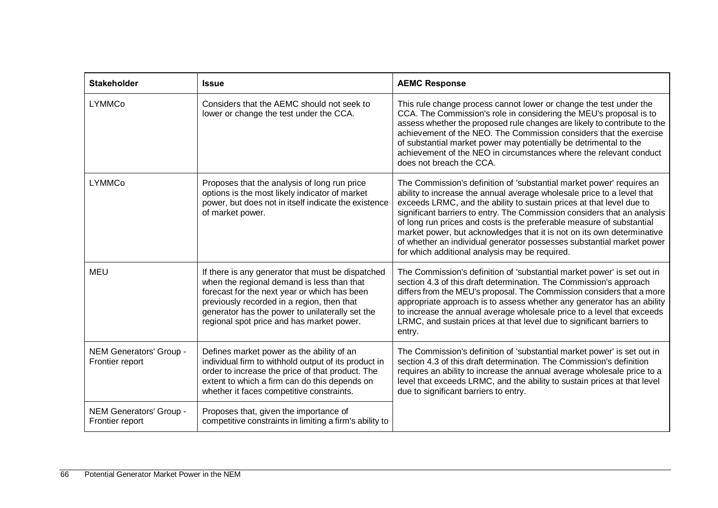| <b>Stakeholder</b>                         | <b>Issue</b>                                                                                                                                                                                                                                                                                  | <b>AEMC Response</b>                                                                                                                                                                                                                                                                                                                                                                                                                                                                                                                                                              |
|--------------------------------------------|-----------------------------------------------------------------------------------------------------------------------------------------------------------------------------------------------------------------------------------------------------------------------------------------------|-----------------------------------------------------------------------------------------------------------------------------------------------------------------------------------------------------------------------------------------------------------------------------------------------------------------------------------------------------------------------------------------------------------------------------------------------------------------------------------------------------------------------------------------------------------------------------------|
| <b>LYMMCo</b>                              | Considers that the AEMC should not seek to<br>lower or change the test under the CCA.                                                                                                                                                                                                         | This rule change process cannot lower or change the test under the<br>CCA. The Commission's role in considering the MEU's proposal is to<br>assess whether the proposed rule changes are likely to contribute to the<br>achievement of the NEO. The Commission considers that the exercise<br>of substantial market power may potentially be detrimental to the<br>achievement of the NEO in circumstances where the relevant conduct<br>does not breach the CCA.                                                                                                                 |
| <b>LYMMCo</b>                              | Proposes that the analysis of long run price<br>options is the most likely indicator of market<br>power, but does not in itself indicate the existence<br>of market power.                                                                                                                    | The Commission's definition of 'substantial market power' requires an<br>ability to increase the annual average wholesale price to a level that<br>exceeds LRMC, and the ability to sustain prices at that level due to<br>significant barriers to entry. The Commission considers that an analysis<br>of long run prices and costs is the preferable measure of substantial<br>market power, but acknowledges that it is not on its own determinative<br>of whether an individual generator possesses substantial market power<br>for which additional analysis may be required. |
| MEU                                        | If there is any generator that must be dispatched<br>when the regional demand is less than that<br>forecast for the next year or which has been<br>previously recorded in a region, then that<br>generator has the power to unilaterally set the<br>regional spot price and has market power. | The Commission's definition of 'substantial market power' is set out in<br>section 4.3 of this draft determination. The Commission's approach<br>differs from the MEU's proposal. The Commission considers that a more<br>appropriate approach is to assess whether any generator has an ability<br>to increase the annual average wholesale price to a level that exceeds<br>LRMC, and sustain prices at that level due to significant barriers to<br>entry.                                                                                                                     |
| NEM Generators' Group -<br>Frontier report | Defines market power as the ability of an<br>individual firm to withhold output of its product in<br>order to increase the price of that product. The<br>extent to which a firm can do this depends on<br>whether it faces competitive constraints.                                           | The Commission's definition of 'substantial market power' is set out in<br>section 4.3 of this draft determination. The Commission's definition<br>requires an ability to increase the annual average wholesale price to a<br>level that exceeds LRMC, and the ability to sustain prices at that level<br>due to significant barriers to entry.                                                                                                                                                                                                                                   |
| NEM Generators' Group -<br>Frontier report | Proposes that, given the importance of<br>competitive constraints in limiting a firm's ability to                                                                                                                                                                                             |                                                                                                                                                                                                                                                                                                                                                                                                                                                                                                                                                                                   |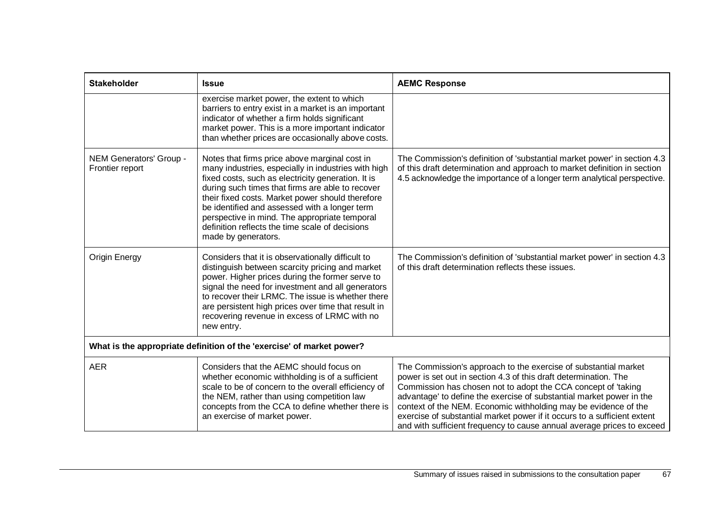| <b>Stakeholder</b>                         | <b>Issue</b>                                                                                                                                                                                                                                                                                                                                                                                                                                   | <b>AEMC Response</b>                                                                                                                                                                                                                                                                                                                                                                                                                                                                                  |
|--------------------------------------------|------------------------------------------------------------------------------------------------------------------------------------------------------------------------------------------------------------------------------------------------------------------------------------------------------------------------------------------------------------------------------------------------------------------------------------------------|-------------------------------------------------------------------------------------------------------------------------------------------------------------------------------------------------------------------------------------------------------------------------------------------------------------------------------------------------------------------------------------------------------------------------------------------------------------------------------------------------------|
|                                            | exercise market power, the extent to which<br>barriers to entry exist in a market is an important<br>indicator of whether a firm holds significant<br>market power. This is a more important indicator<br>than whether prices are occasionally above costs.                                                                                                                                                                                    |                                                                                                                                                                                                                                                                                                                                                                                                                                                                                                       |
| NEM Generators' Group -<br>Frontier report | Notes that firms price above marginal cost in<br>many industries, especially in industries with high<br>fixed costs, such as electricity generation. It is<br>during such times that firms are able to recover<br>their fixed costs. Market power should therefore<br>be identified and assessed with a longer term<br>perspective in mind. The appropriate temporal<br>definition reflects the time scale of decisions<br>made by generators. | The Commission's definition of 'substantial market power' in section 4.3<br>of this draft determination and approach to market definition in section<br>4.5 acknowledge the importance of a longer term analytical perspective.                                                                                                                                                                                                                                                                       |
| Origin Energy                              | Considers that it is observationally difficult to<br>distinguish between scarcity pricing and market<br>power. Higher prices during the former serve to<br>signal the need for investment and all generators<br>to recover their LRMC. The issue is whether there<br>are persistent high prices over time that result in<br>recovering revenue in excess of LRMC with no<br>new entry.                                                         | The Commission's definition of 'substantial market power' in section 4.3<br>of this draft determination reflects these issues.                                                                                                                                                                                                                                                                                                                                                                        |
|                                            | What is the appropriate definition of the 'exercise' of market power?                                                                                                                                                                                                                                                                                                                                                                          |                                                                                                                                                                                                                                                                                                                                                                                                                                                                                                       |
| <b>AER</b>                                 | Considers that the AEMC should focus on<br>whether economic withholding is of a sufficient<br>scale to be of concern to the overall efficiency of<br>the NEM, rather than using competition law<br>concepts from the CCA to define whether there is<br>an exercise of market power.                                                                                                                                                            | The Commission's approach to the exercise of substantial market<br>power is set out in section 4.3 of this draft determination. The<br>Commission has chosen not to adopt the CCA concept of 'taking<br>advantage' to define the exercise of substantial market power in the<br>context of the NEM. Economic withholding may be evidence of the<br>exercise of substantial market power if it occurs to a sufficient extent<br>and with sufficient frequency to cause annual average prices to exceed |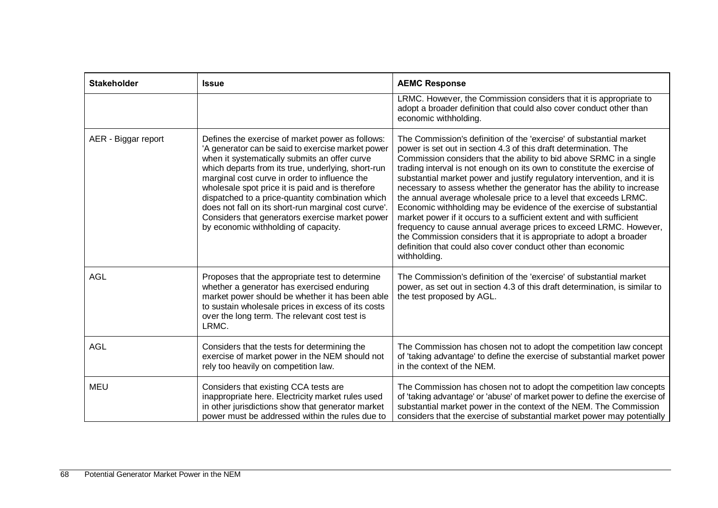| <b>Stakeholder</b>  | <b>Issue</b>                                                                                                                                                                                                                                                                                                                                                                                                                                                                                                             | <b>AEMC Response</b>                                                                                                                                                                                                                                                                                                                                                                                                                                                                                                                                                                                                                                                                                                                                                                                                                                                                        |
|---------------------|--------------------------------------------------------------------------------------------------------------------------------------------------------------------------------------------------------------------------------------------------------------------------------------------------------------------------------------------------------------------------------------------------------------------------------------------------------------------------------------------------------------------------|---------------------------------------------------------------------------------------------------------------------------------------------------------------------------------------------------------------------------------------------------------------------------------------------------------------------------------------------------------------------------------------------------------------------------------------------------------------------------------------------------------------------------------------------------------------------------------------------------------------------------------------------------------------------------------------------------------------------------------------------------------------------------------------------------------------------------------------------------------------------------------------------|
|                     |                                                                                                                                                                                                                                                                                                                                                                                                                                                                                                                          | LRMC. However, the Commission considers that it is appropriate to<br>adopt a broader definition that could also cover conduct other than<br>economic withholding.                                                                                                                                                                                                                                                                                                                                                                                                                                                                                                                                                                                                                                                                                                                           |
| AER - Biggar report | Defines the exercise of market power as follows:<br>'A generator can be said to exercise market power<br>when it systematically submits an offer curve<br>which departs from its true, underlying, short-run<br>marginal cost curve in order to influence the<br>wholesale spot price it is paid and is therefore<br>dispatched to a price-quantity combination which<br>does not fall on its short-run marginal cost curve'.<br>Considers that generators exercise market power<br>by economic withholding of capacity. | The Commission's definition of the 'exercise' of substantial market<br>power is set out in section 4.3 of this draft determination. The<br>Commission considers that the ability to bid above SRMC in a single<br>trading interval is not enough on its own to constitute the exercise of<br>substantial market power and justify regulatory intervention, and it is<br>necessary to assess whether the generator has the ability to increase<br>the annual average wholesale price to a level that exceeds LRMC.<br>Economic withholding may be evidence of the exercise of substantial<br>market power if it occurs to a sufficient extent and with sufficient<br>frequency to cause annual average prices to exceed LRMC. However,<br>the Commission considers that it is appropriate to adopt a broader<br>definition that could also cover conduct other than economic<br>withholding. |
| <b>AGL</b>          | Proposes that the appropriate test to determine<br>whether a generator has exercised enduring<br>market power should be whether it has been able<br>to sustain wholesale prices in excess of its costs<br>over the long term. The relevant cost test is<br>LRMC.                                                                                                                                                                                                                                                         | The Commission's definition of the 'exercise' of substantial market<br>power, as set out in section 4.3 of this draft determination, is similar to<br>the test proposed by AGL.                                                                                                                                                                                                                                                                                                                                                                                                                                                                                                                                                                                                                                                                                                             |
| <b>AGL</b>          | Considers that the tests for determining the<br>exercise of market power in the NEM should not<br>rely too heavily on competition law.                                                                                                                                                                                                                                                                                                                                                                                   | The Commission has chosen not to adopt the competition law concept<br>of 'taking advantage' to define the exercise of substantial market power<br>in the context of the NEM.                                                                                                                                                                                                                                                                                                                                                                                                                                                                                                                                                                                                                                                                                                                |
| <b>MEU</b>          | Considers that existing CCA tests are<br>inappropriate here. Electricity market rules used<br>in other jurisdictions show that generator market<br>power must be addressed within the rules due to                                                                                                                                                                                                                                                                                                                       | The Commission has chosen not to adopt the competition law concepts<br>of 'taking advantage' or 'abuse' of market power to define the exercise of<br>substantial market power in the context of the NEM. The Commission<br>considers that the exercise of substantial market power may potentially                                                                                                                                                                                                                                                                                                                                                                                                                                                                                                                                                                                          |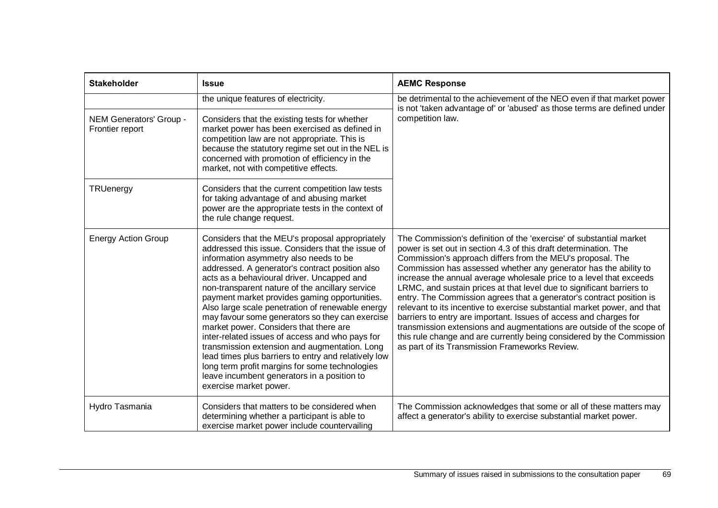| <b>Stakeholder</b>                         | <b>Issue</b>                                                                                                                                                                                                                                                                                                                                                                                                                                                                                                                                                                                                                                                                                                                                                                                | <b>AEMC Response</b>                                                                                                                                                                                                                                                                                                                                                                                                                                                                                                                                                                                                                                                                                                                                                                                                                                   |
|--------------------------------------------|---------------------------------------------------------------------------------------------------------------------------------------------------------------------------------------------------------------------------------------------------------------------------------------------------------------------------------------------------------------------------------------------------------------------------------------------------------------------------------------------------------------------------------------------------------------------------------------------------------------------------------------------------------------------------------------------------------------------------------------------------------------------------------------------|--------------------------------------------------------------------------------------------------------------------------------------------------------------------------------------------------------------------------------------------------------------------------------------------------------------------------------------------------------------------------------------------------------------------------------------------------------------------------------------------------------------------------------------------------------------------------------------------------------------------------------------------------------------------------------------------------------------------------------------------------------------------------------------------------------------------------------------------------------|
|                                            | the unique features of electricity.                                                                                                                                                                                                                                                                                                                                                                                                                                                                                                                                                                                                                                                                                                                                                         | be detrimental to the achievement of the NEO even if that market power<br>is not 'taken advantage of' or 'abused' as those terms are defined under<br>competition law.                                                                                                                                                                                                                                                                                                                                                                                                                                                                                                                                                                                                                                                                                 |
| NEM Generators' Group -<br>Frontier report | Considers that the existing tests for whether<br>market power has been exercised as defined in<br>competition law are not appropriate. This is<br>because the statutory regime set out in the NEL is<br>concerned with promotion of efficiency in the<br>market, not with competitive effects.                                                                                                                                                                                                                                                                                                                                                                                                                                                                                              |                                                                                                                                                                                                                                                                                                                                                                                                                                                                                                                                                                                                                                                                                                                                                                                                                                                        |
| TRUenergy                                  | Considers that the current competition law tests<br>for taking advantage of and abusing market<br>power are the appropriate tests in the context of<br>the rule change request.                                                                                                                                                                                                                                                                                                                                                                                                                                                                                                                                                                                                             |                                                                                                                                                                                                                                                                                                                                                                                                                                                                                                                                                                                                                                                                                                                                                                                                                                                        |
| <b>Energy Action Group</b>                 | Considers that the MEU's proposal appropriately<br>addressed this issue. Considers that the issue of<br>information asymmetry also needs to be<br>addressed. A generator's contract position also<br>acts as a behavioural driver. Uncapped and<br>non-transparent nature of the ancillary service<br>payment market provides gaming opportunities.<br>Also large scale penetration of renewable energy<br>may favour some generators so they can exercise<br>market power. Considers that there are<br>inter-related issues of access and who pays for<br>transmission extension and augmentation. Long<br>lead times plus barriers to entry and relatively low<br>long term profit margins for some technologies<br>leave incumbent generators in a position to<br>exercise market power. | The Commission's definition of the 'exercise' of substantial market<br>power is set out in section 4.3 of this draft determination. The<br>Commission's approach differs from the MEU's proposal. The<br>Commission has assessed whether any generator has the ability to<br>increase the annual average wholesale price to a level that exceeds<br>LRMC, and sustain prices at that level due to significant barriers to<br>entry. The Commission agrees that a generator's contract position is<br>relevant to its incentive to exercise substantial market power, and that<br>barriers to entry are important. Issues of access and charges for<br>transmission extensions and augmentations are outside of the scope of<br>this rule change and are currently being considered by the Commission<br>as part of its Transmission Frameworks Review. |
| Hydro Tasmania                             | Considers that matters to be considered when<br>determining whether a participant is able to<br>exercise market power include countervailing                                                                                                                                                                                                                                                                                                                                                                                                                                                                                                                                                                                                                                                | The Commission acknowledges that some or all of these matters may<br>affect a generator's ability to exercise substantial market power.                                                                                                                                                                                                                                                                                                                                                                                                                                                                                                                                                                                                                                                                                                                |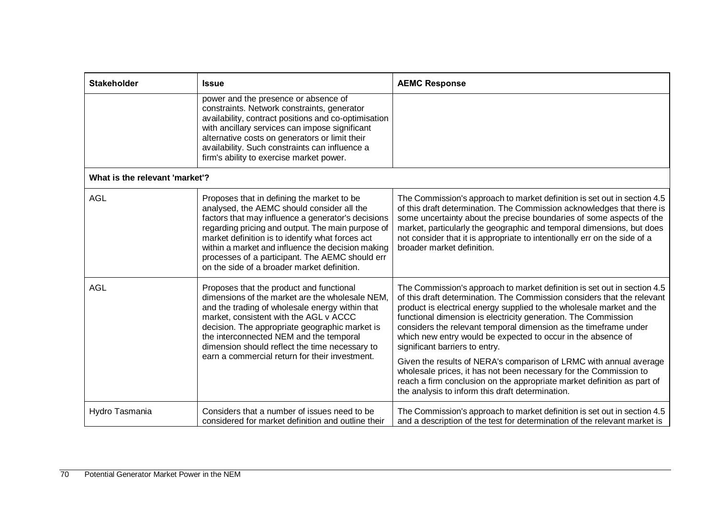| <b>Stakeholder</b>             | <b>Issue</b>                                                                                                                                                                                                                                                                                                                                                                                                   | <b>AEMC Response</b>                                                                                                                                                                                                                                                                                                                                                                                                                                                                                                                                                                                                                                                                                                                           |
|--------------------------------|----------------------------------------------------------------------------------------------------------------------------------------------------------------------------------------------------------------------------------------------------------------------------------------------------------------------------------------------------------------------------------------------------------------|------------------------------------------------------------------------------------------------------------------------------------------------------------------------------------------------------------------------------------------------------------------------------------------------------------------------------------------------------------------------------------------------------------------------------------------------------------------------------------------------------------------------------------------------------------------------------------------------------------------------------------------------------------------------------------------------------------------------------------------------|
|                                | power and the presence or absence of<br>constraints. Network constraints, generator<br>availability, contract positions and co-optimisation<br>with ancillary services can impose significant<br>alternative costs on generators or limit their<br>availability. Such constraints can influence a<br>firm's ability to exercise market power.                                                                  |                                                                                                                                                                                                                                                                                                                                                                                                                                                                                                                                                                                                                                                                                                                                                |
| What is the relevant 'market'? |                                                                                                                                                                                                                                                                                                                                                                                                                |                                                                                                                                                                                                                                                                                                                                                                                                                                                                                                                                                                                                                                                                                                                                                |
| <b>AGL</b>                     | Proposes that in defining the market to be<br>analysed, the AEMC should consider all the<br>factors that may influence a generator's decisions<br>regarding pricing and output. The main purpose of<br>market definition is to identify what forces act<br>within a market and influence the decision making<br>processes of a participant. The AEMC should err<br>on the side of a broader market definition. | The Commission's approach to market definition is set out in section 4.5<br>of this draft determination. The Commission acknowledges that there is<br>some uncertainty about the precise boundaries of some aspects of the<br>market, particularly the geographic and temporal dimensions, but does<br>not consider that it is appropriate to intentionally err on the side of a<br>broader market definition.                                                                                                                                                                                                                                                                                                                                 |
| <b>AGL</b>                     | Proposes that the product and functional<br>dimensions of the market are the wholesale NEM,<br>and the trading of wholesale energy within that<br>market, consistent with the AGL v ACCC<br>decision. The appropriate geographic market is<br>the interconnected NEM and the temporal<br>dimension should reflect the time necessary to<br>earn a commercial return for their investment.                      | The Commission's approach to market definition is set out in section 4.5<br>of this draft determination. The Commission considers that the relevant<br>product is electrical energy supplied to the wholesale market and the<br>functional dimension is electricity generation. The Commission<br>considers the relevant temporal dimension as the timeframe under<br>which new entry would be expected to occur in the absence of<br>significant barriers to entry.<br>Given the results of NERA's comparison of LRMC with annual average<br>wholesale prices, it has not been necessary for the Commission to<br>reach a firm conclusion on the appropriate market definition as part of<br>the analysis to inform this draft determination. |
| Hydro Tasmania                 | Considers that a number of issues need to be<br>considered for market definition and outline their                                                                                                                                                                                                                                                                                                             | The Commission's approach to market definition is set out in section 4.5<br>and a description of the test for determination of the relevant market is                                                                                                                                                                                                                                                                                                                                                                                                                                                                                                                                                                                          |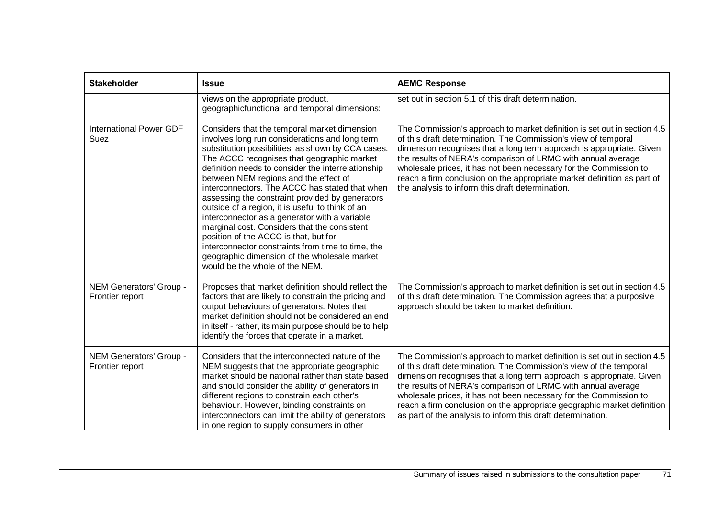| <b>Stakeholder</b>                            | <b>Issue</b>                                                                                                                                                                                                                                                                                                                                                                                                                                                                                                                                                                                                                                                                                                                                | <b>AEMC Response</b>                                                                                                                                                                                                                                                                                                                                                                                                                                                                                  |
|-----------------------------------------------|---------------------------------------------------------------------------------------------------------------------------------------------------------------------------------------------------------------------------------------------------------------------------------------------------------------------------------------------------------------------------------------------------------------------------------------------------------------------------------------------------------------------------------------------------------------------------------------------------------------------------------------------------------------------------------------------------------------------------------------------|-------------------------------------------------------------------------------------------------------------------------------------------------------------------------------------------------------------------------------------------------------------------------------------------------------------------------------------------------------------------------------------------------------------------------------------------------------------------------------------------------------|
|                                               | views on the appropriate product,<br>geographicfunctional and temporal dimensions:                                                                                                                                                                                                                                                                                                                                                                                                                                                                                                                                                                                                                                                          | set out in section 5.1 of this draft determination.                                                                                                                                                                                                                                                                                                                                                                                                                                                   |
| <b>International Power GDF</b><br><b>Suez</b> | Considers that the temporal market dimension<br>involves long run considerations and long term<br>substitution possibilities, as shown by CCA cases.<br>The ACCC recognises that geographic market<br>definition needs to consider the interrelationship<br>between NEM regions and the effect of<br>interconnectors. The ACCC has stated that when<br>assessing the constraint provided by generators<br>outside of a region, it is useful to think of an<br>interconnector as a generator with a variable<br>marginal cost. Considers that the consistent<br>position of the ACCC is that, but for<br>interconnector constraints from time to time, the<br>geographic dimension of the wholesale market<br>would be the whole of the NEM. | The Commission's approach to market definition is set out in section 4.5<br>of this draft determination. The Commission's view of temporal<br>dimension recognises that a long term approach is appropriate. Given<br>the results of NERA's comparison of LRMC with annual average<br>wholesale prices, it has not been necessary for the Commission to<br>reach a firm conclusion on the appropriate market definition as part of<br>the analysis to inform this draft determination.                |
| NEM Generators' Group -<br>Frontier report    | Proposes that market definition should reflect the<br>factors that are likely to constrain the pricing and<br>output behaviours of generators. Notes that<br>market definition should not be considered an end<br>in itself - rather, its main purpose should be to help<br>identify the forces that operate in a market.                                                                                                                                                                                                                                                                                                                                                                                                                   | The Commission's approach to market definition is set out in section 4.5<br>of this draft determination. The Commission agrees that a purposive<br>approach should be taken to market definition.                                                                                                                                                                                                                                                                                                     |
| NEM Generators' Group -<br>Frontier report    | Considers that the interconnected nature of the<br>NEM suggests that the appropriate geographic<br>market should be national rather than state based<br>and should consider the ability of generators in<br>different regions to constrain each other's<br>behaviour. However, binding constraints on<br>interconnectors can limit the ability of generators<br>in one region to supply consumers in other                                                                                                                                                                                                                                                                                                                                  | The Commission's approach to market definition is set out in section 4.5<br>of this draft determination. The Commission's view of the temporal<br>dimension recognises that a long term approach is appropriate. Given<br>the results of NERA's comparison of LRMC with annual average<br>wholesale prices, it has not been necessary for the Commission to<br>reach a firm conclusion on the appropriate geographic market definition<br>as part of the analysis to inform this draft determination. |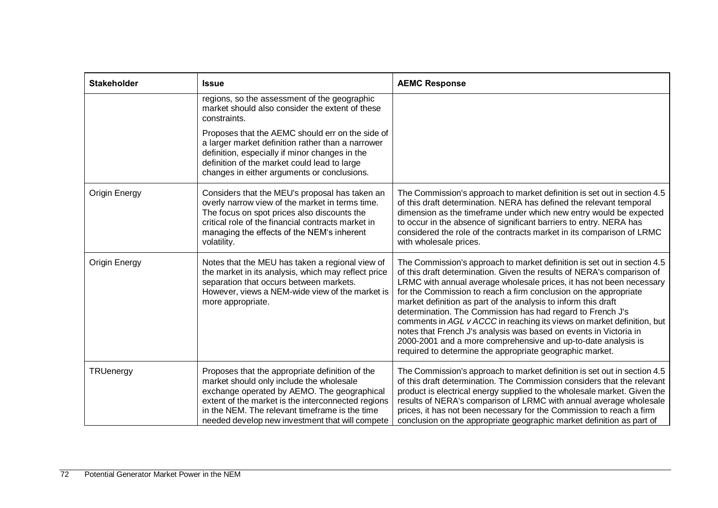| <b>Stakeholder</b> | <b>Issue</b>                                                                                                                                                                                                                                                                                          | <b>AEMC Response</b>                                                                                                                                                                                                                                                                                                                                                                                                                                                                                                                                                                                                                                                                                       |
|--------------------|-------------------------------------------------------------------------------------------------------------------------------------------------------------------------------------------------------------------------------------------------------------------------------------------------------|------------------------------------------------------------------------------------------------------------------------------------------------------------------------------------------------------------------------------------------------------------------------------------------------------------------------------------------------------------------------------------------------------------------------------------------------------------------------------------------------------------------------------------------------------------------------------------------------------------------------------------------------------------------------------------------------------------|
|                    | regions, so the assessment of the geographic<br>market should also consider the extent of these<br>constraints.                                                                                                                                                                                       |                                                                                                                                                                                                                                                                                                                                                                                                                                                                                                                                                                                                                                                                                                            |
|                    | Proposes that the AEMC should err on the side of<br>a larger market definition rather than a narrower<br>definition, especially if minor changes in the<br>definition of the market could lead to large<br>changes in either arguments or conclusions.                                                |                                                                                                                                                                                                                                                                                                                                                                                                                                                                                                                                                                                                                                                                                                            |
| Origin Energy      | Considers that the MEU's proposal has taken an<br>overly narrow view of the market in terms time.<br>The focus on spot prices also discounts the<br>critical role of the financial contracts market in<br>managing the effects of the NEM's inherent<br>volatility.                                   | The Commission's approach to market definition is set out in section 4.5<br>of this draft determination. NERA has defined the relevant temporal<br>dimension as the timeframe under which new entry would be expected<br>to occur in the absence of significant barriers to entry. NERA has<br>considered the role of the contracts market in its comparison of LRMC<br>with wholesale prices.                                                                                                                                                                                                                                                                                                             |
| Origin Energy      | Notes that the MEU has taken a regional view of<br>the market in its analysis, which may reflect price<br>separation that occurs between markets.<br>However, views a NEM-wide view of the market is<br>more appropriate.                                                                             | The Commission's approach to market definition is set out in section 4.5<br>of this draft determination. Given the results of NERA's comparison of<br>LRMC with annual average wholesale prices, it has not been necessary<br>for the Commission to reach a firm conclusion on the appropriate<br>market definition as part of the analysis to inform this draft<br>determination. The Commission has had regard to French J's<br>comments in AGL v ACCC in reaching its views on market definition, but<br>notes that French J's analysis was based on events in Victoria in<br>2000-2001 and a more comprehensive and up-to-date analysis is<br>required to determine the appropriate geographic market. |
| TRUenergy          | Proposes that the appropriate definition of the<br>market should only include the wholesale<br>exchange operated by AEMO. The geographical<br>extent of the market is the interconnected regions<br>in the NEM. The relevant timeframe is the time<br>needed develop new investment that will compete | The Commission's approach to market definition is set out in section 4.5<br>of this draft determination. The Commission considers that the relevant<br>product is electrical energy supplied to the wholesale market. Given the<br>results of NERA's comparison of LRMC with annual average wholesale<br>prices, it has not been necessary for the Commission to reach a firm<br>conclusion on the appropriate geographic market definition as part of                                                                                                                                                                                                                                                     |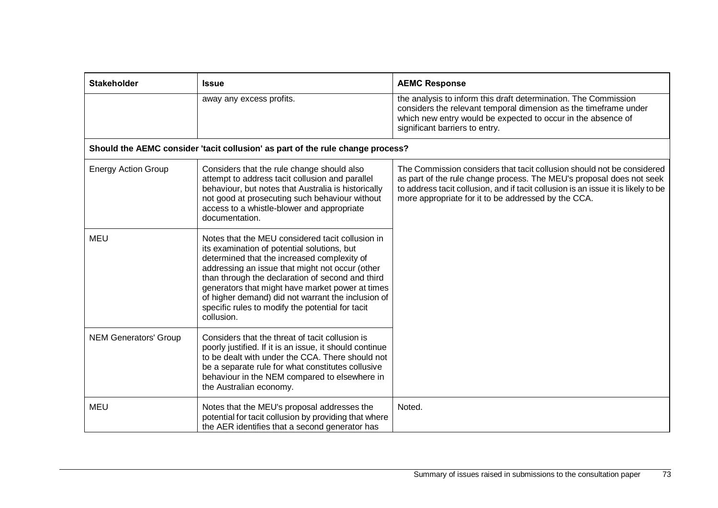| <b>Stakeholder</b>           | <b>Issue</b>                                                                                                                                                                                                                                                                                                                                                                                                                      | <b>AEMC Response</b>                                                                                                                                                                                                                                                                       |
|------------------------------|-----------------------------------------------------------------------------------------------------------------------------------------------------------------------------------------------------------------------------------------------------------------------------------------------------------------------------------------------------------------------------------------------------------------------------------|--------------------------------------------------------------------------------------------------------------------------------------------------------------------------------------------------------------------------------------------------------------------------------------------|
|                              | away any excess profits.                                                                                                                                                                                                                                                                                                                                                                                                          | the analysis to inform this draft determination. The Commission<br>considers the relevant temporal dimension as the timeframe under<br>which new entry would be expected to occur in the absence of<br>significant barriers to entry.                                                      |
|                              | Should the AEMC consider 'tacit collusion' as part of the rule change process?                                                                                                                                                                                                                                                                                                                                                    |                                                                                                                                                                                                                                                                                            |
| <b>Energy Action Group</b>   | Considers that the rule change should also<br>attempt to address tacit collusion and parallel<br>behaviour, but notes that Australia is historically<br>not good at prosecuting such behaviour without<br>access to a whistle-blower and appropriate<br>documentation.                                                                                                                                                            | The Commission considers that tacit collusion should not be considered<br>as part of the rule change process. The MEU's proposal does not seek<br>to address tacit collusion, and if tacit collusion is an issue it is likely to be<br>more appropriate for it to be addressed by the CCA. |
| <b>MEU</b>                   | Notes that the MEU considered tacit collusion in<br>its examination of potential solutions, but<br>determined that the increased complexity of<br>addressing an issue that might not occur (other<br>than through the declaration of second and third<br>generators that might have market power at times<br>of higher demand) did not warrant the inclusion of<br>specific rules to modify the potential for tacit<br>collusion. |                                                                                                                                                                                                                                                                                            |
| <b>NEM Generators' Group</b> | Considers that the threat of tacit collusion is<br>poorly justified. If it is an issue, it should continue<br>to be dealt with under the CCA. There should not<br>be a separate rule for what constitutes collusive<br>behaviour in the NEM compared to elsewhere in<br>the Australian economy.                                                                                                                                   |                                                                                                                                                                                                                                                                                            |
| <b>MEU</b>                   | Notes that the MEU's proposal addresses the<br>potential for tacit collusion by providing that where<br>the AER identifies that a second generator has                                                                                                                                                                                                                                                                            | Noted.                                                                                                                                                                                                                                                                                     |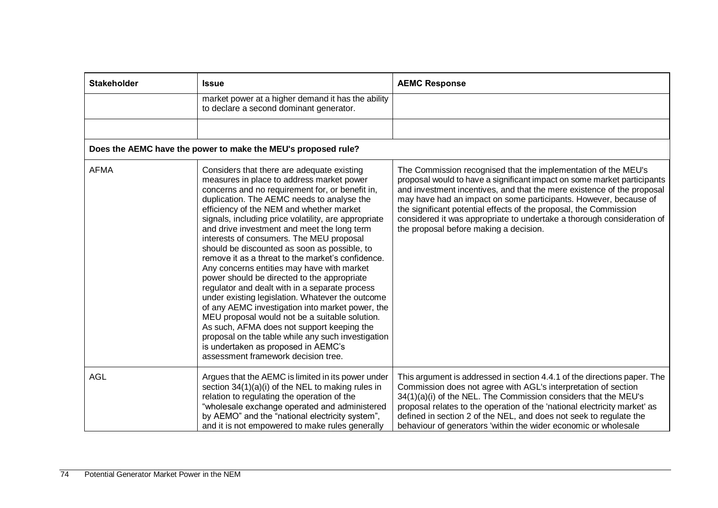| <b>Stakeholder</b> | <b>Issue</b>                                                                                                                                                                                                                                                                                                                                                                                                                                                                                                                                                                                                                                                                                                                                                                                                                                                                                                                                                                            | <b>AEMC Response</b>                                                                                                                                                                                                                                                                                                                                                                                                                                                             |
|--------------------|-----------------------------------------------------------------------------------------------------------------------------------------------------------------------------------------------------------------------------------------------------------------------------------------------------------------------------------------------------------------------------------------------------------------------------------------------------------------------------------------------------------------------------------------------------------------------------------------------------------------------------------------------------------------------------------------------------------------------------------------------------------------------------------------------------------------------------------------------------------------------------------------------------------------------------------------------------------------------------------------|----------------------------------------------------------------------------------------------------------------------------------------------------------------------------------------------------------------------------------------------------------------------------------------------------------------------------------------------------------------------------------------------------------------------------------------------------------------------------------|
|                    | market power at a higher demand it has the ability<br>to declare a second dominant generator.                                                                                                                                                                                                                                                                                                                                                                                                                                                                                                                                                                                                                                                                                                                                                                                                                                                                                           |                                                                                                                                                                                                                                                                                                                                                                                                                                                                                  |
|                    |                                                                                                                                                                                                                                                                                                                                                                                                                                                                                                                                                                                                                                                                                                                                                                                                                                                                                                                                                                                         |                                                                                                                                                                                                                                                                                                                                                                                                                                                                                  |
|                    | Does the AEMC have the power to make the MEU's proposed rule?                                                                                                                                                                                                                                                                                                                                                                                                                                                                                                                                                                                                                                                                                                                                                                                                                                                                                                                           |                                                                                                                                                                                                                                                                                                                                                                                                                                                                                  |
| <b>AFMA</b>        | Considers that there are adequate existing<br>measures in place to address market power<br>concerns and no requirement for, or benefit in,<br>duplication. The AEMC needs to analyse the<br>efficiency of the NEM and whether market<br>signals, including price volatility, are appropriate<br>and drive investment and meet the long term<br>interests of consumers. The MEU proposal<br>should be discounted as soon as possible, to<br>remove it as a threat to the market's confidence.<br>Any concerns entities may have with market<br>power should be directed to the appropriate<br>regulator and dealt with in a separate process<br>under existing legislation. Whatever the outcome<br>of any AEMC investigation into market power, the<br>MEU proposal would not be a suitable solution.<br>As such, AFMA does not support keeping the<br>proposal on the table while any such investigation<br>is undertaken as proposed in AEMC's<br>assessment framework decision tree. | The Commission recognised that the implementation of the MEU's<br>proposal would to have a significant impact on some market participants<br>and investment incentives, and that the mere existence of the proposal<br>may have had an impact on some participants. However, because of<br>the significant potential effects of the proposal, the Commission<br>considered it was appropriate to undertake a thorough consideration of<br>the proposal before making a decision. |
| <b>AGL</b>         | Argues that the AEMC is limited in its power under<br>section 34(1)(a)(i) of the NEL to making rules in<br>relation to regulating the operation of the<br>"wholesale exchange operated and administered<br>by AEMO" and the "national electricity system",<br>and it is not empowered to make rules generally                                                                                                                                                                                                                                                                                                                                                                                                                                                                                                                                                                                                                                                                           | This argument is addressed in section 4.4.1 of the directions paper. The<br>Commission does not agree with AGL's interpretation of section<br>34(1)(a)(i) of the NEL. The Commission considers that the MEU's<br>proposal relates to the operation of the 'national electricity market' as<br>defined in section 2 of the NEL, and does not seek to regulate the<br>behaviour of generators 'within the wider economic or wholesale                                              |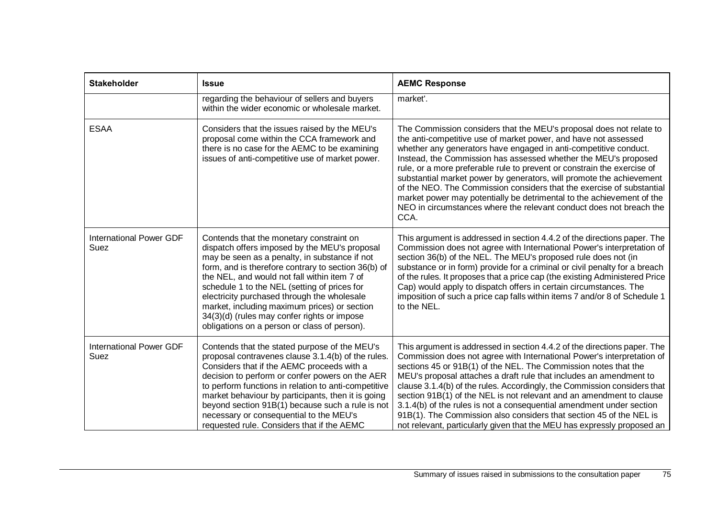| <b>Stakeholder</b>                     | <b>Issue</b>                                                                                                                                                                                                                                                                                                                                                                                                                                                                                    | <b>AEMC Response</b>                                                                                                                                                                                                                                                                                                                                                                                                                                                                                                                                                                                                                                                      |
|----------------------------------------|-------------------------------------------------------------------------------------------------------------------------------------------------------------------------------------------------------------------------------------------------------------------------------------------------------------------------------------------------------------------------------------------------------------------------------------------------------------------------------------------------|---------------------------------------------------------------------------------------------------------------------------------------------------------------------------------------------------------------------------------------------------------------------------------------------------------------------------------------------------------------------------------------------------------------------------------------------------------------------------------------------------------------------------------------------------------------------------------------------------------------------------------------------------------------------------|
|                                        | regarding the behaviour of sellers and buyers<br>within the wider economic or wholesale market.                                                                                                                                                                                                                                                                                                                                                                                                 | market'.                                                                                                                                                                                                                                                                                                                                                                                                                                                                                                                                                                                                                                                                  |
| <b>ESAA</b>                            | Considers that the issues raised by the MEU's<br>proposal come within the CCA framework and<br>there is no case for the AEMC to be examining<br>issues of anti-competitive use of market power.                                                                                                                                                                                                                                                                                                 | The Commission considers that the MEU's proposal does not relate to<br>the anti-competitive use of market power, and have not assessed<br>whether any generators have engaged in anti-competitive conduct.<br>Instead, the Commission has assessed whether the MEU's proposed<br>rule, or a more preferable rule to prevent or constrain the exercise of<br>substantial market power by generators, will promote the achievement<br>of the NEO. The Commission considers that the exercise of substantial<br>market power may potentially be detrimental to the achievement of the<br>NEO in circumstances where the relevant conduct does not breach the<br>CCA.         |
| International Power GDF<br>Suez        | Contends that the monetary constraint on<br>dispatch offers imposed by the MEU's proposal<br>may be seen as a penalty, in substance if not<br>form, and is therefore contrary to section 36(b) of<br>the NEL, and would not fall within item 7 of<br>schedule 1 to the NEL (setting of prices for<br>electricity purchased through the wholesale<br>market, including maximum prices) or section<br>34(3)(d) (rules may confer rights or impose<br>obligations on a person or class of person). | This argument is addressed in section 4.4.2 of the directions paper. The<br>Commission does not agree with International Power's interpretation of<br>section 36(b) of the NEL. The MEU's proposed rule does not (in<br>substance or in form) provide for a criminal or civil penalty for a breach<br>of the rules. It proposes that a price cap (the existing Administered Price<br>Cap) would apply to dispatch offers in certain circumstances. The<br>imposition of such a price cap falls within items 7 and/or 8 of Schedule 1<br>to the NEL.                                                                                                                       |
| <b>International Power GDF</b><br>Suez | Contends that the stated purpose of the MEU's<br>proposal contravenes clause 3.1.4(b) of the rules.<br>Considers that if the AEMC proceeds with a<br>decision to perform or confer powers on the AER<br>to perform functions in relation to anti-competitive<br>market behaviour by participants, then it is going<br>beyond section 91B(1) because such a rule is not<br>necessary or consequential to the MEU's<br>requested rule. Considers that if the AEMC                                 | This argument is addressed in section 4.4.2 of the directions paper. The<br>Commission does not agree with International Power's interpretation of<br>sections 45 or 91B(1) of the NEL. The Commission notes that the<br>MEU's proposal attaches a draft rule that includes an amendment to<br>clause 3.1.4(b) of the rules. Accordingly, the Commission considers that<br>section 91B(1) of the NEL is not relevant and an amendment to clause<br>3.1.4(b) of the rules is not a consequential amendment under section<br>91B(1). The Commission also considers that section 45 of the NEL is<br>not relevant, particularly given that the MEU has expressly proposed an |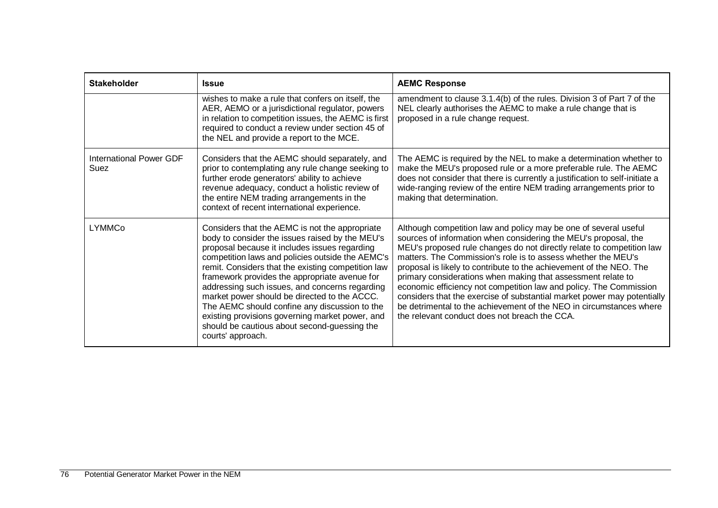| <b>Stakeholder</b>              | <b>Issue</b>                                                                                                                                                                                                                                                                                                                                                                                                                                                                                                                                                                             | <b>AEMC Response</b>                                                                                                                                                                                                                                                                                                                                                                                                                                                                                                                                                                                                                                                                          |
|---------------------------------|------------------------------------------------------------------------------------------------------------------------------------------------------------------------------------------------------------------------------------------------------------------------------------------------------------------------------------------------------------------------------------------------------------------------------------------------------------------------------------------------------------------------------------------------------------------------------------------|-----------------------------------------------------------------------------------------------------------------------------------------------------------------------------------------------------------------------------------------------------------------------------------------------------------------------------------------------------------------------------------------------------------------------------------------------------------------------------------------------------------------------------------------------------------------------------------------------------------------------------------------------------------------------------------------------|
|                                 | wishes to make a rule that confers on itself, the<br>AER, AEMO or a jurisdictional regulator, powers<br>in relation to competition issues, the AEMC is first<br>required to conduct a review under section 45 of<br>the NEL and provide a report to the MCE.                                                                                                                                                                                                                                                                                                                             | amendment to clause 3.1.4(b) of the rules. Division 3 of Part 7 of the<br>NEL clearly authorises the AEMC to make a rule change that is<br>proposed in a rule change request.                                                                                                                                                                                                                                                                                                                                                                                                                                                                                                                 |
| International Power GDF<br>Suez | Considers that the AEMC should separately, and<br>prior to contemplating any rule change seeking to<br>further erode generators' ability to achieve<br>revenue adequacy, conduct a holistic review of<br>the entire NEM trading arrangements in the<br>context of recent international experience.                                                                                                                                                                                                                                                                                       | The AEMC is required by the NEL to make a determination whether to<br>make the MEU's proposed rule or a more preferable rule. The AEMC<br>does not consider that there is currently a justification to self-initiate a<br>wide-ranging review of the entire NEM trading arrangements prior to<br>making that determination.                                                                                                                                                                                                                                                                                                                                                                   |
| <b>LYMMCo</b>                   | Considers that the AEMC is not the appropriate<br>body to consider the issues raised by the MEU's<br>proposal because it includes issues regarding<br>competition laws and policies outside the AEMC's<br>remit. Considers that the existing competition law<br>framework provides the appropriate avenue for<br>addressing such issues, and concerns regarding<br>market power should be directed to the ACCC.<br>The AEMC should confine any discussion to the<br>existing provisions governing market power, and<br>should be cautious about second-guessing the<br>courts' approach. | Although competition law and policy may be one of several useful<br>sources of information when considering the MEU's proposal, the<br>MEU's proposed rule changes do not directly relate to competition law<br>matters. The Commission's role is to assess whether the MEU's<br>proposal is likely to contribute to the achievement of the NEO. The<br>primary considerations when making that assessment relate to<br>economic efficiency not competition law and policy. The Commission<br>considers that the exercise of substantial market power may potentially<br>be detrimental to the achievement of the NEO in circumstances where<br>the relevant conduct does not breach the CCA. |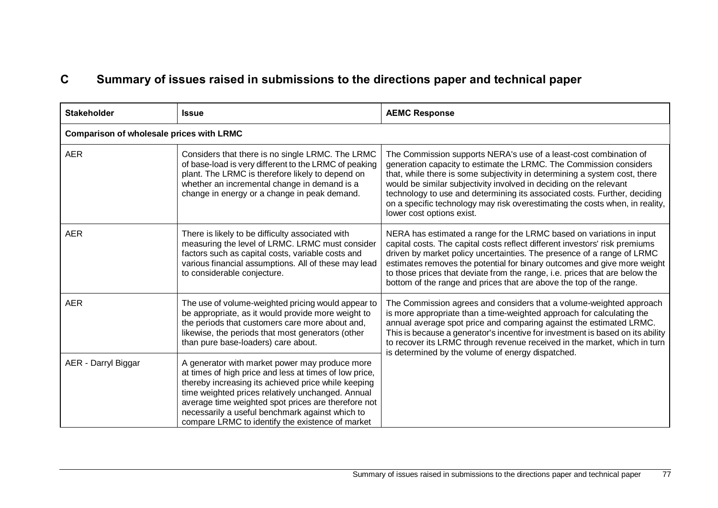## **C Summary of issues raised in submissions to the directions paper and technical paper**

| <b>Stakeholder</b>  | <b>Issue</b>                                                                                                                                                                                                                                                                                                                                                                       | <b>AEMC Response</b>                                                                                                                                                                                                                                                                                                                                                                                                                                                                  |  |
|---------------------|------------------------------------------------------------------------------------------------------------------------------------------------------------------------------------------------------------------------------------------------------------------------------------------------------------------------------------------------------------------------------------|---------------------------------------------------------------------------------------------------------------------------------------------------------------------------------------------------------------------------------------------------------------------------------------------------------------------------------------------------------------------------------------------------------------------------------------------------------------------------------------|--|
|                     | <b>Comparison of wholesale prices with LRMC</b>                                                                                                                                                                                                                                                                                                                                    |                                                                                                                                                                                                                                                                                                                                                                                                                                                                                       |  |
| <b>AER</b>          | Considers that there is no single LRMC. The LRMC<br>of base-load is very different to the LRMC of peaking<br>plant. The LRMC is therefore likely to depend on<br>whether an incremental change in demand is a<br>change in energy or a change in peak demand.                                                                                                                      | The Commission supports NERA's use of a least-cost combination of<br>generation capacity to estimate the LRMC. The Commission considers<br>that, while there is some subjectivity in determining a system cost, there<br>would be similar subjectivity involved in deciding on the relevant<br>technology to use and determining its associated costs. Further, deciding<br>on a specific technology may risk overestimating the costs when, in reality,<br>lower cost options exist. |  |
| <b>AER</b>          | There is likely to be difficulty associated with<br>measuring the level of LRMC. LRMC must consider<br>factors such as capital costs, variable costs and<br>various financial assumptions. All of these may lead<br>to considerable conjecture.                                                                                                                                    | NERA has estimated a range for the LRMC based on variations in input<br>capital costs. The capital costs reflect different investors' risk premiums<br>driven by market policy uncertainties. The presence of a range of LRMC<br>estimates removes the potential for binary outcomes and give more weight<br>to those prices that deviate from the range, i.e. prices that are below the<br>bottom of the range and prices that are above the top of the range.                       |  |
| <b>AER</b>          | The use of volume-weighted pricing would appear to<br>be appropriate, as it would provide more weight to<br>the periods that customers care more about and,<br>likewise, the periods that most generators (other<br>than pure base-loaders) care about.                                                                                                                            | The Commission agrees and considers that a volume-weighted approach<br>is more appropriate than a time-weighted approach for calculating the<br>annual average spot price and comparing against the estimated LRMC.<br>This is because a generator's incentive for investment is based on its ability<br>to recover its LRMC through revenue received in the market, which in turn<br>is determined by the volume of energy dispatched.                                               |  |
| AER - Darryl Biggar | A generator with market power may produce more<br>at times of high price and less at times of low price,<br>thereby increasing its achieved price while keeping<br>time weighted prices relatively unchanged. Annual<br>average time weighted spot prices are therefore not<br>necessarily a useful benchmark against which to<br>compare LRMC to identify the existence of market |                                                                                                                                                                                                                                                                                                                                                                                                                                                                                       |  |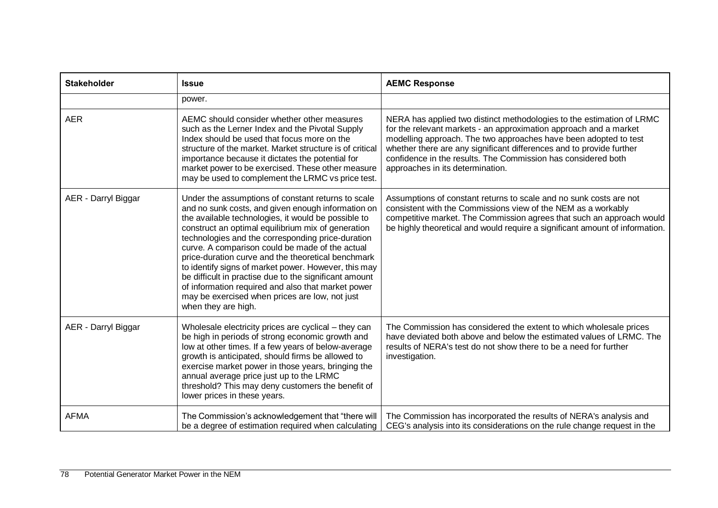| <b>Stakeholder</b>  | <b>Issue</b>                                                                                                                                                                                                                                                                                                                                                                                                                                                                                                                                                                                                                         | <b>AEMC Response</b>                                                                                                                                                                                                                                                                                                                                                                        |
|---------------------|--------------------------------------------------------------------------------------------------------------------------------------------------------------------------------------------------------------------------------------------------------------------------------------------------------------------------------------------------------------------------------------------------------------------------------------------------------------------------------------------------------------------------------------------------------------------------------------------------------------------------------------|---------------------------------------------------------------------------------------------------------------------------------------------------------------------------------------------------------------------------------------------------------------------------------------------------------------------------------------------------------------------------------------------|
|                     | power.                                                                                                                                                                                                                                                                                                                                                                                                                                                                                                                                                                                                                               |                                                                                                                                                                                                                                                                                                                                                                                             |
| <b>AER</b>          | AEMC should consider whether other measures<br>such as the Lerner Index and the Pivotal Supply<br>Index should be used that focus more on the<br>structure of the market. Market structure is of critical<br>importance because it dictates the potential for<br>market power to be exercised. These other measure<br>may be used to complement the LRMC vs price test.                                                                                                                                                                                                                                                              | NERA has applied two distinct methodologies to the estimation of LRMC<br>for the relevant markets - an approximation approach and a market<br>modelling approach. The two approaches have been adopted to test<br>whether there are any significant differences and to provide further<br>confidence in the results. The Commission has considered both<br>approaches in its determination. |
| AER - Darryl Biggar | Under the assumptions of constant returns to scale<br>and no sunk costs, and given enough information on<br>the available technologies, it would be possible to<br>construct an optimal equilibrium mix of generation<br>technologies and the corresponding price-duration<br>curve. A comparison could be made of the actual<br>price-duration curve and the theoretical benchmark<br>to identify signs of market power. However, this may<br>be difficult in practise due to the significant amount<br>of information required and also that market power<br>may be exercised when prices are low, not just<br>when they are high. | Assumptions of constant returns to scale and no sunk costs are not<br>consistent with the Commissions view of the NEM as a workably<br>competitive market. The Commission agrees that such an approach would<br>be highly theoretical and would require a significant amount of information.                                                                                                |
| AER - Darryl Biggar | Wholesale electricity prices are cyclical – they can<br>be high in periods of strong economic growth and<br>low at other times. If a few years of below-average<br>growth is anticipated, should firms be allowed to<br>exercise market power in those years, bringing the<br>annual average price just up to the LRMC<br>threshold? This may deny customers the benefit of<br>lower prices in these years.                                                                                                                                                                                                                          | The Commission has considered the extent to which wholesale prices<br>have deviated both above and below the estimated values of LRMC. The<br>results of NERA's test do not show there to be a need for further<br>investigation.                                                                                                                                                           |
| <b>AFMA</b>         | The Commission's acknowledgement that "there will<br>be a degree of estimation required when calculating                                                                                                                                                                                                                                                                                                                                                                                                                                                                                                                             | The Commission has incorporated the results of NERA's analysis and<br>CEG's analysis into its considerations on the rule change request in the                                                                                                                                                                                                                                              |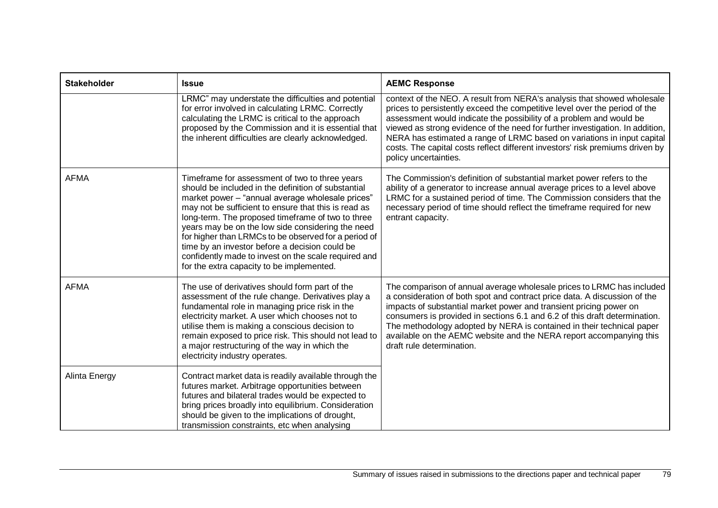| <b>Stakeholder</b> | <b>Issue</b>                                                                                                                                                                                                                                                                                                                                                                                                                                                                                                                               | <b>AEMC Response</b>                                                                                                                                                                                                                                                                                                                                                                                                                                                                               |
|--------------------|--------------------------------------------------------------------------------------------------------------------------------------------------------------------------------------------------------------------------------------------------------------------------------------------------------------------------------------------------------------------------------------------------------------------------------------------------------------------------------------------------------------------------------------------|----------------------------------------------------------------------------------------------------------------------------------------------------------------------------------------------------------------------------------------------------------------------------------------------------------------------------------------------------------------------------------------------------------------------------------------------------------------------------------------------------|
|                    | LRMC" may understate the difficulties and potential<br>for error involved in calculating LRMC. Correctly<br>calculating the LRMC is critical to the approach<br>proposed by the Commission and it is essential that<br>the inherent difficulties are clearly acknowledged.                                                                                                                                                                                                                                                                 | context of the NEO. A result from NERA's analysis that showed wholesale<br>prices to persistently exceed the competitive level over the period of the<br>assessment would indicate the possibility of a problem and would be<br>viewed as strong evidence of the need for further investigation. In addition,<br>NERA has estimated a range of LRMC based on variations in input capital<br>costs. The capital costs reflect different investors' risk premiums driven by<br>policy uncertainties. |
| <b>AFMA</b>        | Timeframe for assessment of two to three years<br>should be included in the definition of substantial<br>market power - "annual average wholesale prices"<br>may not be sufficient to ensure that this is read as<br>long-term. The proposed timeframe of two to three<br>years may be on the low side considering the need<br>for higher than LRMCs to be observed for a period of<br>time by an investor before a decision could be<br>confidently made to invest on the scale required and<br>for the extra capacity to be implemented. | The Commission's definition of substantial market power refers to the<br>ability of a generator to increase annual average prices to a level above<br>LRMC for a sustained period of time. The Commission considers that the<br>necessary period of time should reflect the timeframe required for new<br>entrant capacity.                                                                                                                                                                        |
| <b>AFMA</b>        | The use of derivatives should form part of the<br>assessment of the rule change. Derivatives play a<br>fundamental role in managing price risk in the<br>electricity market. A user which chooses not to<br>utilise them is making a conscious decision to<br>remain exposed to price risk. This should not lead to<br>a major restructuring of the way in which the<br>electricity industry operates.                                                                                                                                     | The comparison of annual average wholesale prices to LRMC has included<br>a consideration of both spot and contract price data. A discussion of the<br>impacts of substantial market power and transient pricing power on<br>consumers is provided in sections 6.1 and 6.2 of this draft determination.<br>The methodology adopted by NERA is contained in their technical paper<br>available on the AEMC website and the NERA report accompanying this<br>draft rule determination.               |
| Alinta Energy      | Contract market data is readily available through the<br>futures market. Arbitrage opportunities between<br>futures and bilateral trades would be expected to<br>bring prices broadly into equilibrium. Consideration<br>should be given to the implications of drought,<br>transmission constraints, etc when analysing                                                                                                                                                                                                                   |                                                                                                                                                                                                                                                                                                                                                                                                                                                                                                    |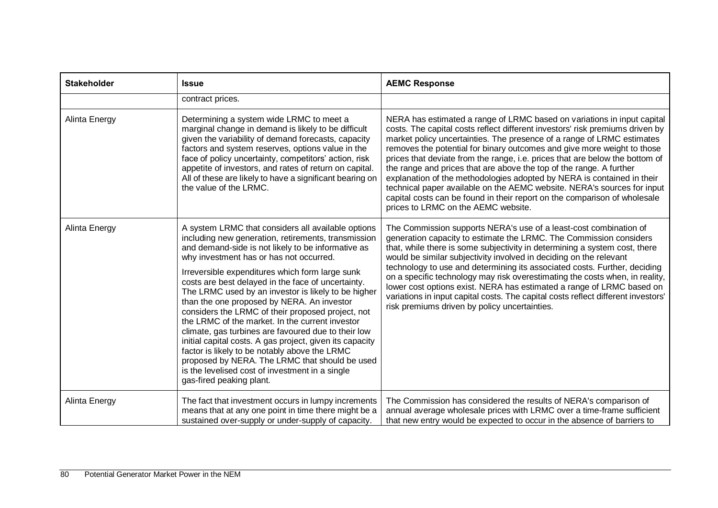| <b>Stakeholder</b> | <b>Issue</b>                                                                                                                                                                                                                                                                                                                                                                                                                                                                                                                                                                                                                                                                                                                                                                                                                          | <b>AEMC Response</b>                                                                                                                                                                                                                                                                                                                                                                                                                                                                                                                                                                                                                                                                                                                          |
|--------------------|---------------------------------------------------------------------------------------------------------------------------------------------------------------------------------------------------------------------------------------------------------------------------------------------------------------------------------------------------------------------------------------------------------------------------------------------------------------------------------------------------------------------------------------------------------------------------------------------------------------------------------------------------------------------------------------------------------------------------------------------------------------------------------------------------------------------------------------|-----------------------------------------------------------------------------------------------------------------------------------------------------------------------------------------------------------------------------------------------------------------------------------------------------------------------------------------------------------------------------------------------------------------------------------------------------------------------------------------------------------------------------------------------------------------------------------------------------------------------------------------------------------------------------------------------------------------------------------------------|
|                    | contract prices.                                                                                                                                                                                                                                                                                                                                                                                                                                                                                                                                                                                                                                                                                                                                                                                                                      |                                                                                                                                                                                                                                                                                                                                                                                                                                                                                                                                                                                                                                                                                                                                               |
| Alinta Energy      | Determining a system wide LRMC to meet a<br>marginal change in demand is likely to be difficult<br>given the variability of demand forecasts, capacity<br>factors and system reserves, options value in the<br>face of policy uncertainty, competitors' action, risk<br>appetite of investors, and rates of return on capital.<br>All of these are likely to have a significant bearing on<br>the value of the LRMC.                                                                                                                                                                                                                                                                                                                                                                                                                  | NERA has estimated a range of LRMC based on variations in input capital<br>costs. The capital costs reflect different investors' risk premiums driven by<br>market policy uncertainties. The presence of a range of LRMC estimates<br>removes the potential for binary outcomes and give more weight to those<br>prices that deviate from the range, i.e. prices that are below the bottom of<br>the range and prices that are above the top of the range. A further<br>explanation of the methodologies adopted by NERA is contained in their<br>technical paper available on the AEMC website. NERA's sources for input<br>capital costs can be found in their report on the comparison of wholesale<br>prices to LRMC on the AEMC website. |
| Alinta Energy      | A system LRMC that considers all available options<br>including new generation, retirements, transmission<br>and demand-side is not likely to be informative as<br>why investment has or has not occurred.<br>Irreversible expenditures which form large sunk<br>costs are best delayed in the face of uncertainty.<br>The LRMC used by an investor is likely to be higher<br>than the one proposed by NERA. An investor<br>considers the LRMC of their proposed project, not<br>the LRMC of the market. In the current investor<br>climate, gas turbines are favoured due to their low<br>initial capital costs. A gas project, given its capacity<br>factor is likely to be notably above the LRMC<br>proposed by NERA. The LRMC that should be used<br>is the levelised cost of investment in a single<br>gas-fired peaking plant. | The Commission supports NERA's use of a least-cost combination of<br>generation capacity to estimate the LRMC. The Commission considers<br>that, while there is some subjectivity in determining a system cost, there<br>would be similar subjectivity involved in deciding on the relevant<br>technology to use and determining its associated costs. Further, deciding<br>on a specific technology may risk overestimating the costs when, in reality,<br>lower cost options exist. NERA has estimated a range of LRMC based on<br>variations in input capital costs. The capital costs reflect different investors'<br>risk premiums driven by policy uncertainties.                                                                       |
| Alinta Energy      | The fact that investment occurs in lumpy increments<br>means that at any one point in time there might be a<br>sustained over-supply or under-supply of capacity.                                                                                                                                                                                                                                                                                                                                                                                                                                                                                                                                                                                                                                                                     | The Commission has considered the results of NERA's comparison of<br>annual average wholesale prices with LRMC over a time-frame sufficient<br>that new entry would be expected to occur in the absence of barriers to                                                                                                                                                                                                                                                                                                                                                                                                                                                                                                                        |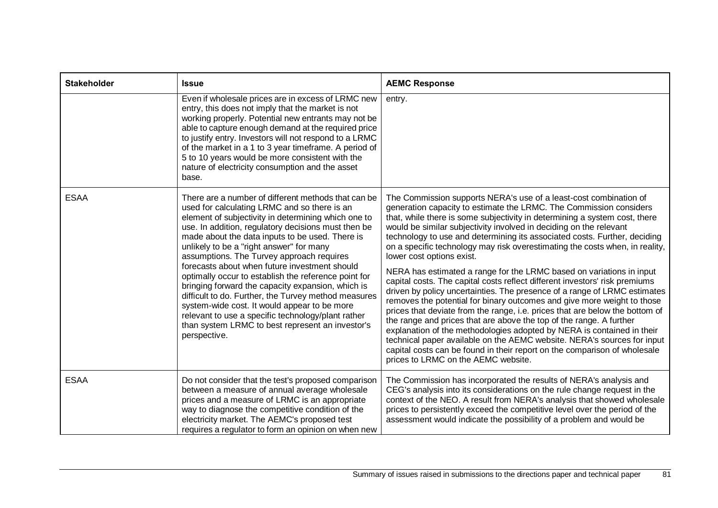| <b>Stakeholder</b> | <b>Issue</b>                                                                                                                                                                                                                                                                                                                                                                                                                                                                                                                                                                                                                                                                                                                                                  | <b>AEMC Response</b>                                                                                                                                                                                                                                                                                                                                                                                                                                                                                                                                                                                                                                                                                                                                                                                                                                                                                                                                                                                                                                                                                                                                                                                                                 |
|--------------------|---------------------------------------------------------------------------------------------------------------------------------------------------------------------------------------------------------------------------------------------------------------------------------------------------------------------------------------------------------------------------------------------------------------------------------------------------------------------------------------------------------------------------------------------------------------------------------------------------------------------------------------------------------------------------------------------------------------------------------------------------------------|--------------------------------------------------------------------------------------------------------------------------------------------------------------------------------------------------------------------------------------------------------------------------------------------------------------------------------------------------------------------------------------------------------------------------------------------------------------------------------------------------------------------------------------------------------------------------------------------------------------------------------------------------------------------------------------------------------------------------------------------------------------------------------------------------------------------------------------------------------------------------------------------------------------------------------------------------------------------------------------------------------------------------------------------------------------------------------------------------------------------------------------------------------------------------------------------------------------------------------------|
|                    | Even if wholesale prices are in excess of LRMC new<br>entry, this does not imply that the market is not<br>working properly. Potential new entrants may not be<br>able to capture enough demand at the required price<br>to justify entry. Investors will not respond to a LRMC<br>of the market in a 1 to 3 year timeframe. A period of<br>5 to 10 years would be more consistent with the<br>nature of electricity consumption and the asset<br>base.                                                                                                                                                                                                                                                                                                       | entry.                                                                                                                                                                                                                                                                                                                                                                                                                                                                                                                                                                                                                                                                                                                                                                                                                                                                                                                                                                                                                                                                                                                                                                                                                               |
| <b>ESAA</b>        | There are a number of different methods that can be<br>used for calculating LRMC and so there is an<br>element of subjectivity in determining which one to<br>use. In addition, regulatory decisions must then be<br>made about the data inputs to be used. There is<br>unlikely to be a "right answer" for many<br>assumptions. The Turvey approach requires<br>forecasts about when future investment should<br>optimally occur to establish the reference point for<br>bringing forward the capacity expansion, which is<br>difficult to do. Further, the Turvey method measures<br>system-wide cost. It would appear to be more<br>relevant to use a specific technology/plant rather<br>than system LRMC to best represent an investor's<br>perspective. | The Commission supports NERA's use of a least-cost combination of<br>generation capacity to estimate the LRMC. The Commission considers<br>that, while there is some subjectivity in determining a system cost, there<br>would be similar subjectivity involved in deciding on the relevant<br>technology to use and determining its associated costs. Further, deciding<br>on a specific technology may risk overestimating the costs when, in reality,<br>lower cost options exist.<br>NERA has estimated a range for the LRMC based on variations in input<br>capital costs. The capital costs reflect different investors' risk premiums<br>driven by policy uncertainties. The presence of a range of LRMC estimates<br>removes the potential for binary outcomes and give more weight to those<br>prices that deviate from the range, i.e. prices that are below the bottom of<br>the range and prices that are above the top of the range. A further<br>explanation of the methodologies adopted by NERA is contained in their<br>technical paper available on the AEMC website. NERA's sources for input<br>capital costs can be found in their report on the comparison of wholesale<br>prices to LRMC on the AEMC website. |
| <b>ESAA</b>        | Do not consider that the test's proposed comparison<br>between a measure of annual average wholesale<br>prices and a measure of LRMC is an appropriate<br>way to diagnose the competitive condition of the<br>electricity market. The AEMC's proposed test<br>requires a regulator to form an opinion on when new                                                                                                                                                                                                                                                                                                                                                                                                                                             | The Commission has incorporated the results of NERA's analysis and<br>CEG's analysis into its considerations on the rule change request in the<br>context of the NEO. A result from NERA's analysis that showed wholesale<br>prices to persistently exceed the competitive level over the period of the<br>assessment would indicate the possibility of a problem and would be                                                                                                                                                                                                                                                                                                                                                                                                                                                                                                                                                                                                                                                                                                                                                                                                                                                       |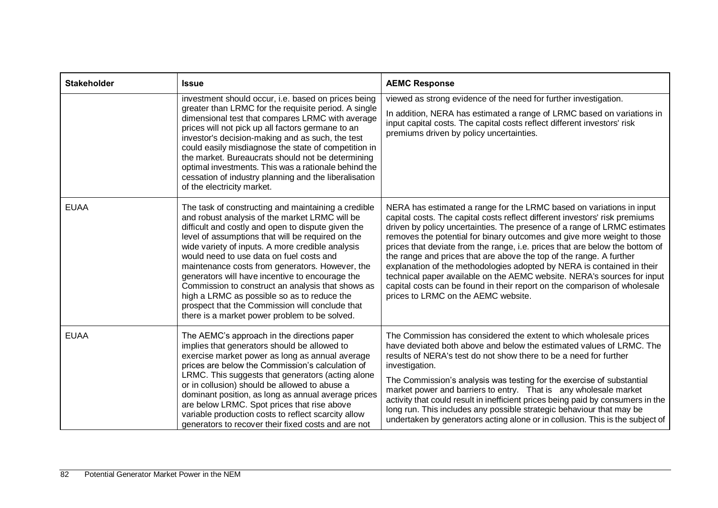| <b>Stakeholder</b> | <b>Issue</b>                                                                                                                                                                                                                                                                                                                                                                                                                                                                                                                                                                                                                   | <b>AEMC Response</b>                                                                                                                                                                                                                                                                                                                                                                                                                                                                                                                                                                                                                                                                                                                        |
|--------------------|--------------------------------------------------------------------------------------------------------------------------------------------------------------------------------------------------------------------------------------------------------------------------------------------------------------------------------------------------------------------------------------------------------------------------------------------------------------------------------------------------------------------------------------------------------------------------------------------------------------------------------|---------------------------------------------------------------------------------------------------------------------------------------------------------------------------------------------------------------------------------------------------------------------------------------------------------------------------------------------------------------------------------------------------------------------------------------------------------------------------------------------------------------------------------------------------------------------------------------------------------------------------------------------------------------------------------------------------------------------------------------------|
|                    | investment should occur, i.e. based on prices being<br>greater than LRMC for the requisite period. A single<br>dimensional test that compares LRMC with average<br>prices will not pick up all factors germane to an<br>investor's decision-making and as such, the test<br>could easily misdiagnose the state of competition in<br>the market. Bureaucrats should not be determining<br>optimal investments. This was a rationale behind the<br>cessation of industry planning and the liberalisation<br>of the electricity market.                                                                                           | viewed as strong evidence of the need for further investigation.<br>In addition, NERA has estimated a range of LRMC based on variations in<br>input capital costs. The capital costs reflect different investors' risk<br>premiums driven by policy uncertainties.                                                                                                                                                                                                                                                                                                                                                                                                                                                                          |
| <b>EUAA</b>        | The task of constructing and maintaining a credible<br>and robust analysis of the market LRMC will be<br>difficult and costly and open to dispute given the<br>level of assumptions that will be required on the<br>wide variety of inputs. A more credible analysis<br>would need to use data on fuel costs and<br>maintenance costs from generators. However, the<br>generators will have incentive to encourage the<br>Commission to construct an analysis that shows as<br>high a LRMC as possible so as to reduce the<br>prospect that the Commission will conclude that<br>there is a market power problem to be solved. | NERA has estimated a range for the LRMC based on variations in input<br>capital costs. The capital costs reflect different investors' risk premiums<br>driven by policy uncertainties. The presence of a range of LRMC estimates<br>removes the potential for binary outcomes and give more weight to those<br>prices that deviate from the range, i.e. prices that are below the bottom of<br>the range and prices that are above the top of the range. A further<br>explanation of the methodologies adopted by NERA is contained in their<br>technical paper available on the AEMC website. NERA's sources for input<br>capital costs can be found in their report on the comparison of wholesale<br>prices to LRMC on the AEMC website. |
| <b>EUAA</b>        | The AEMC's approach in the directions paper<br>implies that generators should be allowed to<br>exercise market power as long as annual average<br>prices are below the Commission's calculation of<br>LRMC. This suggests that generators (acting alone<br>or in collusion) should be allowed to abuse a<br>dominant position, as long as annual average prices<br>are below LRMC. Spot prices that rise above<br>variable production costs to reflect scarcity allow<br>generators to recover their fixed costs and are not                                                                                                   | The Commission has considered the extent to which wholesale prices<br>have deviated both above and below the estimated values of LRMC. The<br>results of NERA's test do not show there to be a need for further<br>investigation.<br>The Commission's analysis was testing for the exercise of substantial<br>market power and barriers to entry. That is any wholesale market<br>activity that could result in inefficient prices being paid by consumers in the<br>long run. This includes any possible strategic behaviour that may be<br>undertaken by generators acting alone or in collusion. This is the subject of                                                                                                                  |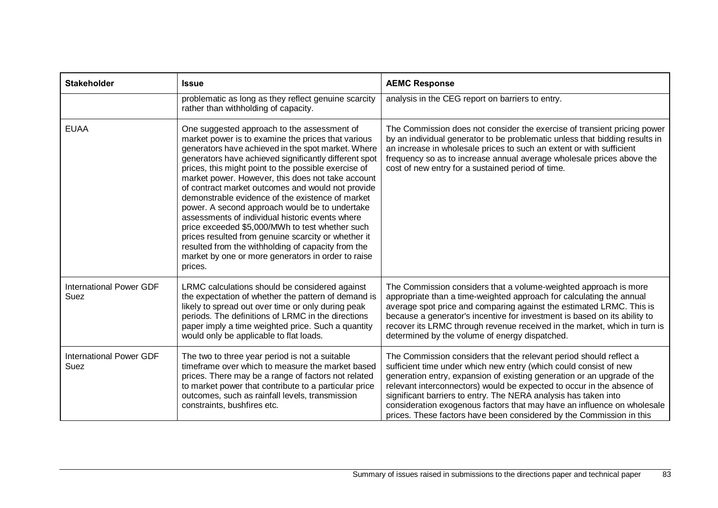| <b>Stakeholder</b>                            | <b>Issue</b>                                                                                                                                                                                                                                                                                                                                                                                                                                                                                                                                                                                                                                                                                                                                                                 | <b>AEMC Response</b>                                                                                                                                                                                                                                                                                                                                                                                                                                                                                               |
|-----------------------------------------------|------------------------------------------------------------------------------------------------------------------------------------------------------------------------------------------------------------------------------------------------------------------------------------------------------------------------------------------------------------------------------------------------------------------------------------------------------------------------------------------------------------------------------------------------------------------------------------------------------------------------------------------------------------------------------------------------------------------------------------------------------------------------------|--------------------------------------------------------------------------------------------------------------------------------------------------------------------------------------------------------------------------------------------------------------------------------------------------------------------------------------------------------------------------------------------------------------------------------------------------------------------------------------------------------------------|
|                                               | problematic as long as they reflect genuine scarcity<br>rather than withholding of capacity.                                                                                                                                                                                                                                                                                                                                                                                                                                                                                                                                                                                                                                                                                 | analysis in the CEG report on barriers to entry.                                                                                                                                                                                                                                                                                                                                                                                                                                                                   |
| <b>EUAA</b>                                   | One suggested approach to the assessment of<br>market power is to examine the prices that various<br>generators have achieved in the spot market. Where<br>generators have achieved significantly different spot<br>prices, this might point to the possible exercise of<br>market power. However, this does not take account<br>of contract market outcomes and would not provide<br>demonstrable evidence of the existence of market<br>power. A second approach would be to undertake<br>assessments of individual historic events where<br>price exceeded \$5,000/MWh to test whether such<br>prices resulted from genuine scarcity or whether it<br>resulted from the withholding of capacity from the<br>market by one or more generators in order to raise<br>prices. | The Commission does not consider the exercise of transient pricing power<br>by an individual generator to be problematic unless that bidding results in<br>an increase in wholesale prices to such an extent or with sufficient<br>frequency so as to increase annual average wholesale prices above the<br>cost of new entry for a sustained period of time.                                                                                                                                                      |
| <b>International Power GDF</b><br>Suez        | LRMC calculations should be considered against<br>the expectation of whether the pattern of demand is<br>likely to spread out over time or only during peak<br>periods. The definitions of LRMC in the directions<br>paper imply a time weighted price. Such a quantity<br>would only be applicable to flat loads.                                                                                                                                                                                                                                                                                                                                                                                                                                                           | The Commission considers that a volume-weighted approach is more<br>appropriate than a time-weighted approach for calculating the annual<br>average spot price and comparing against the estimated LRMC. This is<br>because a generator's incentive for investment is based on its ability to<br>recover its LRMC through revenue received in the market, which in turn is<br>determined by the volume of energy dispatched.                                                                                       |
| <b>International Power GDF</b><br><b>Suez</b> | The two to three year period is not a suitable<br>timeframe over which to measure the market based<br>prices. There may be a range of factors not related<br>to market power that contribute to a particular price<br>outcomes, such as rainfall levels, transmission<br>constraints, bushfires etc.                                                                                                                                                                                                                                                                                                                                                                                                                                                                         | The Commission considers that the relevant period should reflect a<br>sufficient time under which new entry (which could consist of new<br>generation entry, expansion of existing generation or an upgrade of the<br>relevant interconnectors) would be expected to occur in the absence of<br>significant barriers to entry. The NERA analysis has taken into<br>consideration exogenous factors that may have an influence on wholesale<br>prices. These factors have been considered by the Commission in this |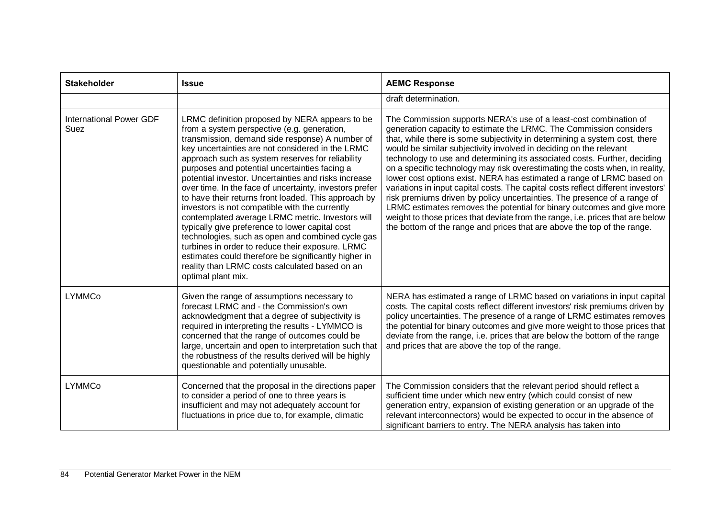| <b>Stakeholder</b>                     | <b>Issue</b>                                                                                                                                                                                                                                                                                                                                                                                                                                                                                                                                                                                                                                                                                                                                                                                                                                                                           | <b>AEMC Response</b>                                                                                                                                                                                                                                                                                                                                                                                                                                                                                                                                                                                                                                                                                                                                                                                                                                                                                                                      |
|----------------------------------------|----------------------------------------------------------------------------------------------------------------------------------------------------------------------------------------------------------------------------------------------------------------------------------------------------------------------------------------------------------------------------------------------------------------------------------------------------------------------------------------------------------------------------------------------------------------------------------------------------------------------------------------------------------------------------------------------------------------------------------------------------------------------------------------------------------------------------------------------------------------------------------------|-------------------------------------------------------------------------------------------------------------------------------------------------------------------------------------------------------------------------------------------------------------------------------------------------------------------------------------------------------------------------------------------------------------------------------------------------------------------------------------------------------------------------------------------------------------------------------------------------------------------------------------------------------------------------------------------------------------------------------------------------------------------------------------------------------------------------------------------------------------------------------------------------------------------------------------------|
|                                        |                                                                                                                                                                                                                                                                                                                                                                                                                                                                                                                                                                                                                                                                                                                                                                                                                                                                                        | draft determination.                                                                                                                                                                                                                                                                                                                                                                                                                                                                                                                                                                                                                                                                                                                                                                                                                                                                                                                      |
| <b>International Power GDF</b><br>Suez | LRMC definition proposed by NERA appears to be<br>from a system perspective (e.g. generation,<br>transmission, demand side response) A number of<br>key uncertainties are not considered in the LRMC<br>approach such as system reserves for reliability<br>purposes and potential uncertainties facing a<br>potential investor. Uncertainties and risks increase<br>over time. In the face of uncertainty, investors prefer<br>to have their returns front loaded. This approach by<br>investors is not compatible with the currently<br>contemplated average LRMC metric. Investors will<br>typically give preference to lower capital cost<br>technologies, such as open and combined cycle gas<br>turbines in order to reduce their exposure. LRMC<br>estimates could therefore be significantly higher in<br>reality than LRMC costs calculated based on an<br>optimal plant mix. | The Commission supports NERA's use of a least-cost combination of<br>generation capacity to estimate the LRMC. The Commission considers<br>that, while there is some subjectivity in determining a system cost, there<br>would be similar subjectivity involved in deciding on the relevant<br>technology to use and determining its associated costs. Further, deciding<br>on a specific technology may risk overestimating the costs when, in reality,<br>lower cost options exist. NERA has estimated a range of LRMC based on<br>variations in input capital costs. The capital costs reflect different investors'<br>risk premiums driven by policy uncertainties. The presence of a range of<br>LRMC estimates removes the potential for binary outcomes and give more<br>weight to those prices that deviate from the range, i.e. prices that are below<br>the bottom of the range and prices that are above the top of the range. |
| <b>LYMMCo</b>                          | Given the range of assumptions necessary to<br>forecast LRMC and - the Commission's own<br>acknowledgment that a degree of subjectivity is<br>required in interpreting the results - LYMMCO is<br>concerned that the range of outcomes could be<br>large, uncertain and open to interpretation such that<br>the robustness of the results derived will be highly<br>questionable and potentially unusable.                                                                                                                                                                                                                                                                                                                                                                                                                                                                             | NERA has estimated a range of LRMC based on variations in input capital<br>costs. The capital costs reflect different investors' risk premiums driven by<br>policy uncertainties. The presence of a range of LRMC estimates removes<br>the potential for binary outcomes and give more weight to those prices that<br>deviate from the range, i.e. prices that are below the bottom of the range<br>and prices that are above the top of the range.                                                                                                                                                                                                                                                                                                                                                                                                                                                                                       |
| <b>LYMMCo</b>                          | Concerned that the proposal in the directions paper<br>to consider a period of one to three years is<br>insufficient and may not adequately account for<br>fluctuations in price due to, for example, climatic                                                                                                                                                                                                                                                                                                                                                                                                                                                                                                                                                                                                                                                                         | The Commission considers that the relevant period should reflect a<br>sufficient time under which new entry (which could consist of new<br>generation entry, expansion of existing generation or an upgrade of the<br>relevant interconnectors) would be expected to occur in the absence of<br>significant barriers to entry. The NERA analysis has taken into                                                                                                                                                                                                                                                                                                                                                                                                                                                                                                                                                                           |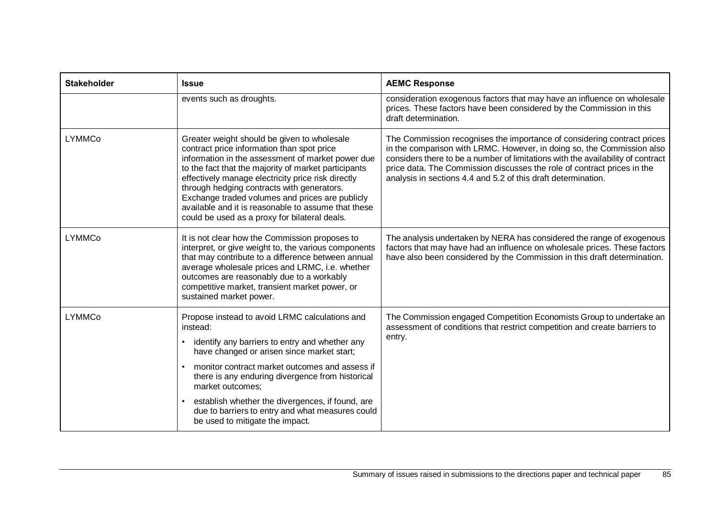| <b>Stakeholder</b> | <b>Issue</b>                                                                                                                                                                                                                                                                                                                                                                                                                                                          | <b>AEMC Response</b>                                                                                                                                                                                                                                                                                                                                                             |
|--------------------|-----------------------------------------------------------------------------------------------------------------------------------------------------------------------------------------------------------------------------------------------------------------------------------------------------------------------------------------------------------------------------------------------------------------------------------------------------------------------|----------------------------------------------------------------------------------------------------------------------------------------------------------------------------------------------------------------------------------------------------------------------------------------------------------------------------------------------------------------------------------|
|                    | events such as droughts.                                                                                                                                                                                                                                                                                                                                                                                                                                              | consideration exogenous factors that may have an influence on wholesale<br>prices. These factors have been considered by the Commission in this<br>draft determination.                                                                                                                                                                                                          |
| <b>LYMMCo</b>      | Greater weight should be given to wholesale<br>contract price information than spot price<br>information in the assessment of market power due<br>to the fact that the majority of market participants<br>effectively manage electricity price risk directly<br>through hedging contracts with generators.<br>Exchange traded volumes and prices are publicly<br>available and it is reasonable to assume that these<br>could be used as a proxy for bilateral deals. | The Commission recognises the importance of considering contract prices<br>in the comparison with LRMC. However, in doing so, the Commission also<br>considers there to be a number of limitations with the availability of contract<br>price data. The Commission discusses the role of contract prices in the<br>analysis in sections 4.4 and 5.2 of this draft determination. |
| <b>LYMMCo</b>      | It is not clear how the Commission proposes to<br>interpret, or give weight to, the various components<br>that may contribute to a difference between annual<br>average wholesale prices and LRMC, i.e. whether<br>outcomes are reasonably due to a workably<br>competitive market, transient market power, or<br>sustained market power.                                                                                                                             | The analysis undertaken by NERA has considered the range of exogenous<br>factors that may have had an influence on wholesale prices. These factors<br>have also been considered by the Commission in this draft determination.                                                                                                                                                   |
| <b>LYMMCo</b>      | Propose instead to avoid LRMC calculations and<br>instead:<br>identify any barriers to entry and whether any<br>$\bullet$<br>have changed or arisen since market start;<br>monitor contract market outcomes and assess if<br>there is any enduring divergence from historical<br>market outcomes;<br>establish whether the divergences, if found, are<br>due to barriers to entry and what measures could<br>be used to mitigate the impact.                          | The Commission engaged Competition Economists Group to undertake an<br>assessment of conditions that restrict competition and create barriers to<br>entry.                                                                                                                                                                                                                       |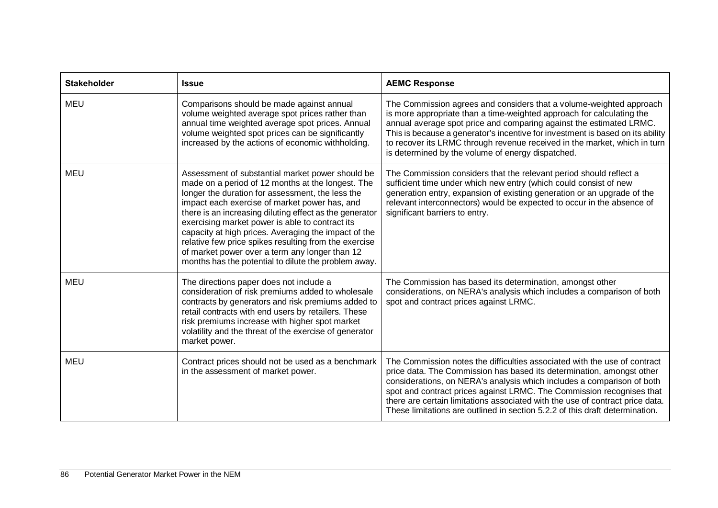| <b>Stakeholder</b> | <b>Issue</b>                                                                                                                                                                                                                                                                                                                                                                                                                                                                                                                                        | <b>AEMC Response</b>                                                                                                                                                                                                                                                                                                                                                                                                                                                   |
|--------------------|-----------------------------------------------------------------------------------------------------------------------------------------------------------------------------------------------------------------------------------------------------------------------------------------------------------------------------------------------------------------------------------------------------------------------------------------------------------------------------------------------------------------------------------------------------|------------------------------------------------------------------------------------------------------------------------------------------------------------------------------------------------------------------------------------------------------------------------------------------------------------------------------------------------------------------------------------------------------------------------------------------------------------------------|
| <b>MEU</b>         | Comparisons should be made against annual<br>volume weighted average spot prices rather than<br>annual time weighted average spot prices. Annual<br>volume weighted spot prices can be significantly<br>increased by the actions of economic withholding.                                                                                                                                                                                                                                                                                           | The Commission agrees and considers that a volume-weighted approach<br>is more appropriate than a time-weighted approach for calculating the<br>annual average spot price and comparing against the estimated LRMC.<br>This is because a generator's incentive for investment is based on its ability<br>to recover its LRMC through revenue received in the market, which in turn<br>is determined by the volume of energy dispatched.                                |
| <b>MEU</b>         | Assessment of substantial market power should be<br>made on a period of 12 months at the longest. The<br>longer the duration for assessment, the less the<br>impact each exercise of market power has, and<br>there is an increasing diluting effect as the generator<br>exercising market power is able to contract its<br>capacity at high prices. Averaging the impact of the<br>relative few price spikes resulting from the exercise<br>of market power over a term any longer than 12<br>months has the potential to dilute the problem away. | The Commission considers that the relevant period should reflect a<br>sufficient time under which new entry (which could consist of new<br>generation entry, expansion of existing generation or an upgrade of the<br>relevant interconnectors) would be expected to occur in the absence of<br>significant barriers to entry.                                                                                                                                         |
| <b>MEU</b>         | The directions paper does not include a<br>consideration of risk premiums added to wholesale<br>contracts by generators and risk premiums added to<br>retail contracts with end users by retailers. These<br>risk premiums increase with higher spot market<br>volatility and the threat of the exercise of generator<br>market power.                                                                                                                                                                                                              | The Commission has based its determination, amongst other<br>considerations, on NERA's analysis which includes a comparison of both<br>spot and contract prices against LRMC.                                                                                                                                                                                                                                                                                          |
| <b>MEU</b>         | Contract prices should not be used as a benchmark<br>in the assessment of market power.                                                                                                                                                                                                                                                                                                                                                                                                                                                             | The Commission notes the difficulties associated with the use of contract<br>price data. The Commission has based its determination, amongst other<br>considerations, on NERA's analysis which includes a comparison of both<br>spot and contract prices against LRMC. The Commission recognises that<br>there are certain limitations associated with the use of contract price data.<br>These limitations are outlined in section 5.2.2 of this draft determination. |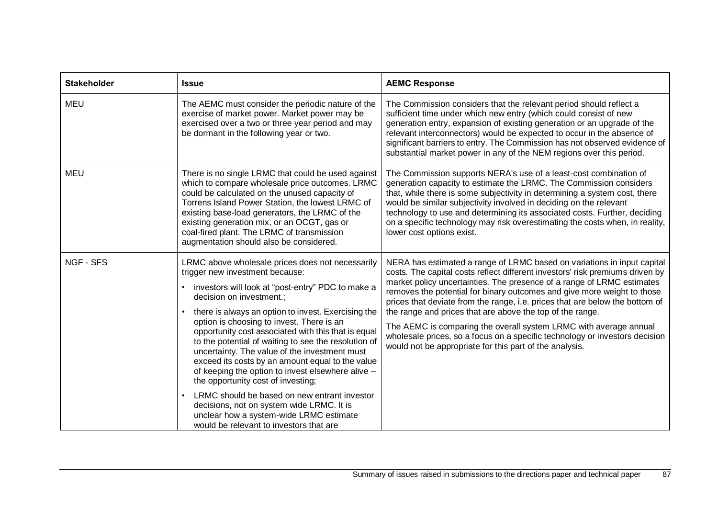| <b>Stakeholder</b> | <b>Issue</b>                                                                                                                                                                                                                                                                                                                                                                                                                                                                                                                                                                                                                                                                                                                                                               | <b>AEMC Response</b>                                                                                                                                                                                                                                                                                                                                                                                                                                                                                                                                                                                                                                                      |
|--------------------|----------------------------------------------------------------------------------------------------------------------------------------------------------------------------------------------------------------------------------------------------------------------------------------------------------------------------------------------------------------------------------------------------------------------------------------------------------------------------------------------------------------------------------------------------------------------------------------------------------------------------------------------------------------------------------------------------------------------------------------------------------------------------|---------------------------------------------------------------------------------------------------------------------------------------------------------------------------------------------------------------------------------------------------------------------------------------------------------------------------------------------------------------------------------------------------------------------------------------------------------------------------------------------------------------------------------------------------------------------------------------------------------------------------------------------------------------------------|
| <b>MEU</b>         | The AEMC must consider the periodic nature of the<br>exercise of market power. Market power may be<br>exercised over a two or three year period and may<br>be dormant in the following year or two.                                                                                                                                                                                                                                                                                                                                                                                                                                                                                                                                                                        | The Commission considers that the relevant period should reflect a<br>sufficient time under which new entry (which could consist of new<br>generation entry, expansion of existing generation or an upgrade of the<br>relevant interconnectors) would be expected to occur in the absence of<br>significant barriers to entry. The Commission has not observed evidence of<br>substantial market power in any of the NEM regions over this period.                                                                                                                                                                                                                        |
| MEU                | There is no single LRMC that could be used against<br>which to compare wholesale price outcomes. LRMC<br>could be calculated on the unused capacity of<br>Torrens Island Power Station, the lowest LRMC of<br>existing base-load generators, the LRMC of the<br>existing generation mix, or an OCGT, gas or<br>coal-fired plant. The LRMC of transmission<br>augmentation should also be considered.                                                                                                                                                                                                                                                                                                                                                                       | The Commission supports NERA's use of a least-cost combination of<br>generation capacity to estimate the LRMC. The Commission considers<br>that, while there is some subjectivity in determining a system cost, there<br>would be similar subjectivity involved in deciding on the relevant<br>technology to use and determining its associated costs. Further, deciding<br>on a specific technology may risk overestimating the costs when, in reality,<br>lower cost options exist.                                                                                                                                                                                     |
| NGF - SFS          | LRMC above wholesale prices does not necessarily<br>trigger new investment because:<br>investors will look at "post-entry" PDC to make a<br>decision on investment.;<br>there is always an option to invest. Exercising the<br>option is choosing to invest. There is an<br>opportunity cost associated with this that is equal<br>to the potential of waiting to see the resolution of<br>uncertainty. The value of the investment must<br>exceed its costs by an amount equal to the value<br>of keeping the option to invest elsewhere alive -<br>the opportunity cost of investing;<br>LRMC should be based on new entrant investor<br>decisions, not on system wide LRMC. It is<br>unclear how a system-wide LRMC estimate<br>would be relevant to investors that are | NERA has estimated a range of LRMC based on variations in input capital<br>costs. The capital costs reflect different investors' risk premiums driven by<br>market policy uncertainties. The presence of a range of LRMC estimates<br>removes the potential for binary outcomes and give more weight to those<br>prices that deviate from the range, i.e. prices that are below the bottom of<br>the range and prices that are above the top of the range.<br>The AEMC is comparing the overall system LRMC with average annual<br>wholesale prices, so a focus on a specific technology or investors decision<br>would not be appropriate for this part of the analysis. |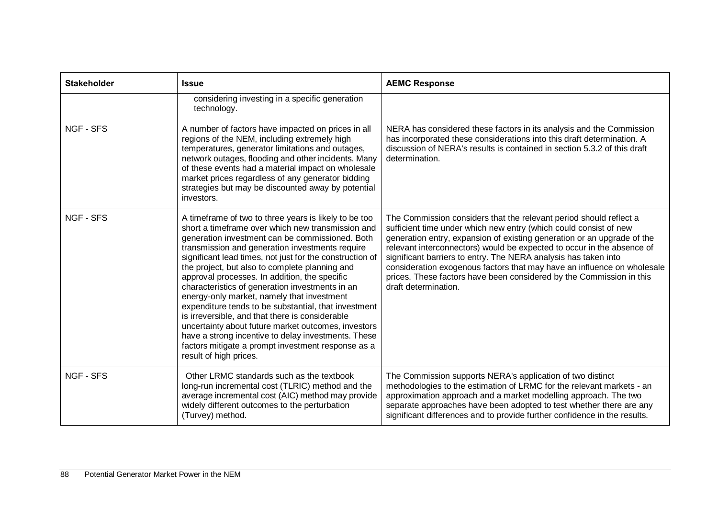| <b>Stakeholder</b> | <b>Issue</b>                                                                                                                                                                                                                                                                                                                                                                                                                                                                                                                                                                                                                                                                                                                                                                              | <b>AEMC Response</b>                                                                                                                                                                                                                                                                                                                                                                                                                                                                                                                       |
|--------------------|-------------------------------------------------------------------------------------------------------------------------------------------------------------------------------------------------------------------------------------------------------------------------------------------------------------------------------------------------------------------------------------------------------------------------------------------------------------------------------------------------------------------------------------------------------------------------------------------------------------------------------------------------------------------------------------------------------------------------------------------------------------------------------------------|--------------------------------------------------------------------------------------------------------------------------------------------------------------------------------------------------------------------------------------------------------------------------------------------------------------------------------------------------------------------------------------------------------------------------------------------------------------------------------------------------------------------------------------------|
|                    | considering investing in a specific generation<br>technology.                                                                                                                                                                                                                                                                                                                                                                                                                                                                                                                                                                                                                                                                                                                             |                                                                                                                                                                                                                                                                                                                                                                                                                                                                                                                                            |
| NGF - SFS          | A number of factors have impacted on prices in all<br>regions of the NEM, including extremely high<br>temperatures, generator limitations and outages,<br>network outages, flooding and other incidents. Many<br>of these events had a material impact on wholesale<br>market prices regardless of any generator bidding<br>strategies but may be discounted away by potential<br>investors.                                                                                                                                                                                                                                                                                                                                                                                              | NERA has considered these factors in its analysis and the Commission<br>has incorporated these considerations into this draft determination. A<br>discussion of NERA's results is contained in section 5.3.2 of this draft<br>determination.                                                                                                                                                                                                                                                                                               |
| NGF - SFS          | A timeframe of two to three years is likely to be too<br>short a timeframe over which new transmission and<br>generation investment can be commissioned. Both<br>transmission and generation investments require<br>significant lead times, not just for the construction of<br>the project, but also to complete planning and<br>approval processes. In addition, the specific<br>characteristics of generation investments in an<br>energy-only market, namely that investment<br>expenditure tends to be substantial, that investment<br>is irreversible, and that there is considerable<br>uncertainty about future market outcomes, investors<br>have a strong incentive to delay investments. These<br>factors mitigate a prompt investment response as a<br>result of high prices. | The Commission considers that the relevant period should reflect a<br>sufficient time under which new entry (which could consist of new<br>generation entry, expansion of existing generation or an upgrade of the<br>relevant interconnectors) would be expected to occur in the absence of<br>significant barriers to entry. The NERA analysis has taken into<br>consideration exogenous factors that may have an influence on wholesale<br>prices. These factors have been considered by the Commission in this<br>draft determination. |
| NGF - SFS          | Other LRMC standards such as the textbook<br>long-run incremental cost (TLRIC) method and the<br>average incremental cost (AIC) method may provide<br>widely different outcomes to the perturbation<br>(Turvey) method.                                                                                                                                                                                                                                                                                                                                                                                                                                                                                                                                                                   | The Commission supports NERA's application of two distinct<br>methodologies to the estimation of LRMC for the relevant markets - an<br>approximation approach and a market modelling approach. The two<br>separate approaches have been adopted to test whether there are any<br>significant differences and to provide further confidence in the results.                                                                                                                                                                                 |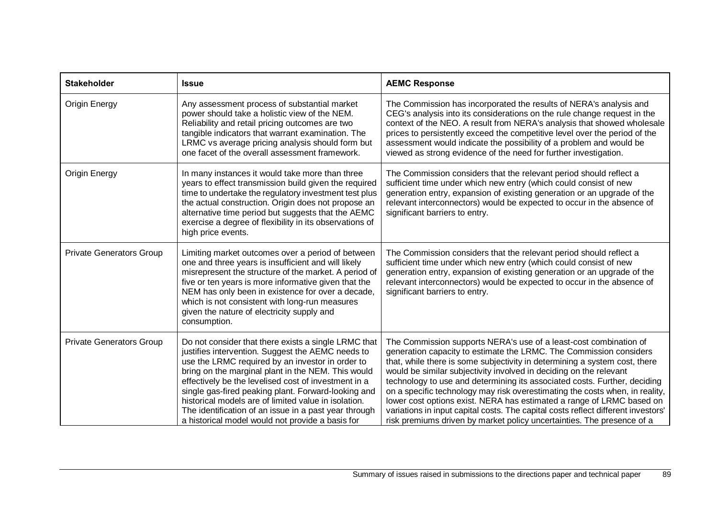| <b>Stakeholder</b>              | <b>Issue</b>                                                                                                                                                                                                                                                                                                                                                                                                                                                                                            | <b>AEMC Response</b>                                                                                                                                                                                                                                                                                                                                                                                                                                                                                                                                                                                                                                                                             |
|---------------------------------|---------------------------------------------------------------------------------------------------------------------------------------------------------------------------------------------------------------------------------------------------------------------------------------------------------------------------------------------------------------------------------------------------------------------------------------------------------------------------------------------------------|--------------------------------------------------------------------------------------------------------------------------------------------------------------------------------------------------------------------------------------------------------------------------------------------------------------------------------------------------------------------------------------------------------------------------------------------------------------------------------------------------------------------------------------------------------------------------------------------------------------------------------------------------------------------------------------------------|
| Origin Energy                   | Any assessment process of substantial market<br>power should take a holistic view of the NEM.<br>Reliability and retail pricing outcomes are two<br>tangible indicators that warrant examination. The<br>LRMC vs average pricing analysis should form but<br>one facet of the overall assessment framework.                                                                                                                                                                                             | The Commission has incorporated the results of NERA's analysis and<br>CEG's analysis into its considerations on the rule change request in the<br>context of the NEO. A result from NERA's analysis that showed wholesale<br>prices to persistently exceed the competitive level over the period of the<br>assessment would indicate the possibility of a problem and would be<br>viewed as strong evidence of the need for further investigation.                                                                                                                                                                                                                                               |
| Origin Energy                   | In many instances it would take more than three<br>years to effect transmission build given the required<br>time to undertake the regulatory investment test plus<br>the actual construction. Origin does not propose an<br>alternative time period but suggests that the AEMC<br>exercise a degree of flexibility in its observations of<br>high price events.                                                                                                                                         | The Commission considers that the relevant period should reflect a<br>sufficient time under which new entry (which could consist of new<br>generation entry, expansion of existing generation or an upgrade of the<br>relevant interconnectors) would be expected to occur in the absence of<br>significant barriers to entry.                                                                                                                                                                                                                                                                                                                                                                   |
| <b>Private Generators Group</b> | Limiting market outcomes over a period of between<br>one and three years is insufficient and will likely<br>misrepresent the structure of the market. A period of<br>five or ten years is more informative given that the<br>NEM has only been in existence for over a decade,<br>which is not consistent with long-run measures<br>given the nature of electricity supply and<br>consumption.                                                                                                          | The Commission considers that the relevant period should reflect a<br>sufficient time under which new entry (which could consist of new<br>generation entry, expansion of existing generation or an upgrade of the<br>relevant interconnectors) would be expected to occur in the absence of<br>significant barriers to entry.                                                                                                                                                                                                                                                                                                                                                                   |
| <b>Private Generators Group</b> | Do not consider that there exists a single LRMC that<br>justifies intervention. Suggest the AEMC needs to<br>use the LRMC required by an investor in order to<br>bring on the marginal plant in the NEM. This would<br>effectively be the levelised cost of investment in a<br>single gas-fired peaking plant. Forward-looking and<br>historical models are of limited value in isolation.<br>The identification of an issue in a past year through<br>a historical model would not provide a basis for | The Commission supports NERA's use of a least-cost combination of<br>generation capacity to estimate the LRMC. The Commission considers<br>that, while there is some subjectivity in determining a system cost, there<br>would be similar subjectivity involved in deciding on the relevant<br>technology to use and determining its associated costs. Further, deciding<br>on a specific technology may risk overestimating the costs when, in reality,<br>lower cost options exist. NERA has estimated a range of LRMC based on<br>variations in input capital costs. The capital costs reflect different investors'<br>risk premiums driven by market policy uncertainties. The presence of a |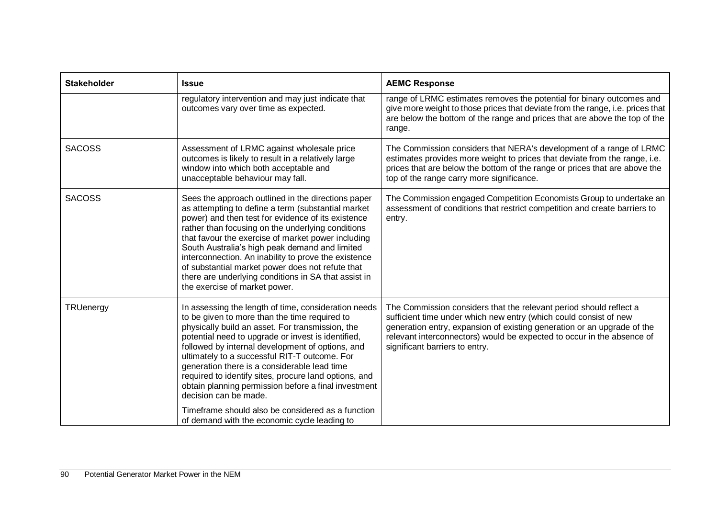| <b>Stakeholder</b> | <b>Issue</b>                                                                                                                                                                                                                                                                                                                                                                                                                                                                                                                                                                                                        | <b>AEMC Response</b>                                                                                                                                                                                                                                                                                                           |
|--------------------|---------------------------------------------------------------------------------------------------------------------------------------------------------------------------------------------------------------------------------------------------------------------------------------------------------------------------------------------------------------------------------------------------------------------------------------------------------------------------------------------------------------------------------------------------------------------------------------------------------------------|--------------------------------------------------------------------------------------------------------------------------------------------------------------------------------------------------------------------------------------------------------------------------------------------------------------------------------|
|                    | regulatory intervention and may just indicate that<br>outcomes vary over time as expected.                                                                                                                                                                                                                                                                                                                                                                                                                                                                                                                          | range of LRMC estimates removes the potential for binary outcomes and<br>give more weight to those prices that deviate from the range, i.e. prices that<br>are below the bottom of the range and prices that are above the top of the<br>range.                                                                                |
| <b>SACOSS</b>      | Assessment of LRMC against wholesale price<br>outcomes is likely to result in a relatively large<br>window into which both acceptable and<br>unacceptable behaviour may fall.                                                                                                                                                                                                                                                                                                                                                                                                                                       | The Commission considers that NERA's development of a range of LRMC<br>estimates provides more weight to prices that deviate from the range, i.e.<br>prices that are below the bottom of the range or prices that are above the<br>top of the range carry more significance.                                                   |
| <b>SACOSS</b>      | Sees the approach outlined in the directions paper<br>as attempting to define a term (substantial market<br>power) and then test for evidence of its existence<br>rather than focusing on the underlying conditions<br>that favour the exercise of market power including<br>South Australia's high peak demand and limited<br>interconnection. An inability to prove the existence<br>of substantial market power does not refute that<br>there are underlying conditions in SA that assist in<br>the exercise of market power.                                                                                    | The Commission engaged Competition Economists Group to undertake an<br>assessment of conditions that restrict competition and create barriers to<br>entry.                                                                                                                                                                     |
| TRUenergy          | In assessing the length of time, consideration needs<br>to be given to more than the time required to<br>physically build an asset. For transmission, the<br>potential need to upgrade or invest is identified,<br>followed by internal development of options, and<br>ultimately to a successful RIT-T outcome. For<br>generation there is a considerable lead time<br>required to identify sites, procure land options, and<br>obtain planning permission before a final investment<br>decision can be made.<br>Timeframe should also be considered as a function<br>of demand with the economic cycle leading to | The Commission considers that the relevant period should reflect a<br>sufficient time under which new entry (which could consist of new<br>generation entry, expansion of existing generation or an upgrade of the<br>relevant interconnectors) would be expected to occur in the absence of<br>significant barriers to entry. |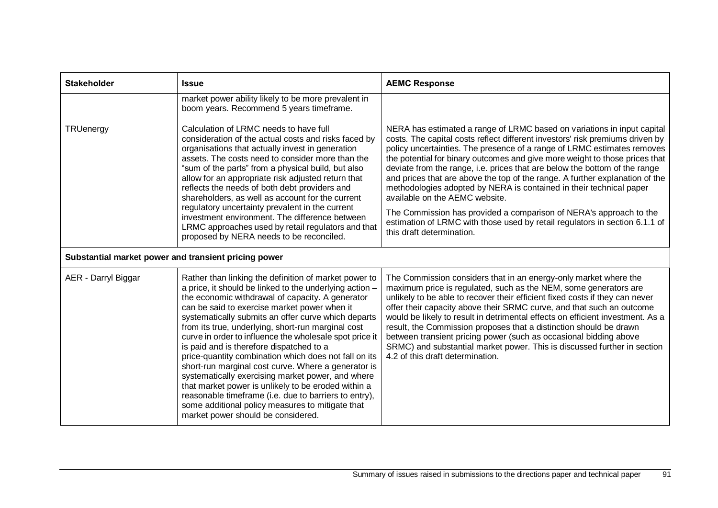| <b>Stakeholder</b>                                   | <b>Issue</b>                                                                                                                                                                                                                                                                                                                                                                                                                                                                                                                                                                                                                                                                                                                                                                                                            | <b>AEMC Response</b>                                                                                                                                                                                                                                                                                                                                                                                                                                                                                                                                                                                                                                                                                                                                                        |
|------------------------------------------------------|-------------------------------------------------------------------------------------------------------------------------------------------------------------------------------------------------------------------------------------------------------------------------------------------------------------------------------------------------------------------------------------------------------------------------------------------------------------------------------------------------------------------------------------------------------------------------------------------------------------------------------------------------------------------------------------------------------------------------------------------------------------------------------------------------------------------------|-----------------------------------------------------------------------------------------------------------------------------------------------------------------------------------------------------------------------------------------------------------------------------------------------------------------------------------------------------------------------------------------------------------------------------------------------------------------------------------------------------------------------------------------------------------------------------------------------------------------------------------------------------------------------------------------------------------------------------------------------------------------------------|
|                                                      | market power ability likely to be more prevalent in<br>boom years. Recommend 5 years timeframe.                                                                                                                                                                                                                                                                                                                                                                                                                                                                                                                                                                                                                                                                                                                         |                                                                                                                                                                                                                                                                                                                                                                                                                                                                                                                                                                                                                                                                                                                                                                             |
| TRUenergy                                            | Calculation of LRMC needs to have full<br>consideration of the actual costs and risks faced by<br>organisations that actually invest in generation<br>assets. The costs need to consider more than the<br>"sum of the parts" from a physical build, but also<br>allow for an appropriate risk adjusted return that<br>reflects the needs of both debt providers and<br>shareholders, as well as account for the current<br>regulatory uncertainty prevalent in the current<br>investment environment. The difference between<br>LRMC approaches used by retail regulators and that<br>proposed by NERA needs to be reconciled.                                                                                                                                                                                          | NERA has estimated a range of LRMC based on variations in input capital<br>costs. The capital costs reflect different investors' risk premiums driven by<br>policy uncertainties. The presence of a range of LRMC estimates removes<br>the potential for binary outcomes and give more weight to those prices that<br>deviate from the range, i.e. prices that are below the bottom of the range<br>and prices that are above the top of the range. A further explanation of the<br>methodologies adopted by NERA is contained in their technical paper<br>available on the AEMC website.<br>The Commission has provided a comparison of NERA's approach to the<br>estimation of LRMC with those used by retail regulators in section 6.1.1 of<br>this draft determination. |
| Substantial market power and transient pricing power |                                                                                                                                                                                                                                                                                                                                                                                                                                                                                                                                                                                                                                                                                                                                                                                                                         |                                                                                                                                                                                                                                                                                                                                                                                                                                                                                                                                                                                                                                                                                                                                                                             |
| AER - Darryl Biggar                                  | Rather than linking the definition of market power to<br>a price, it should be linked to the underlying action -<br>the economic withdrawal of capacity. A generator<br>can be said to exercise market power when it<br>systematically submits an offer curve which departs<br>from its true, underlying, short-run marginal cost<br>curve in order to influence the wholesale spot price it<br>is paid and is therefore dispatched to a<br>price-quantity combination which does not fall on its<br>short-run marginal cost curve. Where a generator is<br>systematically exercising market power, and where<br>that market power is unlikely to be eroded within a<br>reasonable timeframe (i.e. due to barriers to entry),<br>some additional policy measures to mitigate that<br>market power should be considered. | The Commission considers that in an energy-only market where the<br>maximum price is regulated, such as the NEM, some generators are<br>unlikely to be able to recover their efficient fixed costs if they can never<br>offer their capacity above their SRMC curve, and that such an outcome<br>would be likely to result in detrimental effects on efficient investment. As a<br>result, the Commission proposes that a distinction should be drawn<br>between transient pricing power (such as occasional bidding above<br>SRMC) and substantial market power. This is discussed further in section<br>4.2 of this draft determination.                                                                                                                                  |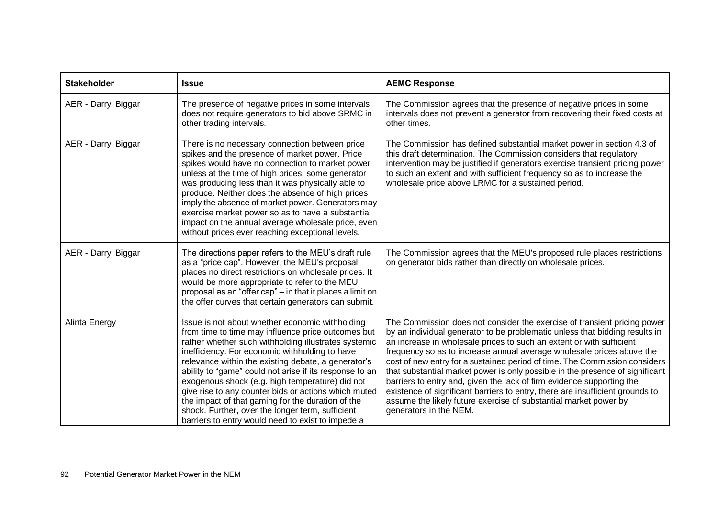| <b>Stakeholder</b>  | <b>Issue</b>                                                                                                                                                                                                                                                                                                                                                                                                                                                                                                                                                                                               | <b>AEMC Response</b>                                                                                                                                                                                                                                                                                                                                                                                                                                                                                                                                                                                                                                                                                                            |
|---------------------|------------------------------------------------------------------------------------------------------------------------------------------------------------------------------------------------------------------------------------------------------------------------------------------------------------------------------------------------------------------------------------------------------------------------------------------------------------------------------------------------------------------------------------------------------------------------------------------------------------|---------------------------------------------------------------------------------------------------------------------------------------------------------------------------------------------------------------------------------------------------------------------------------------------------------------------------------------------------------------------------------------------------------------------------------------------------------------------------------------------------------------------------------------------------------------------------------------------------------------------------------------------------------------------------------------------------------------------------------|
| AER - Darryl Biggar | The presence of negative prices in some intervals<br>does not require generators to bid above SRMC in<br>other trading intervals.                                                                                                                                                                                                                                                                                                                                                                                                                                                                          | The Commission agrees that the presence of negative prices in some<br>intervals does not prevent a generator from recovering their fixed costs at<br>other times.                                                                                                                                                                                                                                                                                                                                                                                                                                                                                                                                                               |
| AER - Darryl Biggar | There is no necessary connection between price<br>spikes and the presence of market power. Price<br>spikes would have no connection to market power<br>unless at the time of high prices, some generator<br>was producing less than it was physically able to<br>produce. Neither does the absence of high prices<br>imply the absence of market power. Generators may<br>exercise market power so as to have a substantial<br>impact on the annual average wholesale price, even<br>without prices ever reaching exceptional levels.                                                                      | The Commission has defined substantial market power in section 4.3 of<br>this draft determination. The Commission considers that regulatory<br>intervention may be justified if generators exercise transient pricing power<br>to such an extent and with sufficient frequency so as to increase the<br>wholesale price above LRMC for a sustained period.                                                                                                                                                                                                                                                                                                                                                                      |
| AER - Darryl Biggar | The directions paper refers to the MEU's draft rule<br>as a "price cap". However, the MEU's proposal<br>places no direct restrictions on wholesale prices. It<br>would be more appropriate to refer to the MEU<br>proposal as an "offer cap" - in that it places a limit on<br>the offer curves that certain generators can submit.                                                                                                                                                                                                                                                                        | The Commission agrees that the MEU's proposed rule places restrictions<br>on generator bids rather than directly on wholesale prices.                                                                                                                                                                                                                                                                                                                                                                                                                                                                                                                                                                                           |
| Alinta Energy       | Issue is not about whether economic withholding<br>from time to time may influence price outcomes but<br>rather whether such withholding illustrates systemic<br>inefficiency. For economic withholding to have<br>relevance within the existing debate, a generator's<br>ability to "game" could not arise if its response to an<br>exogenous shock (e.g. high temperature) did not<br>give rise to any counter bids or actions which muted<br>the impact of that gaming for the duration of the<br>shock. Further, over the longer term, sufficient<br>barriers to entry would need to exist to impede a | The Commission does not consider the exercise of transient pricing power<br>by an individual generator to be problematic unless that bidding results in<br>an increase in wholesale prices to such an extent or with sufficient<br>frequency so as to increase annual average wholesale prices above the<br>cost of new entry for a sustained period of time. The Commission considers<br>that substantial market power is only possible in the presence of significant<br>barriers to entry and, given the lack of firm evidence supporting the<br>existence of significant barriers to entry, there are insufficient grounds to<br>assume the likely future exercise of substantial market power by<br>generators in the NEM. |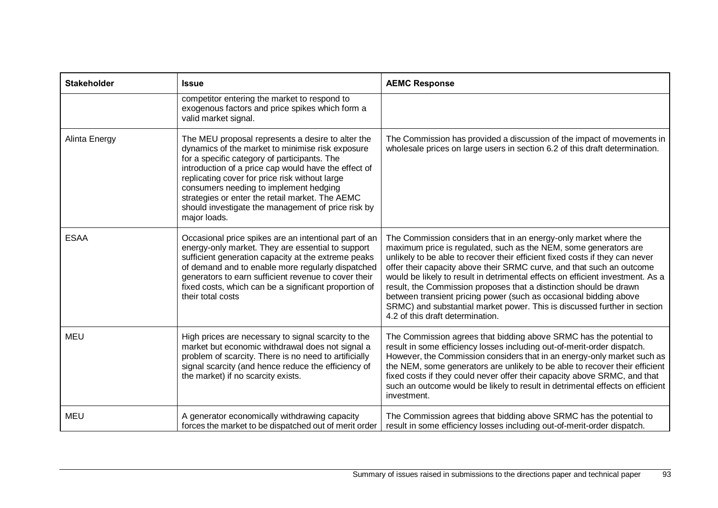| <b>Stakeholder</b> | <b>Issue</b>                                                                                                                                                                                                                                                                                                                                                                                                                       | <b>AEMC Response</b>                                                                                                                                                                                                                                                                                                                                                                                                                                                                                                                                                                                                                       |
|--------------------|------------------------------------------------------------------------------------------------------------------------------------------------------------------------------------------------------------------------------------------------------------------------------------------------------------------------------------------------------------------------------------------------------------------------------------|--------------------------------------------------------------------------------------------------------------------------------------------------------------------------------------------------------------------------------------------------------------------------------------------------------------------------------------------------------------------------------------------------------------------------------------------------------------------------------------------------------------------------------------------------------------------------------------------------------------------------------------------|
|                    | competitor entering the market to respond to<br>exogenous factors and price spikes which form a<br>valid market signal.                                                                                                                                                                                                                                                                                                            |                                                                                                                                                                                                                                                                                                                                                                                                                                                                                                                                                                                                                                            |
| Alinta Energy      | The MEU proposal represents a desire to alter the<br>dynamics of the market to minimise risk exposure<br>for a specific category of participants. The<br>introduction of a price cap would have the effect of<br>replicating cover for price risk without large<br>consumers needing to implement hedging<br>strategies or enter the retail market. The AEMC<br>should investigate the management of price risk by<br>major loads. | The Commission has provided a discussion of the impact of movements in<br>wholesale prices on large users in section 6.2 of this draft determination.                                                                                                                                                                                                                                                                                                                                                                                                                                                                                      |
| <b>ESAA</b>        | Occasional price spikes are an intentional part of an<br>energy-only market. They are essential to support<br>sufficient generation capacity at the extreme peaks<br>of demand and to enable more regularly dispatched<br>generators to earn sufficient revenue to cover their<br>fixed costs, which can be a significant proportion of<br>their total costs                                                                       | The Commission considers that in an energy-only market where the<br>maximum price is regulated, such as the NEM, some generators are<br>unlikely to be able to recover their efficient fixed costs if they can never<br>offer their capacity above their SRMC curve, and that such an outcome<br>would be likely to result in detrimental effects on efficient investment. As a<br>result, the Commission proposes that a distinction should be drawn<br>between transient pricing power (such as occasional bidding above<br>SRMC) and substantial market power. This is discussed further in section<br>4.2 of this draft determination. |
| <b>MEU</b>         | High prices are necessary to signal scarcity to the<br>market but economic withdrawal does not signal a<br>problem of scarcity. There is no need to artificially<br>signal scarcity (and hence reduce the efficiency of<br>the market) if no scarcity exists.                                                                                                                                                                      | The Commission agrees that bidding above SRMC has the potential to<br>result in some efficiency losses including out-of-merit-order dispatch.<br>However, the Commission considers that in an energy-only market such as<br>the NEM, some generators are unlikely to be able to recover their efficient<br>fixed costs if they could never offer their capacity above SRMC, and that<br>such an outcome would be likely to result in detrimental effects on efficient<br>investment.                                                                                                                                                       |
| <b>MEU</b>         | A generator economically withdrawing capacity<br>forces the market to be dispatched out of merit order                                                                                                                                                                                                                                                                                                                             | The Commission agrees that bidding above SRMC has the potential to<br>result in some efficiency losses including out-of-merit-order dispatch.                                                                                                                                                                                                                                                                                                                                                                                                                                                                                              |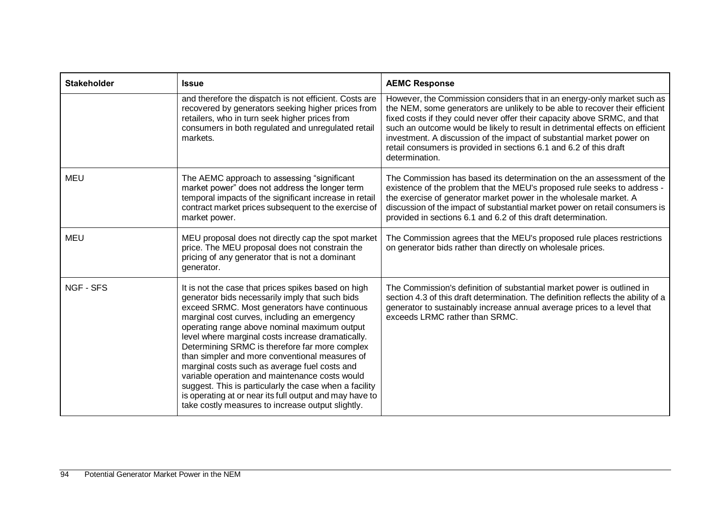| <b>Stakeholder</b> | <b>Issue</b>                                                                                                                                                                                                                                                                                                                                                                                                                                                                                                                                                                                                                                                                                 | <b>AEMC Response</b>                                                                                                                                                                                                                                                                                                                                                                                                                                                                  |
|--------------------|----------------------------------------------------------------------------------------------------------------------------------------------------------------------------------------------------------------------------------------------------------------------------------------------------------------------------------------------------------------------------------------------------------------------------------------------------------------------------------------------------------------------------------------------------------------------------------------------------------------------------------------------------------------------------------------------|---------------------------------------------------------------------------------------------------------------------------------------------------------------------------------------------------------------------------------------------------------------------------------------------------------------------------------------------------------------------------------------------------------------------------------------------------------------------------------------|
|                    | and therefore the dispatch is not efficient. Costs are<br>recovered by generators seeking higher prices from<br>retailers, who in turn seek higher prices from<br>consumers in both regulated and unregulated retail<br>markets.                                                                                                                                                                                                                                                                                                                                                                                                                                                             | However, the Commission considers that in an energy-only market such as<br>the NEM, some generators are unlikely to be able to recover their efficient<br>fixed costs if they could never offer their capacity above SRMC, and that<br>such an outcome would be likely to result in detrimental effects on efficient<br>investment. A discussion of the impact of substantial market power on<br>retail consumers is provided in sections 6.1 and 6.2 of this draft<br>determination. |
| <b>MEU</b>         | The AEMC approach to assessing "significant<br>market power" does not address the longer term<br>temporal impacts of the significant increase in retail<br>contract market prices subsequent to the exercise of<br>market power.                                                                                                                                                                                                                                                                                                                                                                                                                                                             | The Commission has based its determination on the an assessment of the<br>existence of the problem that the MEU's proposed rule seeks to address -<br>the exercise of generator market power in the wholesale market. A<br>discussion of the impact of substantial market power on retail consumers is<br>provided in sections 6.1 and 6.2 of this draft determination.                                                                                                               |
| <b>MEU</b>         | MEU proposal does not directly cap the spot market<br>price. The MEU proposal does not constrain the<br>pricing of any generator that is not a dominant<br>generator.                                                                                                                                                                                                                                                                                                                                                                                                                                                                                                                        | The Commission agrees that the MEU's proposed rule places restrictions<br>on generator bids rather than directly on wholesale prices.                                                                                                                                                                                                                                                                                                                                                 |
| NGF - SFS          | It is not the case that prices spikes based on high<br>generator bids necessarily imply that such bids<br>exceed SRMC. Most generators have continuous<br>marginal cost curves, including an emergency<br>operating range above nominal maximum output<br>level where marginal costs increase dramatically.<br>Determining SRMC is therefore far more complex<br>than simpler and more conventional measures of<br>marginal costs such as average fuel costs and<br>variable operation and maintenance costs would<br>suggest. This is particularly the case when a facility<br>is operating at or near its full output and may have to<br>take costly measures to increase output slightly. | The Commission's definition of substantial market power is outlined in<br>section 4.3 of this draft determination. The definition reflects the ability of a<br>generator to sustainably increase annual average prices to a level that<br>exceeds LRMC rather than SRMC.                                                                                                                                                                                                              |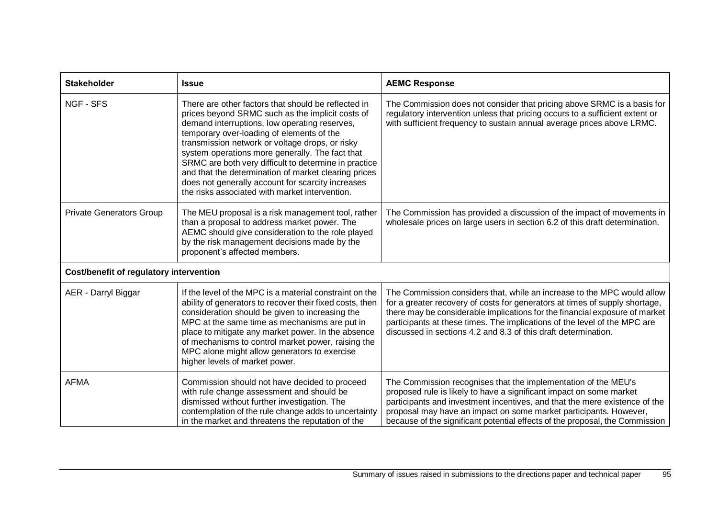| <b>Stakeholder</b>                      | <b>Issue</b>                                                                                                                                                                                                                                                                                                                                                                                                                                                                                                                        | <b>AEMC Response</b>                                                                                                                                                                                                                                                                                                                                                                 |
|-----------------------------------------|-------------------------------------------------------------------------------------------------------------------------------------------------------------------------------------------------------------------------------------------------------------------------------------------------------------------------------------------------------------------------------------------------------------------------------------------------------------------------------------------------------------------------------------|--------------------------------------------------------------------------------------------------------------------------------------------------------------------------------------------------------------------------------------------------------------------------------------------------------------------------------------------------------------------------------------|
| NGF - SFS                               | There are other factors that should be reflected in<br>prices beyond SRMC such as the implicit costs of<br>demand interruptions, low operating reserves,<br>temporary over-loading of elements of the<br>transmission network or voltage drops, or risky<br>system operations more generally. The fact that<br>SRMC are both very difficult to determine in practice<br>and that the determination of market clearing prices<br>does not generally account for scarcity increases<br>the risks associated with market intervention. | The Commission does not consider that pricing above SRMC is a basis for<br>regulatory intervention unless that pricing occurs to a sufficient extent or<br>with sufficient frequency to sustain annual average prices above LRMC.                                                                                                                                                    |
| <b>Private Generators Group</b>         | The MEU proposal is a risk management tool, rather<br>than a proposal to address market power. The<br>AEMC should give consideration to the role played<br>by the risk management decisions made by the<br>proponent's affected members.                                                                                                                                                                                                                                                                                            | The Commission has provided a discussion of the impact of movements in<br>wholesale prices on large users in section 6.2 of this draft determination.                                                                                                                                                                                                                                |
| Cost/benefit of regulatory intervention |                                                                                                                                                                                                                                                                                                                                                                                                                                                                                                                                     |                                                                                                                                                                                                                                                                                                                                                                                      |
| AER - Darryl Biggar                     | If the level of the MPC is a material constraint on the<br>ability of generators to recover their fixed costs, then<br>consideration should be given to increasing the<br>MPC at the same time as mechanisms are put in<br>place to mitigate any market power. In the absence<br>of mechanisms to control market power, raising the<br>MPC alone might allow generators to exercise<br>higher levels of market power.                                                                                                               | The Commission considers that, while an increase to the MPC would allow<br>for a greater recovery of costs for generators at times of supply shortage,<br>there may be considerable implications for the financial exposure of market<br>participants at these times. The implications of the level of the MPC are<br>discussed in sections 4.2 and 8.3 of this draft determination. |
| <b>AFMA</b>                             | Commission should not have decided to proceed<br>with rule change assessment and should be<br>dismissed without further investigation. The<br>contemplation of the rule change adds to uncertainty<br>in the market and threatens the reputation of the                                                                                                                                                                                                                                                                             | The Commission recognises that the implementation of the MEU's<br>proposed rule is likely to have a significant impact on some market<br>participants and investment incentives, and that the mere existence of the<br>proposal may have an impact on some market participants. However,<br>because of the significant potential effects of the proposal, the Commission             |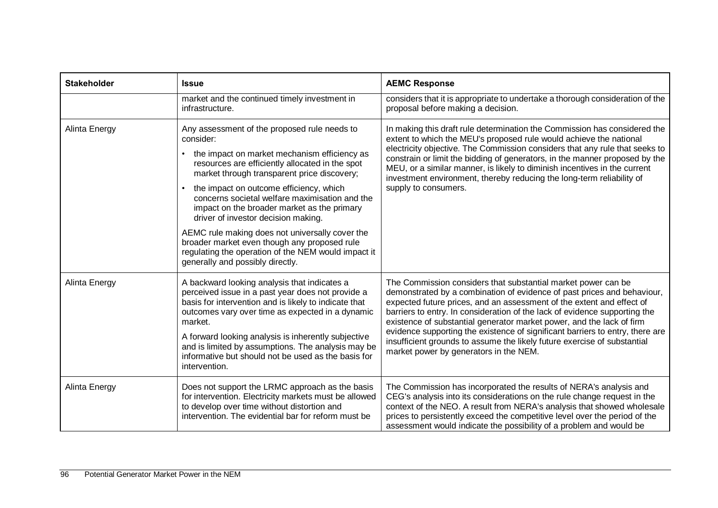| <b>Stakeholder</b> | <b>Issue</b>                                                                                                                                                                                                                                                                                                                                                                                                                                                                                                                                                                                 | <b>AEMC Response</b>                                                                                                                                                                                                                                                                                                                                                                                                                                                                                                                                                            |
|--------------------|----------------------------------------------------------------------------------------------------------------------------------------------------------------------------------------------------------------------------------------------------------------------------------------------------------------------------------------------------------------------------------------------------------------------------------------------------------------------------------------------------------------------------------------------------------------------------------------------|---------------------------------------------------------------------------------------------------------------------------------------------------------------------------------------------------------------------------------------------------------------------------------------------------------------------------------------------------------------------------------------------------------------------------------------------------------------------------------------------------------------------------------------------------------------------------------|
|                    | market and the continued timely investment in<br>infrastructure.                                                                                                                                                                                                                                                                                                                                                                                                                                                                                                                             | considers that it is appropriate to undertake a thorough consideration of the<br>proposal before making a decision.                                                                                                                                                                                                                                                                                                                                                                                                                                                             |
| Alinta Energy      | Any assessment of the proposed rule needs to<br>consider:<br>the impact on market mechanism efficiency as<br>resources are efficiently allocated in the spot<br>market through transparent price discovery;<br>the impact on outcome efficiency, which<br>concerns societal welfare maximisation and the<br>impact on the broader market as the primary<br>driver of investor decision making.<br>AEMC rule making does not universally cover the<br>broader market even though any proposed rule<br>regulating the operation of the NEM would impact it<br>generally and possibly directly. | In making this draft rule determination the Commission has considered the<br>extent to which the MEU's proposed rule would achieve the national<br>electricity objective. The Commission considers that any rule that seeks to<br>constrain or limit the bidding of generators, in the manner proposed by the<br>MEU, or a similar manner, is likely to diminish incentives in the current<br>investment environment, thereby reducing the long-term reliability of<br>supply to consumers.                                                                                     |
| Alinta Energy      | A backward looking analysis that indicates a<br>perceived issue in a past year does not provide a<br>basis for intervention and is likely to indicate that<br>outcomes vary over time as expected in a dynamic<br>market.<br>A forward looking analysis is inherently subjective<br>and is limited by assumptions. The analysis may be<br>informative but should not be used as the basis for<br>intervention.                                                                                                                                                                               | The Commission considers that substantial market power can be<br>demonstrated by a combination of evidence of past prices and behaviour,<br>expected future prices, and an assessment of the extent and effect of<br>barriers to entry. In consideration of the lack of evidence supporting the<br>existence of substantial generator market power, and the lack of firm<br>evidence supporting the existence of significant barriers to entry, there are<br>insufficient grounds to assume the likely future exercise of substantial<br>market power by generators in the NEM. |
| Alinta Energy      | Does not support the LRMC approach as the basis<br>for intervention. Electricity markets must be allowed<br>to develop over time without distortion and<br>intervention. The evidential bar for reform must be                                                                                                                                                                                                                                                                                                                                                                               | The Commission has incorporated the results of NERA's analysis and<br>CEG's analysis into its considerations on the rule change request in the<br>context of the NEO. A result from NERA's analysis that showed wholesale<br>prices to persistently exceed the competitive level over the period of the<br>assessment would indicate the possibility of a problem and would be                                                                                                                                                                                                  |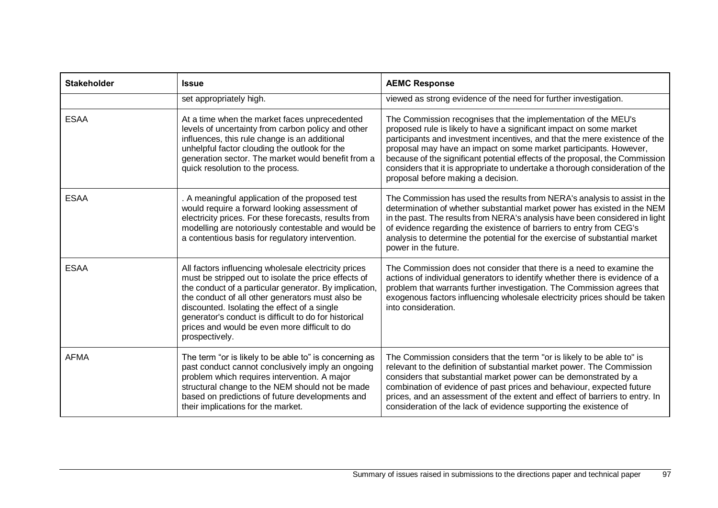| <b>Stakeholder</b> | <b>Issue</b>                                                                                                                                                                                                                                                                                                                                                                                           | <b>AEMC Response</b>                                                                                                                                                                                                                                                                                                                                                                                                                                                                            |
|--------------------|--------------------------------------------------------------------------------------------------------------------------------------------------------------------------------------------------------------------------------------------------------------------------------------------------------------------------------------------------------------------------------------------------------|-------------------------------------------------------------------------------------------------------------------------------------------------------------------------------------------------------------------------------------------------------------------------------------------------------------------------------------------------------------------------------------------------------------------------------------------------------------------------------------------------|
|                    | set appropriately high.                                                                                                                                                                                                                                                                                                                                                                                | viewed as strong evidence of the need for further investigation.                                                                                                                                                                                                                                                                                                                                                                                                                                |
| <b>ESAA</b>        | At a time when the market faces unprecedented<br>levels of uncertainty from carbon policy and other<br>influences, this rule change is an additional<br>unhelpful factor clouding the outlook for the<br>generation sector. The market would benefit from a<br>quick resolution to the process.                                                                                                        | The Commission recognises that the implementation of the MEU's<br>proposed rule is likely to have a significant impact on some market<br>participants and investment incentives, and that the mere existence of the<br>proposal may have an impact on some market participants. However,<br>because of the significant potential effects of the proposal, the Commission<br>considers that it is appropriate to undertake a thorough consideration of the<br>proposal before making a decision. |
| <b>ESAA</b>        | . A meaningful application of the proposed test<br>would require a forward looking assessment of<br>electricity prices. For these forecasts, results from<br>modelling are notoriously contestable and would be<br>a contentious basis for regulatory intervention.                                                                                                                                    | The Commission has used the results from NERA's analysis to assist in the<br>determination of whether substantial market power has existed in the NEM<br>in the past. The results from NERA's analysis have been considered in light<br>of evidence regarding the existence of barriers to entry from CEG's<br>analysis to determine the potential for the exercise of substantial market<br>power in the future.                                                                               |
| <b>ESAA</b>        | All factors influencing wholesale electricity prices<br>must be stripped out to isolate the price effects of<br>the conduct of a particular generator. By implication,<br>the conduct of all other generators must also be<br>discounted. Isolating the effect of a single<br>generator's conduct is difficult to do for historical<br>prices and would be even more difficult to do<br>prospectively. | The Commission does not consider that there is a need to examine the<br>actions of individual generators to identify whether there is evidence of a<br>problem that warrants further investigation. The Commission agrees that<br>exogenous factors influencing wholesale electricity prices should be taken<br>into consideration.                                                                                                                                                             |
| <b>AFMA</b>        | The term "or is likely to be able to" is concerning as<br>past conduct cannot conclusively imply an ongoing<br>problem which requires intervention. A major<br>structural change to the NEM should not be made<br>based on predictions of future developments and<br>their implications for the market.                                                                                                | The Commission considers that the term "or is likely to be able to" is<br>relevant to the definition of substantial market power. The Commission<br>considers that substantial market power can be demonstrated by a<br>combination of evidence of past prices and behaviour, expected future<br>prices, and an assessment of the extent and effect of barriers to entry. In<br>consideration of the lack of evidence supporting the existence of                                               |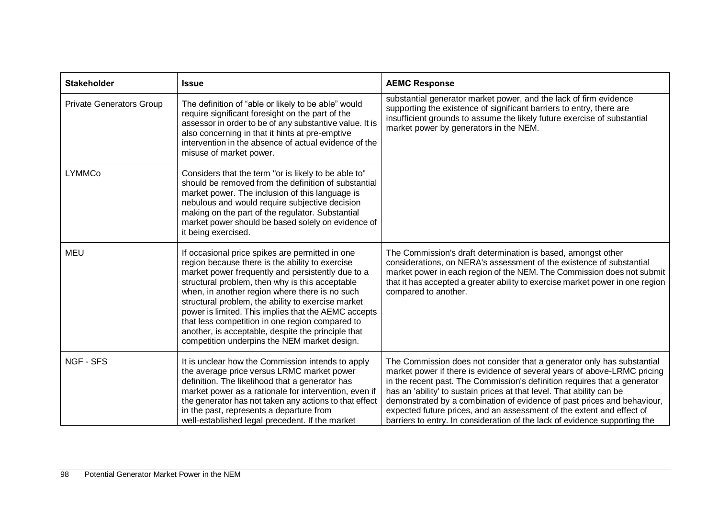| <b>Stakeholder</b>              | <b>Issue</b>                                                                                                                                                                                                                                                                                                                                                                                                                                                                                                                        | <b>AEMC Response</b>                                                                                                                                                                                                                                                                                                                                                                                                                                                                                                                       |
|---------------------------------|-------------------------------------------------------------------------------------------------------------------------------------------------------------------------------------------------------------------------------------------------------------------------------------------------------------------------------------------------------------------------------------------------------------------------------------------------------------------------------------------------------------------------------------|--------------------------------------------------------------------------------------------------------------------------------------------------------------------------------------------------------------------------------------------------------------------------------------------------------------------------------------------------------------------------------------------------------------------------------------------------------------------------------------------------------------------------------------------|
| <b>Private Generators Group</b> | The definition of "able or likely to be able" would<br>require significant foresight on the part of the<br>assessor in order to be of any substantive value. It is<br>also concerning in that it hints at pre-emptive<br>intervention in the absence of actual evidence of the<br>misuse of market power.                                                                                                                                                                                                                           | substantial generator market power, and the lack of firm evidence<br>supporting the existence of significant barriers to entry, there are<br>insufficient grounds to assume the likely future exercise of substantial<br>market power by generators in the NEM.                                                                                                                                                                                                                                                                            |
| <b>LYMMCo</b>                   | Considers that the term "or is likely to be able to"<br>should be removed from the definition of substantial<br>market power. The inclusion of this language is<br>nebulous and would require subjective decision<br>making on the part of the regulator. Substantial<br>market power should be based solely on evidence of<br>it being exercised.                                                                                                                                                                                  |                                                                                                                                                                                                                                                                                                                                                                                                                                                                                                                                            |
| <b>MEU</b>                      | If occasional price spikes are permitted in one<br>region because there is the ability to exercise<br>market power frequently and persistently due to a<br>structural problem, then why is this acceptable<br>when, in another region where there is no such<br>structural problem, the ability to exercise market<br>power is limited. This implies that the AEMC accepts<br>that less competition in one region compared to<br>another, is acceptable, despite the principle that<br>competition underpins the NEM market design. | The Commission's draft determination is based, amongst other<br>considerations, on NERA's assessment of the existence of substantial<br>market power in each region of the NEM. The Commission does not submit<br>that it has accepted a greater ability to exercise market power in one region<br>compared to another.                                                                                                                                                                                                                    |
| NGF - SFS                       | It is unclear how the Commission intends to apply<br>the average price versus LRMC market power<br>definition. The likelihood that a generator has<br>market power as a rationale for intervention, even if<br>the generator has not taken any actions to that effect<br>in the past, represents a departure from<br>well-established legal precedent. If the market                                                                                                                                                                | The Commission does not consider that a generator only has substantial<br>market power if there is evidence of several years of above-LRMC pricing<br>in the recent past. The Commission's definition requires that a generator<br>has an 'ability' to sustain prices at that level. That ability can be<br>demonstrated by a combination of evidence of past prices and behaviour,<br>expected future prices, and an assessment of the extent and effect of<br>barriers to entry. In consideration of the lack of evidence supporting the |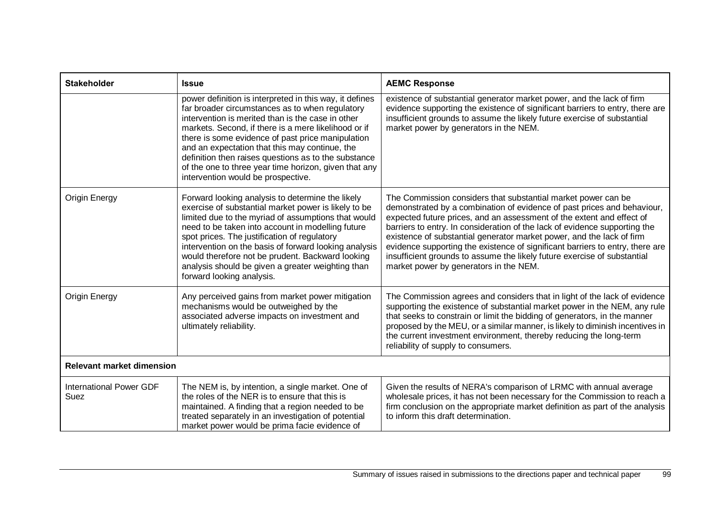| <b>Stakeholder</b>                     | <b>Issue</b>                                                                                                                                                                                                                                                                                                                                                                                                                                                                          | <b>AEMC Response</b>                                                                                                                                                                                                                                                                                                                                                                                                                                                                                                                                                            |
|----------------------------------------|---------------------------------------------------------------------------------------------------------------------------------------------------------------------------------------------------------------------------------------------------------------------------------------------------------------------------------------------------------------------------------------------------------------------------------------------------------------------------------------|---------------------------------------------------------------------------------------------------------------------------------------------------------------------------------------------------------------------------------------------------------------------------------------------------------------------------------------------------------------------------------------------------------------------------------------------------------------------------------------------------------------------------------------------------------------------------------|
|                                        | power definition is interpreted in this way, it defines<br>far broader circumstances as to when regulatory<br>intervention is merited than is the case in other<br>markets. Second, if there is a mere likelihood or if<br>there is some evidence of past price manipulation<br>and an expectation that this may continue, the<br>definition then raises questions as to the substance<br>of the one to three year time horizon, given that any<br>intervention would be prospective. | existence of substantial generator market power, and the lack of firm<br>evidence supporting the existence of significant barriers to entry, there are<br>insufficient grounds to assume the likely future exercise of substantial<br>market power by generators in the NEM.                                                                                                                                                                                                                                                                                                    |
| Origin Energy                          | Forward looking analysis to determine the likely<br>exercise of substantial market power is likely to be<br>limited due to the myriad of assumptions that would<br>need to be taken into account in modelling future<br>spot prices. The justification of regulatory<br>intervention on the basis of forward looking analysis<br>would therefore not be prudent. Backward looking<br>analysis should be given a greater weighting than<br>forward looking analysis.                   | The Commission considers that substantial market power can be<br>demonstrated by a combination of evidence of past prices and behaviour,<br>expected future prices, and an assessment of the extent and effect of<br>barriers to entry. In consideration of the lack of evidence supporting the<br>existence of substantial generator market power, and the lack of firm<br>evidence supporting the existence of significant barriers to entry, there are<br>insufficient grounds to assume the likely future exercise of substantial<br>market power by generators in the NEM. |
| Origin Energy                          | Any perceived gains from market power mitigation<br>mechanisms would be outweighed by the<br>associated adverse impacts on investment and<br>ultimately reliability.                                                                                                                                                                                                                                                                                                                  | The Commission agrees and considers that in light of the lack of evidence<br>supporting the existence of substantial market power in the NEM, any rule<br>that seeks to constrain or limit the bidding of generators, in the manner<br>proposed by the MEU, or a similar manner, is likely to diminish incentives in<br>the current investment environment, thereby reducing the long-term<br>reliability of supply to consumers.                                                                                                                                               |
| <b>Relevant market dimension</b>       |                                                                                                                                                                                                                                                                                                                                                                                                                                                                                       |                                                                                                                                                                                                                                                                                                                                                                                                                                                                                                                                                                                 |
| <b>International Power GDF</b><br>Suez | The NEM is, by intention, a single market. One of<br>the roles of the NER is to ensure that this is<br>maintained. A finding that a region needed to be<br>treated separately in an investigation of potential<br>market power would be prima facie evidence of                                                                                                                                                                                                                       | Given the results of NERA's comparison of LRMC with annual average<br>wholesale prices, it has not been necessary for the Commission to reach a<br>firm conclusion on the appropriate market definition as part of the analysis<br>to inform this draft determination.                                                                                                                                                                                                                                                                                                          |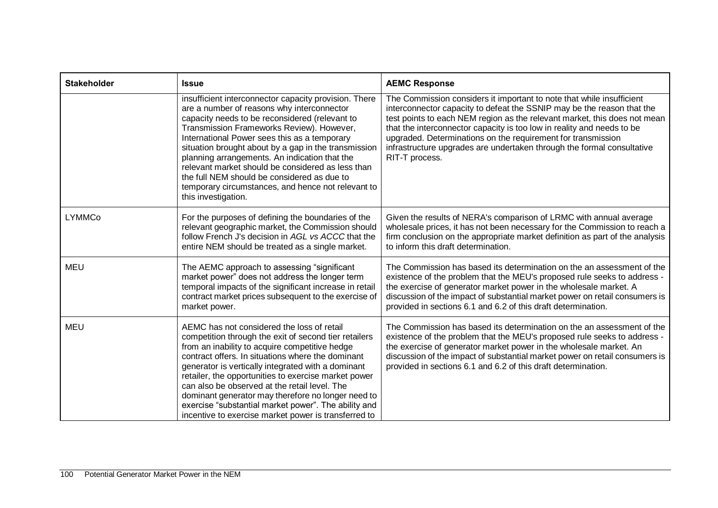| <b>Stakeholder</b> | <b>Issue</b>                                                                                                                                                                                                                                                                                                                                                                                                                                                                                                                                    | <b>AEMC Response</b>                                                                                                                                                                                                                                                                                                                                                                                                                                               |
|--------------------|-------------------------------------------------------------------------------------------------------------------------------------------------------------------------------------------------------------------------------------------------------------------------------------------------------------------------------------------------------------------------------------------------------------------------------------------------------------------------------------------------------------------------------------------------|--------------------------------------------------------------------------------------------------------------------------------------------------------------------------------------------------------------------------------------------------------------------------------------------------------------------------------------------------------------------------------------------------------------------------------------------------------------------|
|                    | insufficient interconnector capacity provision. There<br>are a number of reasons why interconnector<br>capacity needs to be reconsidered (relevant to<br>Transmission Frameworks Review). However,<br>International Power sees this as a temporary<br>situation brought about by a gap in the transmission<br>planning arrangements. An indication that the<br>relevant market should be considered as less than<br>the full NEM should be considered as due to<br>temporary circumstances, and hence not relevant to<br>this investigation.    | The Commission considers it important to note that while insufficient<br>interconnector capacity to defeat the SSNIP may be the reason that the<br>test points to each NEM region as the relevant market, this does not mean<br>that the interconnector capacity is too low in reality and needs to be<br>upgraded. Determinations on the requirement for transmission<br>infrastructure upgrades are undertaken through the formal consultative<br>RIT-T process. |
| <b>LYMMCo</b>      | For the purposes of defining the boundaries of the<br>relevant geographic market, the Commission should<br>follow French J's decision in AGL vs ACCC that the<br>entire NEM should be treated as a single market.                                                                                                                                                                                                                                                                                                                               | Given the results of NERA's comparison of LRMC with annual average<br>wholesale prices, it has not been necessary for the Commission to reach a<br>firm conclusion on the appropriate market definition as part of the analysis<br>to inform this draft determination.                                                                                                                                                                                             |
| <b>MEU</b>         | The AEMC approach to assessing "significant<br>market power" does not address the longer term<br>temporal impacts of the significant increase in retail<br>contract market prices subsequent to the exercise of<br>market power.                                                                                                                                                                                                                                                                                                                | The Commission has based its determination on the an assessment of the<br>existence of the problem that the MEU's proposed rule seeks to address -<br>the exercise of generator market power in the wholesale market. A<br>discussion of the impact of substantial market power on retail consumers is<br>provided in sections 6.1 and 6.2 of this draft determination.                                                                                            |
| <b>MEU</b>         | AEMC has not considered the loss of retail<br>competition through the exit of second tier retailers<br>from an inability to acquire competitive hedge<br>contract offers. In situations where the dominant<br>generator is vertically integrated with a dominant<br>retailer, the opportunities to exercise market power<br>can also be observed at the retail level. The<br>dominant generator may therefore no longer need to<br>exercise "substantial market power". The ability and<br>incentive to exercise market power is transferred to | The Commission has based its determination on the an assessment of the<br>existence of the problem that the MEU's proposed rule seeks to address -<br>the exercise of generator market power in the wholesale market. An<br>discussion of the impact of substantial market power on retail consumers is<br>provided in sections 6.1 and 6.2 of this draft determination.                                                                                           |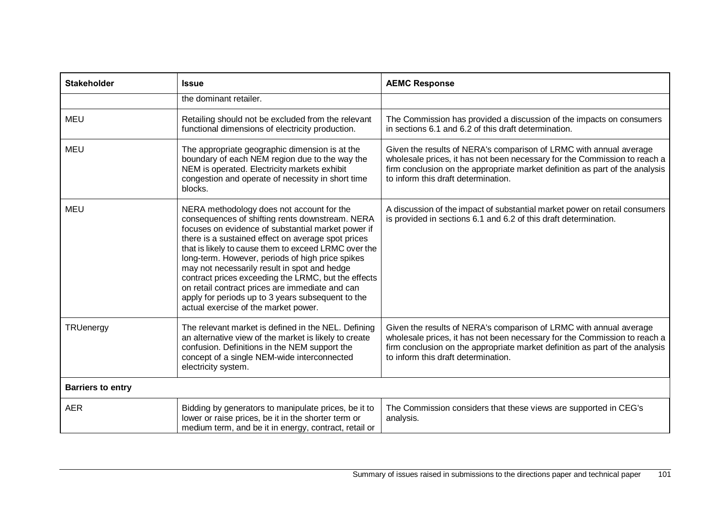| <b>Stakeholder</b>       | <b>Issue</b>                                                                                                                                                                                                                                                                                                                                                                                                                                                                                                                                                                | <b>AEMC Response</b>                                                                                                                                                                                                                                                   |  |
|--------------------------|-----------------------------------------------------------------------------------------------------------------------------------------------------------------------------------------------------------------------------------------------------------------------------------------------------------------------------------------------------------------------------------------------------------------------------------------------------------------------------------------------------------------------------------------------------------------------------|------------------------------------------------------------------------------------------------------------------------------------------------------------------------------------------------------------------------------------------------------------------------|--|
|                          | the dominant retailer.                                                                                                                                                                                                                                                                                                                                                                                                                                                                                                                                                      |                                                                                                                                                                                                                                                                        |  |
| <b>MEU</b>               | Retailing should not be excluded from the relevant<br>functional dimensions of electricity production.                                                                                                                                                                                                                                                                                                                                                                                                                                                                      | The Commission has provided a discussion of the impacts on consumers<br>in sections 6.1 and 6.2 of this draft determination.                                                                                                                                           |  |
| <b>MEU</b>               | The appropriate geographic dimension is at the<br>boundary of each NEM region due to the way the<br>NEM is operated. Electricity markets exhibit<br>congestion and operate of necessity in short time<br>blocks.                                                                                                                                                                                                                                                                                                                                                            | Given the results of NERA's comparison of LRMC with annual average<br>wholesale prices, it has not been necessary for the Commission to reach a<br>firm conclusion on the appropriate market definition as part of the analysis<br>to inform this draft determination. |  |
| <b>MEU</b>               | NERA methodology does not account for the<br>consequences of shifting rents downstream. NERA<br>focuses on evidence of substantial market power if<br>there is a sustained effect on average spot prices<br>that is likely to cause them to exceed LRMC over the<br>long-term. However, periods of high price spikes<br>may not necessarily result in spot and hedge<br>contract prices exceeding the LRMC, but the effects<br>on retail contract prices are immediate and can<br>apply for periods up to 3 years subsequent to the<br>actual exercise of the market power. | A discussion of the impact of substantial market power on retail consumers<br>is provided in sections 6.1 and 6.2 of this draft determination.                                                                                                                         |  |
| TRUenergy                | The relevant market is defined in the NEL. Defining<br>an alternative view of the market is likely to create<br>confusion. Definitions in the NEM support the<br>concept of a single NEM-wide interconnected<br>electricity system.                                                                                                                                                                                                                                                                                                                                         | Given the results of NERA's comparison of LRMC with annual average<br>wholesale prices, it has not been necessary for the Commission to reach a<br>firm conclusion on the appropriate market definition as part of the analysis<br>to inform this draft determination. |  |
| <b>Barriers to entry</b> |                                                                                                                                                                                                                                                                                                                                                                                                                                                                                                                                                                             |                                                                                                                                                                                                                                                                        |  |
| <b>AER</b>               | Bidding by generators to manipulate prices, be it to<br>lower or raise prices, be it in the shorter term or<br>medium term, and be it in energy, contract, retail or                                                                                                                                                                                                                                                                                                                                                                                                        | The Commission considers that these views are supported in CEG's<br>analysis.                                                                                                                                                                                          |  |